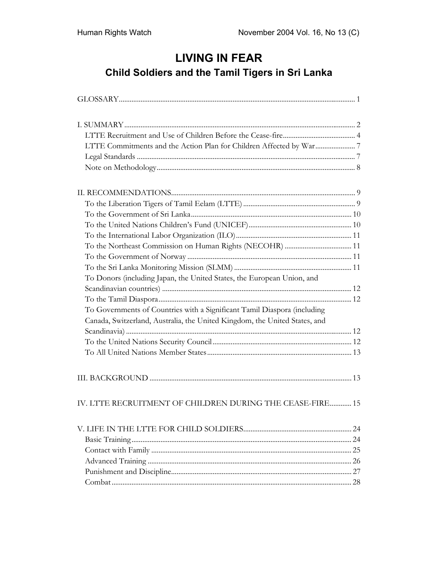# **LIVING IN FEAR**

Child Soldiers and the Tamil Tigers in Sri Lanka

| To Donors (including Japan, the United States, the European Union, and     |  |
|----------------------------------------------------------------------------|--|
|                                                                            |  |
|                                                                            |  |
| To Governments of Countries with a Significant Tamil Diaspora (including   |  |
| Canada, Switzerland, Australia, the United Kingdom, the United States, and |  |
|                                                                            |  |
|                                                                            |  |
|                                                                            |  |
|                                                                            |  |
| IV. LTTE RECRUITMENT OF CHILDREN DURING THE CEASE-FIRE 15                  |  |
|                                                                            |  |
|                                                                            |  |
|                                                                            |  |
|                                                                            |  |
|                                                                            |  |
|                                                                            |  |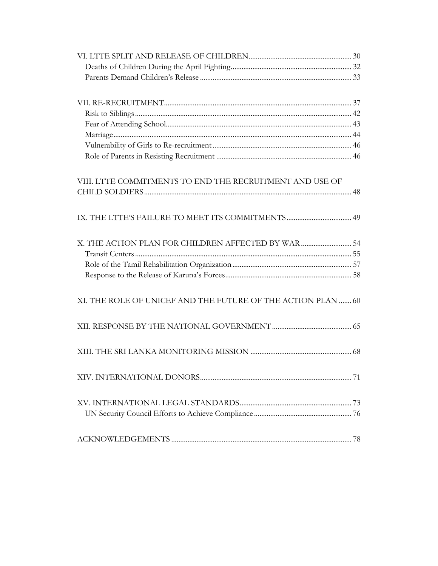| VIII. LTTE COMMITMENTS TO END THE RECRUITMENT AND USE OF     |  |
|--------------------------------------------------------------|--|
|                                                              |  |
|                                                              |  |
| X. THE ACTION PLAN FOR CHILDREN AFFECTED BY WAR  54          |  |
|                                                              |  |
|                                                              |  |
| XI. THE ROLE OF UNICEF AND THE FUTURE OF THE ACTION PLAN  60 |  |
|                                                              |  |
|                                                              |  |
|                                                              |  |
|                                                              |  |
|                                                              |  |
|                                                              |  |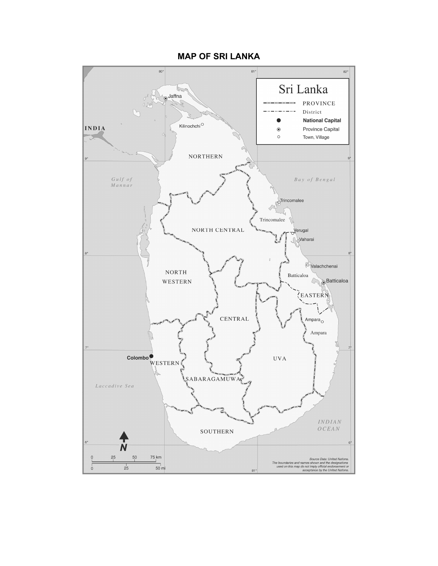### **MAP OF SRI LANKA**

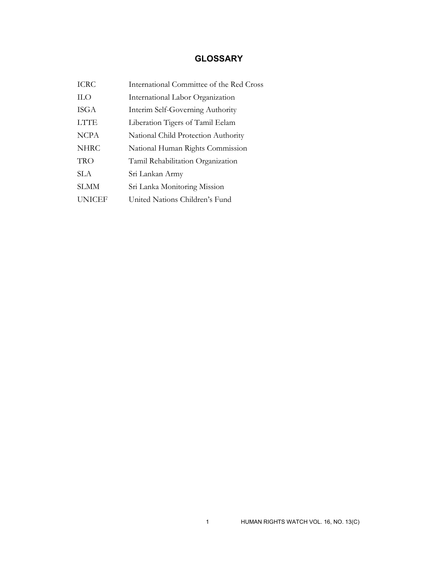# **GLOSSARY**

| <b>ICRC</b>   | International Committee of the Red Cross |
|---------------|------------------------------------------|
| <b>ILO</b>    | International Labor Organization         |
| <b>ISGA</b>   | Interim Self-Governing Authority         |
| <b>LTTE</b>   | Liberation Tigers of Tamil Eelam         |
| <b>NCPA</b>   | National Child Protection Authority      |
| <b>NHRC</b>   | National Human Rights Commission         |
| <b>TRO</b>    | Tamil Rehabilitation Organization        |
| SLA           | Sri Lankan Army                          |
| SLMM          | Sri Lanka Monitoring Mission             |
| <b>UNICEF</b> | United Nations Children's Fund           |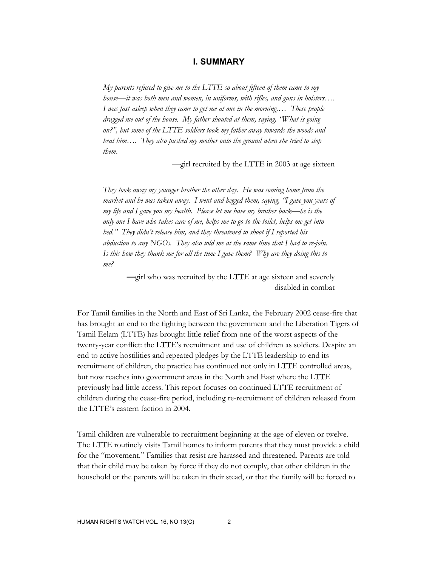#### **I. SUMMARY**

*My parents refused to give me to the LTTE so about fifteen of them came to my house—it was both men and women, in uniforms, with rifles, and guns in holsters…. I was fast asleep when they came to get me at one in the morning.… These people dragged me out of the house. My father shouted at them, saying, "What is going on?", but some of the LTTE soldiers took my father away towards the woods and beat him…. They also pushed my mother onto the ground when she tried to stop them.* 

*—*girl recruited by the LTTE in 2003 at age sixteen

*They took away my younger brother the other day. He was coming home from the market and he was taken away. I went and begged them, saying, "I gave you years of my life and I gave you my health. Please let me have my brother back—he is the only one I have who takes care of me, helps me to go to the toilet, helps me get into bed." They didn't release him, and they threatened to shoot if I reported his abduction to any NGOs. They also told me at the same time that I had to re-join. Is this how they thank me for all the time I gave them? Why are they doing this to me?*

**—**girl who was recruited by the LTTE at age sixteen and severely disabled in combat

For Tamil families in the North and East of Sri Lanka, the February 2002 cease-fire that has brought an end to the fighting between the government and the Liberation Tigers of Tamil Eelam (LTTE) has brought little relief from one of the worst aspects of the twenty-year conflict: the LTTE's recruitment and use of children as soldiers. Despite an end to active hostilities and repeated pledges by the LTTE leadership to end its recruitment of children, the practice has continued not only in LTTE controlled areas, but now reaches into government areas in the North and East where the LTTE previously had little access. This report focuses on continued LTTE recruitment of children during the cease-fire period, including re-recruitment of children released from the LTTE's eastern faction in 2004.

Tamil children are vulnerable to recruitment beginning at the age of eleven or twelve. The LTTE routinely visits Tamil homes to inform parents that they must provide a child for the "movement." Families that resist are harassed and threatened. Parents are told that their child may be taken by force if they do not comply, that other children in the household or the parents will be taken in their stead, or that the family will be forced to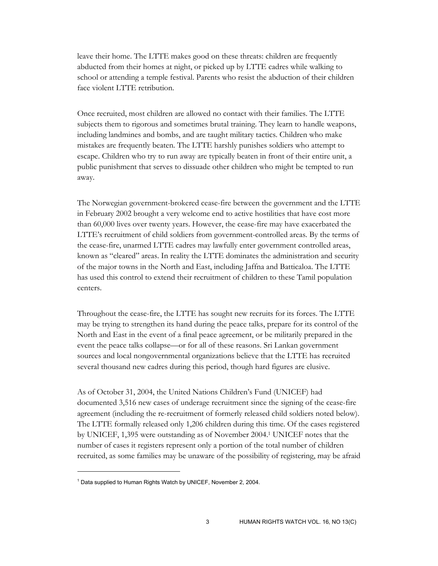leave their home. The LTTE makes good on these threats: children are frequently abducted from their homes at night, or picked up by LTTE cadres while walking to school or attending a temple festival. Parents who resist the abduction of their children face violent LTTE retribution.

Once recruited, most children are allowed no contact with their families. The LTTE subjects them to rigorous and sometimes brutal training. They learn to handle weapons, including landmines and bombs, and are taught military tactics. Children who make mistakes are frequently beaten. The LTTE harshly punishes soldiers who attempt to escape. Children who try to run away are typically beaten in front of their entire unit, a public punishment that serves to dissuade other children who might be tempted to run away.

The Norwegian government-brokered cease-fire between the government and the LTTE in February 2002 brought a very welcome end to active hostilities that have cost more than 60,000 lives over twenty years. However, the cease-fire may have exacerbated the LTTE's recruitment of child soldiers from government-controlled areas. By the terms of the cease-fire, unarmed LTTE cadres may lawfully enter government controlled areas, known as "cleared" areas. In reality the LTTE dominates the administration and security of the major towns in the North and East, including Jaffna and Batticaloa. The LTTE has used this control to extend their recruitment of children to these Tamil population centers.

Throughout the cease-fire, the LTTE has sought new recruits for its forces. The LTTE may be trying to strengthen its hand during the peace talks, prepare for its control of the North and East in the event of a final peace agreement, or be militarily prepared in the event the peace talks collapse—or for all of these reasons. Sri Lankan government sources and local nongovernmental organizations believe that the LTTE has recruited several thousand new cadres during this period, though hard figures are elusive.

As of October 31, 2004, the United Nations Children's Fund (UNICEF) had documented 3,516 new cases of underage recruitment since the signing of the cease-fire agreement (including the re-recruitment of formerly released child soldiers noted below). The LTTE formally released only 1,206 children during this time. Of the cases registered by UNICEF, 1,395 were outstanding as of November 2004.1 UNICEF notes that the number of cases it registers represent only a portion of the total number of children recruited, as some families may be unaware of the possibility of registering, may be afraid

 $1$  Data supplied to Human Rights Watch by UNICEF, November 2, 2004.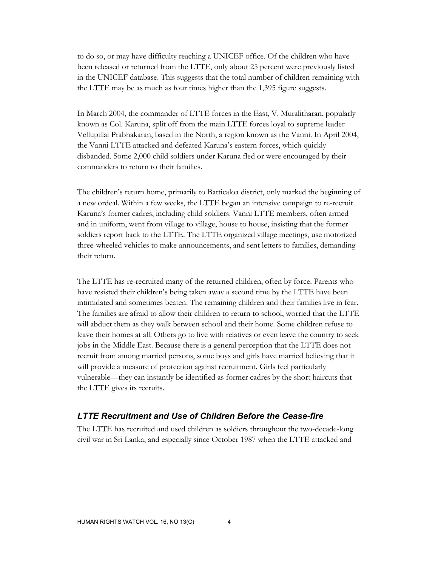to do so, or may have difficulty reaching a UNICEF office. Of the children who have been released or returned from the LTTE, only about 25 percent were previously listed in the UNICEF database. This suggests that the total number of children remaining with the LTTE may be as much as four times higher than the 1,395 figure suggests.

In March 2004, the commander of LTTE forces in the East, V. Muralitharan, popularly known as Col. Karuna, split off from the main LTTE forces loyal to supreme leader Vellupillai Prabhakaran, based in the North, a region known as the Vanni. In April 2004, the Vanni LTTE attacked and defeated Karuna's eastern forces, which quickly disbanded. Some 2,000 child soldiers under Karuna fled or were encouraged by their commanders to return to their families.

The children's return home, primarily to Batticaloa district, only marked the beginning of a new ordeal. Within a few weeks, the LTTE began an intensive campaign to re-recruit Karuna's former cadres, including child soldiers. Vanni LTTE members, often armed and in uniform, went from village to village, house to house, insisting that the former soldiers report back to the LTTE. The LTTE organized village meetings, use motorized three-wheeled vehicles to make announcements, and sent letters to families, demanding their return.

The LTTE has re-recruited many of the returned children, often by force. Parents who have resisted their children's being taken away a second time by the LTTE have been intimidated and sometimes beaten. The remaining children and their families live in fear. The families are afraid to allow their children to return to school, worried that the LTTE will abduct them as they walk between school and their home. Some children refuse to leave their homes at all. Others go to live with relatives or even leave the country to seek jobs in the Middle East. Because there is a general perception that the LTTE does not recruit from among married persons, some boys and girls have married believing that it will provide a measure of protection against recruitment. Girls feel particularly vulnerable—they can instantly be identified as former cadres by the short haircuts that the LTTE gives its recruits.

### *LTTE Recruitment and Use of Children Before the Cease-fire*

The LTTE has recruited and used children as soldiers throughout the two-decade-long civil war in Sri Lanka, and especially since October 1987 when the LTTE attacked and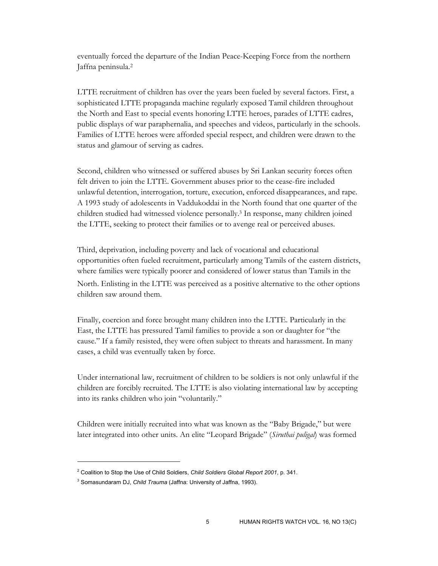eventually forced the departure of the Indian Peace-Keeping Force from the northern Jaffna peninsula.2

LTTE recruitment of children has over the years been fueled by several factors. First, a sophisticated LTTE propaganda machine regularly exposed Tamil children throughout the North and East to special events honoring LTTE heroes, parades of LTTE cadres, public displays of war paraphernalia, and speeches and videos, particularly in the schools. Families of LTTE heroes were afforded special respect, and children were drawn to the status and glamour of serving as cadres.

Second, children who witnessed or suffered abuses by Sri Lankan security forces often felt driven to join the LTTE. Government abuses prior to the cease-fire included unlawful detention, interrogation, torture, execution, enforced disappearances, and rape. A 1993 study of adolescents in Vaddukoddai in the North found that one quarter of the children studied had witnessed violence personally.3 In response, many children joined the LTTE, seeking to protect their families or to avenge real or perceived abuses.

Third, deprivation, including poverty and lack of vocational and educational opportunities often fueled recruitment, particularly among Tamils of the eastern districts, where families were typically poorer and considered of lower status than Tamils in the North. Enlisting in the LTTE was perceived as a positive alternative to the other options children saw around them.

Finally, coercion and force brought many children into the LTTE. Particularly in the East, the LTTE has pressured Tamil families to provide a son or daughter for "the cause." If a family resisted, they were often subject to threats and harassment. In many cases, a child was eventually taken by force.

Under international law, recruitment of children to be soldiers is not only unlawful if the children are forcibly recruited. The LTTE is also violating international law by accepting into its ranks children who join "voluntarily."

Children were initially recruited into what was known as the "Baby Brigade," but were later integrated into other units. An elite "Leopard Brigade" (*Siruthai puligal*) was formed

 $\overline{a}$ 

<sup>2</sup> Coalition to Stop the Use of Child Soldiers, *Child Soldiers Global Report 2001*, p. 341.

<sup>3</sup> Somasundaram DJ, *Child Trauma* (Jaffna: University of Jaffna, 1993).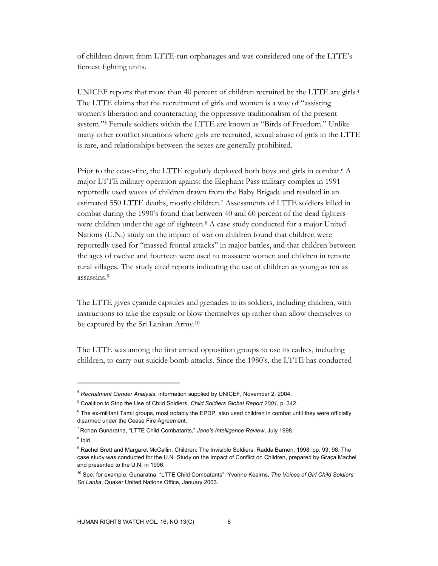of children drawn from LTTE-run orphanages and was considered one of the LTTE's fiercest fighting units.

UNICEF reports that more than 40 percent of children recruited by the LTTE are girls.4 The LTTE claims that the recruitment of girls and women is a way of "assisting women's liberation and counteracting the oppressive traditionalism of the present system."5 Female soldiers within the LTTE are known as "Birds of Freedom." Unlike many other conflict situations where girls are recruited, sexual abuse of girls in the LTTE is rare, and relationships between the sexes are generally prohibited.

Prior to the cease-fire, the LTTE regularly deployed both boys and girls in combat.<sup>6</sup> A major LTTE military operation against the Elephant Pass military complex in 1991 reportedly used waves of children drawn from the Baby Brigade and resulted in an estimated 550 LTTE deaths, mostly children.7 Assessments of LTTE soldiers killed in combat during the 1990's found that between 40 and 60 percent of the dead fighters were children under the age of eighteen.8 A case study conducted for a major United Nations (U.N.) study on the impact of war on children found that children were reportedly used for "massed frontal attacks" in major battles, and that children between the ages of twelve and fourteen were used to massacre women and children in remote rural villages. The study cited reports indicating the use of children as young as ten as assassins.9

The LTTE gives cyanide capsules and grenades to its soldiers, including children, with instructions to take the capsule or blow themselves up rather than allow themselves to be captured by the Sri Lankan Army.10

The LTTE was among the first armed opposition groups to use its cadres, including children, to carry out suicide bomb attacks. Since the 1980's, the LTTE has conducted

<sup>4</sup> *Recruitment Gender Analysis*, information supplied by UNICEF, November 2, 2004.

<sup>5</sup> Coalition to Stop the Use of Child Soldiers, *Child Soldiers Global Report 2001*, p. 342.

 $^6$  The ex-militant Tamil groups, most notably the EPDP, also used children in combat until they were officially disarmed under the Cease Fire Agreement.

<sup>7</sup> Rohan Gunaratna, "LTTE Child Combatants," *Jane's Intelligence Review*, July 1998.

<sup>&</sup>lt;sup>8</sup> Ibid.

<sup>&</sup>lt;sup>9</sup> Rachel Brett and Margaret McCallin, Children: The Invisible Soldiers, Radda Barnen, 1998, pp. 93, 98. The case study was conducted for the U.N. Study on the Impact of Conflict on Children, prepared by Graça Machel and presented to the U.N. in 1996.

<sup>10</sup> See, for example, Gunaratna, "LTTE Child Combatants"; Yvonne Keairns, *The Voices of Girl Child Soldiers Sri Lanka*, Quaker United Nations Office, January 2003.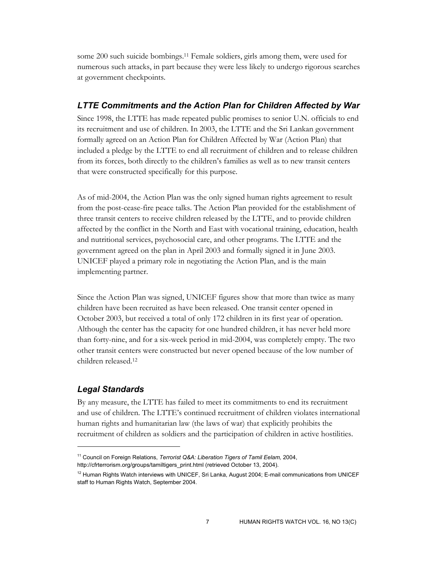some 200 such suicide bombings.11 Female soldiers, girls among them, were used for numerous such attacks, in part because they were less likely to undergo rigorous searches at government checkpoints.

### *LTTE Commitments and the Action Plan for Children Affected by War*

Since 1998, the LTTE has made repeated public promises to senior U.N. officials to end its recruitment and use of children. In 2003, the LTTE and the Sri Lankan government formally agreed on an Action Plan for Children Affected by War (Action Plan) that included a pledge by the LTTE to end all recruitment of children and to release children from its forces, both directly to the children's families as well as to new transit centers that were constructed specifically for this purpose.

As of mid-2004, the Action Plan was the only signed human rights agreement to result from the post-cease-fire peace talks. The Action Plan provided for the establishment of three transit centers to receive children released by the LTTE, and to provide children affected by the conflict in the North and East with vocational training, education, health and nutritional services, psychosocial care, and other programs. The LTTE and the government agreed on the plan in April 2003 and formally signed it in June 2003. UNICEF played a primary role in negotiating the Action Plan, and is the main implementing partner.

Since the Action Plan was signed, UNICEF figures show that more than twice as many children have been recruited as have been released. One transit center opened in October 2003, but received a total of only 172 children in its first year of operation. Although the center has the capacity for one hundred children, it has never held more than forty-nine, and for a six-week period in mid-2004, was completely empty. The two other transit centers were constructed but never opened because of the low number of children released.12

### *Legal Standards*

 $\overline{a}$ 

By any measure, the LTTE has failed to meet its commitments to end its recruitment and use of children. The LTTE's continued recruitment of children violates international human rights and humanitarian law (the laws of war) that explicitly prohibits the recruitment of children as soldiers and the participation of children in active hostilities.

<sup>11</sup> Council on Foreign Relations, *Terrorist Q&A: Liberation Tigers of Tamil Eelam,* 2004, http://cfrterrorism.org/groups/tamiltigers\_print.html (retrieved October 13, 2004).

<sup>&</sup>lt;sup>12</sup> Human Rights Watch interviews with UNICEF, Sri Lanka, August 2004; E-mail communications from UNICEF staff to Human Rights Watch, September 2004.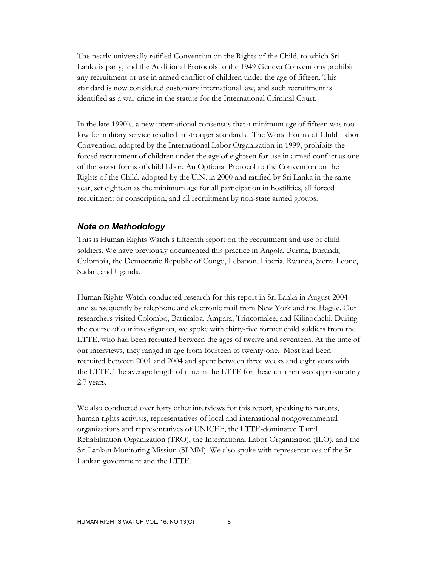The nearly-universally ratified Convention on the Rights of the Child, to which Sri Lanka is party, and the Additional Protocols to the 1949 Geneva Conventions prohibit any recruitment or use in armed conflict of children under the age of fifteen. This standard is now considered customary international law, and such recruitment is identified as a war crime in the statute for the International Criminal Court.

In the late 1990's, a new international consensus that a minimum age of fifteen was too low for military service resulted in stronger standards. The Worst Forms of Child Labor Convention, adopted by the International Labor Organization in 1999, prohibits the forced recruitment of children under the age of eighteen for use in armed conflict as one of the worst forms of child labor. An Optional Protocol to the Convention on the Rights of the Child, adopted by the U.N. in 2000 and ratified by Sri Lanka in the same year, set eighteen as the minimum age for all participation in hostilities, all forced recruitment or conscription, and all recruitment by non-state armed groups.

#### *Note on Methodology*

This is Human Rights Watch's fifteenth report on the recruitment and use of child soldiers. We have previously documented this practice in Angola, Burma, Burundi, Colombia, the Democratic Republic of Congo, Lebanon, Liberia, Rwanda, Sierra Leone, Sudan, and Uganda.

Human Rights Watch conducted research for this report in Sri Lanka in August 2004 and subsequently by telephone and electronic mail from New York and the Hague. Our researchers visited Colombo, Batticaloa, Ampara, Trincomalee, and Kilinochchi. During the course of our investigation, we spoke with thirty-five former child soldiers from the LTTE, who had been recruited between the ages of twelve and seventeen. At the time of our interviews, they ranged in age from fourteen to twenty-one. Most had been recruited between 2001 and 2004 and spent between three weeks and eight years with the LTTE. The average length of time in the LTTE for these children was approximately 2.7 years.

We also conducted over forty other interviews for this report, speaking to parents, human rights activists, representatives of local and international nongovernmental organizations and representatives of UNICEF, the LTTE-dominated Tamil Rehabilitation Organization (TRO), the International Labor Organization (ILO), and the Sri Lankan Monitoring Mission (SLMM). We also spoke with representatives of the Sri Lankan government and the LTTE.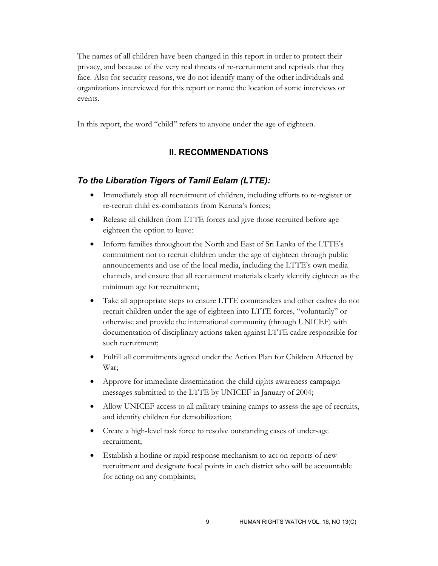The names of all children have been changed in this report in order to protect their privacy, and because of the very real threats of re-recruitment and reprisals that they face. Also for security reasons, we do not identify many of the other individuals and organizations interviewed for this report or name the location of some interviews or events.

In this report, the word "child" refers to anyone under the age of eighteen.

### **II. RECOMMENDATIONS**

### *To the Liberation Tigers of Tamil Eelam (LTTE):*

- Immediately stop all recruitment of children, including efforts to re-register or re-recruit child ex-combatants from Karuna's forces;
- Release all children from LTTE forces and give those recruited before age eighteen the option to leave:
- Inform families throughout the North and East of Sri Lanka of the LTTE's commitment not to recruit children under the age of eighteen through public announcements and use of the local media, including the LTTE's own media channels, and ensure that all recruitment materials clearly identify eighteen as the minimum age for recruitment;
- Take all appropriate steps to ensure LTTE commanders and other cadres do not recruit children under the age of eighteen into LTTE forces, "voluntarily" or otherwise and provide the international community (through UNICEF) with documentation of disciplinary actions taken against LTTE cadre responsible for such recruitment;
- Fulfill all commitments agreed under the Action Plan for Children Affected by War;
- Approve for immediate dissemination the child rights awareness campaign messages submitted to the LTTE by UNICEF in January of 2004;
- Allow UNICEF access to all military training camps to assess the age of recruits, and identify children for demobilization;
- Create a high-level task force to resolve outstanding cases of under-age recruitment;
- Establish a hotline or rapid response mechanism to act on reports of new recruitment and designate focal points in each district who will be accountable for acting on any complaints;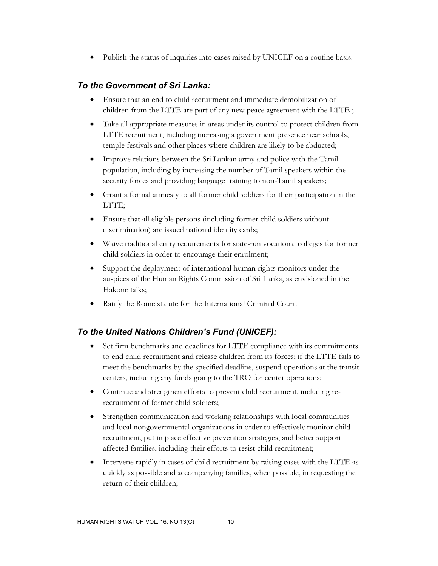• Publish the status of inquiries into cases raised by UNICEF on a routine basis.

### *To the Government of Sri Lanka:*

- Ensure that an end to child recruitment and immediate demobilization of children from the LTTE are part of any new peace agreement with the LTTE ;
- Take all appropriate measures in areas under its control to protect children from LTTE recruitment, including increasing a government presence near schools, temple festivals and other places where children are likely to be abducted;
- Improve relations between the Sri Lankan army and police with the Tamil population, including by increasing the number of Tamil speakers within the security forces and providing language training to non-Tamil speakers;
- Grant a formal amnesty to all former child soldiers for their participation in the LTTE;
- Ensure that all eligible persons (including former child soldiers without discrimination) are issued national identity cards;
- Waive traditional entry requirements for state-run vocational colleges for former child soldiers in order to encourage their enrolment;
- Support the deployment of international human rights monitors under the auspices of the Human Rights Commission of Sri Lanka, as envisioned in the Hakone talks;
- Ratify the Rome statute for the International Criminal Court.

### *To the United Nations Children's Fund (UNICEF):*

- Set firm benchmarks and deadlines for LTTE compliance with its commitments to end child recruitment and release children from its forces; if the LTTE fails to meet the benchmarks by the specified deadline, suspend operations at the transit centers, including any funds going to the TRO for center operations;
- Continue and strengthen efforts to prevent child recruitment, including rerecruitment of former child soldiers;
- Strengthen communication and working relationships with local communities and local nongovernmental organizations in order to effectively monitor child recruitment, put in place effective prevention strategies, and better support affected families, including their efforts to resist child recruitment;
- Intervene rapidly in cases of child recruitment by raising cases with the LTTE as quickly as possible and accompanying families, when possible, in requesting the return of their children;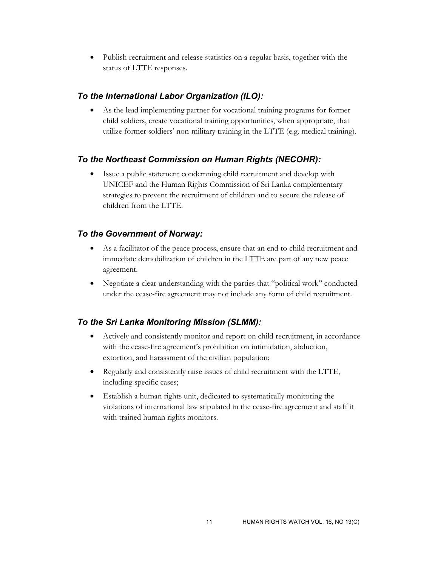• Publish recruitment and release statistics on a regular basis, together with the status of LTTE responses.

# *To the International Labor Organization (ILO):*

• As the lead implementing partner for vocational training programs for former child soldiers, create vocational training opportunities, when appropriate, that utilize former soldiers' non-military training in the LTTE (e.g. medical training).

# *To the Northeast Commission on Human Rights (NECOHR):*

• Issue a public statement condemning child recruitment and develop with UNICEF and the Human Rights Commission of Sri Lanka complementary strategies to prevent the recruitment of children and to secure the release of children from the LTTE.

# *To the Government of Norway:*

- As a facilitator of the peace process, ensure that an end to child recruitment and immediate demobilization of children in the LTTE are part of any new peace agreement.
- Negotiate a clear understanding with the parties that "political work" conducted under the cease-fire agreement may not include any form of child recruitment.

# *To the Sri Lanka Monitoring Mission (SLMM):*

- Actively and consistently monitor and report on child recruitment, in accordance with the cease-fire agreement's prohibition on intimidation, abduction, extortion, and harassment of the civilian population;
- Regularly and consistently raise issues of child recruitment with the LTTE, including specific cases;
- Establish a human rights unit, dedicated to systematically monitoring the violations of international law stipulated in the cease-fire agreement and staff it with trained human rights monitors.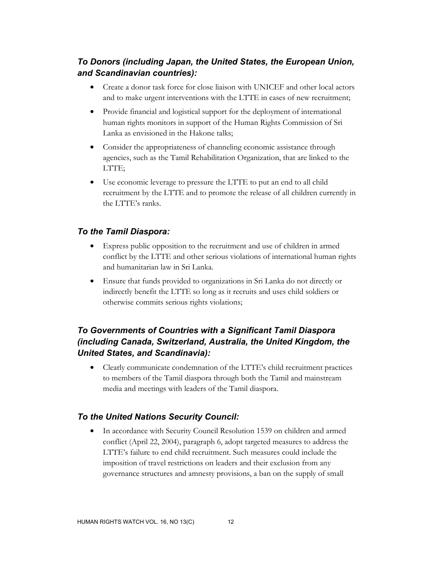# *To Donors (including Japan, the United States, the European Union, and Scandinavian countries):*

- Create a donor task force for close liaison with UNICEF and other local actors and to make urgent interventions with the LTTE in cases of new recruitment;
- Provide financial and logistical support for the deployment of international human rights monitors in support of the Human Rights Commission of Sri Lanka as envisioned in the Hakone talks;
- Consider the appropriateness of channeling economic assistance through agencies, such as the Tamil Rehabilitation Organization, that are linked to the LTTE;
- Use economic leverage to pressure the LTTE to put an end to all child recruitment by the LTTE and to promote the release of all children currently in the LTTE's ranks.

### *To the Tamil Diaspora:*

- Express public opposition to the recruitment and use of children in armed conflict by the LTTE and other serious violations of international human rights and humanitarian law in Sri Lanka.
- Ensure that funds provided to organizations in Sri Lanka do not directly or indirectly benefit the LTTE so long as it recruits and uses child soldiers or otherwise commits serious rights violations;

# *To Governments of Countries with a Significant Tamil Diaspora (including Canada, Switzerland, Australia, the United Kingdom, the United States, and Scandinavia):*

• Clearly communicate condemnation of the LTTE's child recruitment practices to members of the Tamil diaspora through both the Tamil and mainstream media and meetings with leaders of the Tamil diaspora.

### *To the United Nations Security Council:*

• In accordance with Security Council Resolution 1539 on children and armed conflict (April 22, 2004), paragraph 6, adopt targeted measures to address the LTTE's failure to end child recruitment. Such measures could include the imposition of travel restrictions on leaders and their exclusion from any governance structures and amnesty provisions, a ban on the supply of small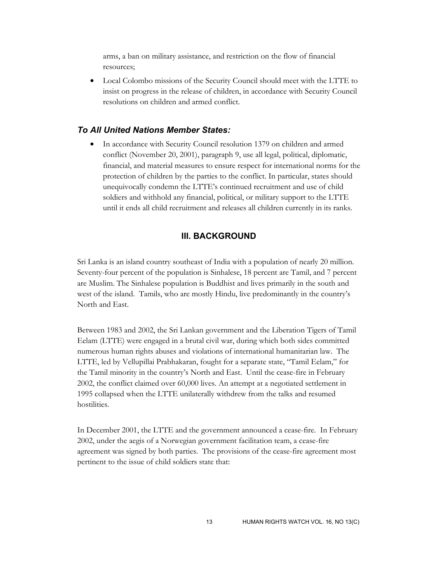arms, a ban on military assistance, and restriction on the flow of financial resources;

• Local Colombo missions of the Security Council should meet with the LTTE to insist on progress in the release of children, in accordance with Security Council resolutions on children and armed conflict.

### *To All United Nations Member States:*

In accordance with Security Council resolution 1379 on children and armed conflict (November 20, 2001), paragraph 9, use all legal, political, diplomatic, financial, and material measures to ensure respect for international norms for the protection of children by the parties to the conflict. In particular, states should unequivocally condemn the LTTE's continued recruitment and use of child soldiers and withhold any financial, political, or military support to the LTTE until it ends all child recruitment and releases all children currently in its ranks.

### **III. BACKGROUND**

Sri Lanka is an island country southeast of India with a population of nearly 20 million. Seventy-four percent of the population is Sinhalese, 18 percent are Tamil, and 7 percent are Muslim. The Sinhalese population is Buddhist and lives primarily in the south and west of the island. Tamils, who are mostly Hindu, live predominantly in the country's North and East.

Between 1983 and 2002, the Sri Lankan government and the Liberation Tigers of Tamil Eelam (LTTE) were engaged in a brutal civil war, during which both sides committed numerous human rights abuses and violations of international humanitarian law. The LTTE, led by Vellupillai Prabhakaran, fought for a separate state, "Tamil Eelam," for the Tamil minority in the country's North and East. Until the cease-fire in February 2002, the conflict claimed over 60,000 lives. An attempt at a negotiated settlement in 1995 collapsed when the LTTE unilaterally withdrew from the talks and resumed hostilities.

In December 2001, the LTTE and the government announced a cease-fire. In February 2002, under the aegis of a Norwegian government facilitation team, a cease-fire agreement was signed by both parties. The provisions of the cease-fire agreement most pertinent to the issue of child soldiers state that: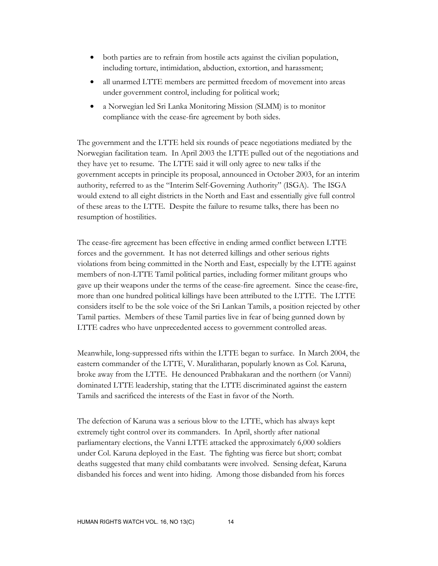- both parties are to refrain from hostile acts against the civilian population, including torture, intimidation, abduction, extortion, and harassment;
- all unarmed LTTE members are permitted freedom of movement into areas under government control, including for political work;
- a Norwegian led Sri Lanka Monitoring Mission (SLMM) is to monitor compliance with the cease-fire agreement by both sides.

The government and the LTTE held six rounds of peace negotiations mediated by the Norwegian facilitation team. In April 2003 the LTTE pulled out of the negotiations and they have yet to resume. The LTTE said it will only agree to new talks if the government accepts in principle its proposal, announced in October 2003, for an interim authority, referred to as the "Interim Self-Governing Authority" (ISGA). The ISGA would extend to all eight districts in the North and East and essentially give full control of these areas to the LTTE. Despite the failure to resume talks, there has been no resumption of hostilities.

The cease-fire agreement has been effective in ending armed conflict between LTTE forces and the government. It has not deterred killings and other serious rights violations from being committed in the North and East, especially by the LTTE against members of non-LTTE Tamil political parties, including former militant groups who gave up their weapons under the terms of the cease-fire agreement. Since the cease-fire, more than one hundred political killings have been attributed to the LTTE. The LTTE considers itself to be the sole voice of the Sri Lankan Tamils, a position rejected by other Tamil parties. Members of these Tamil parties live in fear of being gunned down by LTTE cadres who have unprecedented access to government controlled areas.

Meanwhile, long-suppressed rifts within the LTTE began to surface. In March 2004, the eastern commander of the LTTE, V. Muralitharan, popularly known as Col. Karuna, broke away from the LTTE. He denounced Prabhakaran and the northern (or Vanni) dominated LTTE leadership, stating that the LTTE discriminated against the eastern Tamils and sacrificed the interests of the East in favor of the North.

The defection of Karuna was a serious blow to the LTTE, which has always kept extremely tight control over its commanders. In April, shortly after national parliamentary elections, the Vanni LTTE attacked the approximately 6,000 soldiers under Col. Karuna deployed in the East. The fighting was fierce but short; combat deaths suggested that many child combatants were involved. Sensing defeat, Karuna disbanded his forces and went into hiding. Among those disbanded from his forces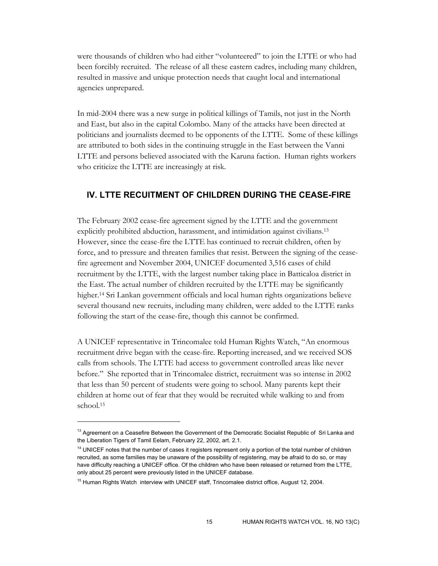were thousands of children who had either "volunteered" to join the LTTE or who had been forcibly recruited. The release of all these eastern cadres, including many children, resulted in massive and unique protection needs that caught local and international agencies unprepared.

In mid-2004 there was a new surge in political killings of Tamils, not just in the North and East, but also in the capital Colombo. Many of the attacks have been directed at politicians and journalists deemed to be opponents of the LTTE. Some of these killings are attributed to both sides in the continuing struggle in the East between the Vanni LTTE and persons believed associated with the Karuna faction. Human rights workers who criticize the LTTE are increasingly at risk.

#### **IV. LTTE RECUITMENT OF CHILDREN DURING THE CEASE-FIRE**

The February 2002 cease-fire agreement signed by the LTTE and the government explicitly prohibited abduction, harassment, and intimidation against civilians.<sup>13</sup> However, since the cease-fire the LTTE has continued to recruit children, often by force, and to pressure and threaten families that resist. Between the signing of the ceasefire agreement and November 2004, UNICEF documented 3,516 cases of child recruitment by the LTTE, with the largest number taking place in Batticaloa district in the East. The actual number of children recruited by the LTTE may be significantly higher.14 Sri Lankan government officials and local human rights organizations believe several thousand new recruits, including many children, were added to the LTTE ranks following the start of the cease-fire, though this cannot be confirmed.

A UNICEF representative in Trincomalee told Human Rights Watch, "An enormous recruitment drive began with the cease-fire. Reporting increased, and we received SOS calls from schools. The LTTE had access to government controlled areas like never before." She reported that in Trincomalee district, recruitment was so intense in 2002 that less than 50 percent of students were going to school. Many parents kept their children at home out of fear that they would be recruited while walking to and from school.15

<sup>&</sup>lt;sup>13</sup> Agreement on a Ceasefire Between the Government of the Democratic Socialist Republic of Sri Lanka and the Liberation Tigers of Tamil Eelam, February 22, 2002, art. 2.1.

<sup>&</sup>lt;sup>14</sup> UNICEF notes that the number of cases it registers represent only a portion of the total number of children recruited, as some families may be unaware of the possibility of registering, may be afraid to do so, or may have difficulty reaching a UNICEF office. Of the children who have been released or returned from the LTTE, only about 25 percent were previously listed in the UNICEF database.

<sup>&</sup>lt;sup>15</sup> Human Rights Watch interview with UNICEF staff, Trincomalee district office, August 12, 2004.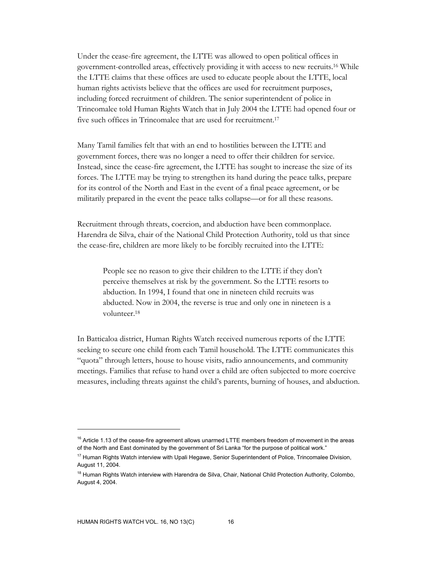Under the cease-fire agreement, the LTTE was allowed to open political offices in government-controlled areas, effectively providing it with access to new recruits.16 While the LTTE claims that these offices are used to educate people about the LTTE, local human rights activists believe that the offices are used for recruitment purposes, including forced recruitment of children. The senior superintendent of police in Trincomalee told Human Rights Watch that in July 2004 the LTTE had opened four or five such offices in Trincomalee that are used for recruitment.17

Many Tamil families felt that with an end to hostilities between the LTTE and government forces, there was no longer a need to offer their children for service. Instead, since the cease-fire agreement, the LTTE has sought to increase the size of its forces. The LTTE may be trying to strengthen its hand during the peace talks, prepare for its control of the North and East in the event of a final peace agreement, or be militarily prepared in the event the peace talks collapse—or for all these reasons.

Recruitment through threats, coercion, and abduction have been commonplace. Harendra de Silva, chair of the National Child Protection Authority, told us that since the cease-fire, children are more likely to be forcibly recruited into the LTTE:

People see no reason to give their children to the LTTE if they don't perceive themselves at risk by the government. So the LTTE resorts to abduction. In 1994, I found that one in nineteen child recruits was abducted. Now in 2004, the reverse is true and only one in nineteen is a volunteer.18

In Batticaloa district, Human Rights Watch received numerous reports of the LTTE seeking to secure one child from each Tamil household. The LTTE communicates this "quota" through letters, house to house visits, radio announcements, and community meetings. Families that refuse to hand over a child are often subjected to more coercive measures, including threats against the child's parents, burning of houses, and abduction.

 $16$  Article 1.13 of the cease-fire agreement allows unarmed LTTE members freedom of movement in the areas of the North and East dominated by the government of Sri Lanka "for the purpose of political work."

<sup>&</sup>lt;sup>17</sup> Human Rights Watch interview with Upali Hegawe, Senior Superintendent of Police, Trincomalee Division, August 11, 2004.

<sup>&</sup>lt;sup>18</sup> Human Rights Watch interview with Harendra de Silva, Chair, National Child Protection Authority, Colombo, August 4, 2004.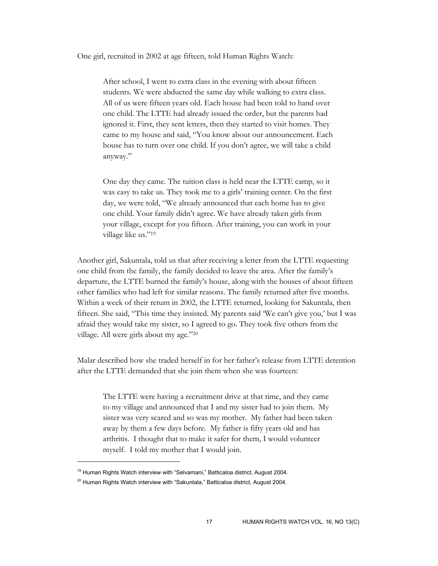One girl, recruited in 2002 at age fifteen, told Human Rights Watch:

After school, I went to extra class in the evening with about fifteen students. We were abducted the same day while walking to extra class. All of us were fifteen years old. Each house had been told to hand over one child. The LTTE had already issued the order, but the parents had ignored it. First, they sent letters, then they started to visit homes. They came to my house and said, "You know about our announcement. Each house has to turn over one child. If you don't agree, we will take a child anyway."

One day they came. The tuition class is held near the LTTE camp, so it was easy to take us. They took me to a girls' training center. On the first day, we were told, "We already announced that each home has to give one child. Your family didn't agree. We have already taken girls from your village, except for you fifteen. After training, you can work in your village like us."<sup>19</sup>

Another girl, Sakuntala, told us that after receiving a letter from the LTTE requesting one child from the family, the family decided to leave the area. After the family's departure, the LTTE burned the family's house, along with the houses of about fifteen other families who had left for similar reasons. The family returned after five months. Within a week of their return in 2002, the LTTE returned, looking for Sakuntala, then fifteen. She said, "This time they insisted. My parents said 'We can't give you,' but I was afraid they would take my sister, so I agreed to go. They took five others from the village. All were girls about my age."20

Malar described how she traded herself in for her father's release from LTTE detention after the LTTE demanded that she join them when she was fourteen:

The LTTE were having a recruitment drive at that time, and they came to my village and announced that I and my sister had to join them. My sister was very scared and so was my mother. My father had been taken away by them a few days before. My father is fifty years old and has arthritis. I thought that to make it safer for them, I would volunteer myself. I told my mother that I would join.

 $\overline{a}$ 

<sup>&</sup>lt;sup>19</sup> Human Rights Watch interview with "Selvamani," Batticaloa district, August 2004.

 $20$  Human Rights Watch interview with "Sakuntala," Batticaloa district, August 2004.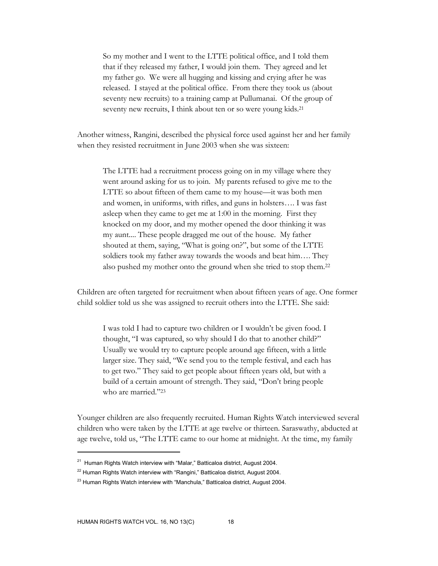So my mother and I went to the LTTE political office, and I told them that if they released my father, I would join them. They agreed and let my father go. We were all hugging and kissing and crying after he was released. I stayed at the political office. From there they took us (about seventy new recruits) to a training camp at Pullumanai. Of the group of seventy new recruits, I think about ten or so were young kids.<sup>21</sup>

Another witness, Rangini, described the physical force used against her and her family when they resisted recruitment in June 2003 when she was sixteen:

The LTTE had a recruitment process going on in my village where they went around asking for us to join. My parents refused to give me to the LTTE so about fifteen of them came to my house—it was both men and women, in uniforms, with rifles, and guns in holsters…. I was fast asleep when they came to get me at 1:00 in the morning. First they knocked on my door, and my mother opened the door thinking it was my aunt.... These people dragged me out of the house. My father shouted at them, saying, "What is going on?", but some of the LTTE soldiers took my father away towards the woods and beat him…. They also pushed my mother onto the ground when she tried to stop them.22

Children are often targeted for recruitment when about fifteen years of age. One former child soldier told us she was assigned to recruit others into the LTTE. She said:

I was told I had to capture two children or I wouldn't be given food. I thought, "I was captured, so why should I do that to another child?" Usually we would try to capture people around age fifteen, with a little larger size. They said, "We send you to the temple festival, and each has to get two." They said to get people about fifteen years old, but with a build of a certain amount of strength. They said, "Don't bring people who are married."23

Younger children are also frequently recruited. Human Rights Watch interviewed several children who were taken by the LTTE at age twelve or thirteen. Saraswathy, abducted at age twelve, told us, "The LTTE came to our home at midnight. At the time, my family

<sup>&</sup>lt;sup>21</sup> Human Rights Watch interview with "Malar," Batticaloa district, August 2004.

 $22$  Human Rights Watch interview with "Rangini," Batticaloa district, August 2004.

<sup>&</sup>lt;sup>23</sup> Human Rights Watch interview with "Manchula," Batticaloa district, August 2004.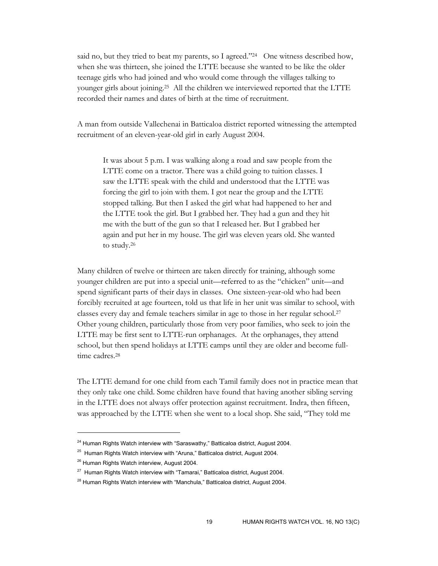said no, but they tried to beat my parents, so I agreed."<sup>24</sup> One witness described how, when she was thirteen, she joined the LTTE because she wanted to be like the older teenage girls who had joined and who would come through the villages talking to younger girls about joining.25 All the children we interviewed reported that the LTTE recorded their names and dates of birth at the time of recruitment.

A man from outside Vallechenai in Batticaloa district reported witnessing the attempted recruitment of an eleven-year-old girl in early August 2004.

It was about 5 p.m. I was walking along a road and saw people from the LTTE come on a tractor. There was a child going to tuition classes. I saw the LTTE speak with the child and understood that the LTTE was forcing the girl to join with them. I got near the group and the LTTE stopped talking. But then I asked the girl what had happened to her and the LTTE took the girl. But I grabbed her. They had a gun and they hit me with the butt of the gun so that I released her. But I grabbed her again and put her in my house. The girl was eleven years old. She wanted to study.26

Many children of twelve or thirteen are taken directly for training, although some younger children are put into a special unit—referred to as the "chicken" unit—and spend significant parts of their days in classes. One sixteen-year-old who had been forcibly recruited at age fourteen, told us that life in her unit was similar to school, with classes every day and female teachers similar in age to those in her regular school.27 Other young children, particularly those from very poor families, who seek to join the LTTE may be first sent to LTTE-run orphanages. At the orphanages, they attend school, but then spend holidays at LTTE camps until they are older and become fulltime cadres.28

The LTTE demand for one child from each Tamil family does not in practice mean that they only take one child. Some children have found that having another sibling serving in the LTTE does not always offer protection against recruitment. Indra, then fifteen, was approached by the LTTE when she went to a local shop. She said, "They told me

<sup>&</sup>lt;sup>24</sup> Human Rights Watch interview with "Saraswathy," Batticaloa district, August 2004.

<sup>&</sup>lt;sup>25</sup> Human Rights Watch interview with "Aruna," Batticaloa district, August 2004.

<sup>&</sup>lt;sup>26</sup> Human Rights Watch interview, August 2004.

 $27$  Human Rights Watch interview with "Tamarai," Batticaloa district, August 2004.

 $28$  Human Rights Watch interview with "Manchula," Batticaloa district, August 2004.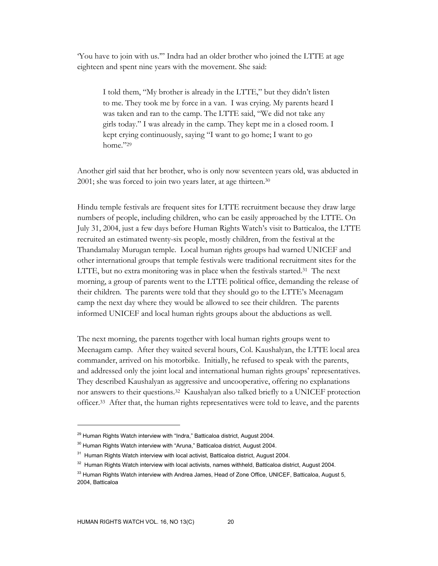'You have to join with us.'" Indra had an older brother who joined the LTTE at age eighteen and spent nine years with the movement. She said:

I told them, "My brother is already in the LTTE," but they didn't listen to me. They took me by force in a van. I was crying. My parents heard I was taken and ran to the camp. The LTTE said, "We did not take any girls today." I was already in the camp. They kept me in a closed room. I kept crying continuously, saying "I want to go home; I want to go home."29

Another girl said that her brother, who is only now seventeen years old, was abducted in 2001; she was forced to join two years later, at age thirteen.<sup>30</sup>

Hindu temple festivals are frequent sites for LTTE recruitment because they draw large numbers of people, including children, who can be easily approached by the LTTE. On July 31, 2004, just a few days before Human Rights Watch's visit to Batticaloa, the LTTE recruited an estimated twenty-six people, mostly children, from the festival at the Thandamalay Murugan temple. Local human rights groups had warned UNICEF and other international groups that temple festivals were traditional recruitment sites for the LTTE, but no extra monitoring was in place when the festivals started.<sup>31</sup> The next morning, a group of parents went to the LTTE political office, demanding the release of their children. The parents were told that they should go to the LTTE's Meenagam camp the next day where they would be allowed to see their children. The parents informed UNICEF and local human rights groups about the abductions as well.

The next morning, the parents together with local human rights groups went to Meenagam camp. After they waited several hours, Col. Kaushalyan, the LTTE local area commander, arrived on his motorbike. Initially, he refused to speak with the parents, and addressed only the joint local and international human rights groups' representatives. They described Kaushalyan as aggressive and uncooperative, offering no explanations nor answers to their questions.32 Kaushalyan also talked briefly to a UNICEF protection officer.33 After that, the human rights representatives were told to leave, and the parents

 $\overline{a}$ 

<sup>&</sup>lt;sup>29</sup> Human Rights Watch interview with "Indra," Batticaloa district, August 2004.

<sup>&</sup>lt;sup>30</sup> Human Rights Watch interview with "Aruna," Batticaloa district, August 2004.

 $31$  Human Rights Watch interview with local activist, Batticaloa district, August 2004.

 $32$  Human Rights Watch interview with local activists, names withheld, Batticaloa district, August 2004.

<sup>&</sup>lt;sup>33</sup> Human Rights Watch interview with Andrea James, Head of Zone Office, UNICEF, Batticaloa, August 5, 2004, Batticaloa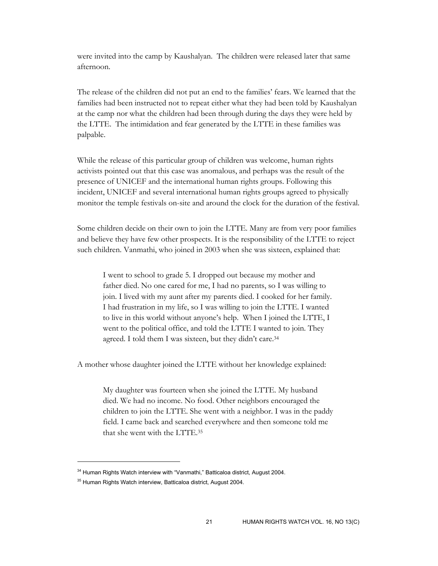were invited into the camp by Kaushalyan. The children were released later that same afternoon.

The release of the children did not put an end to the families' fears. We learned that the families had been instructed not to repeat either what they had been told by Kaushalyan at the camp nor what the children had been through during the days they were held by the LTTE. The intimidation and fear generated by the LTTE in these families was palpable.

While the release of this particular group of children was welcome, human rights activists pointed out that this case was anomalous, and perhaps was the result of the presence of UNICEF and the international human rights groups. Following this incident, UNICEF and several international human rights groups agreed to physically monitor the temple festivals on-site and around the clock for the duration of the festival.

Some children decide on their own to join the LTTE. Many are from very poor families and believe they have few other prospects. It is the responsibility of the LTTE to reject such children. Vanmathi, who joined in 2003 when she was sixteen, explained that:

I went to school to grade 5. I dropped out because my mother and father died. No one cared for me, I had no parents, so I was willing to join. I lived with my aunt after my parents died. I cooked for her family. I had frustration in my life, so I was willing to join the LTTE. I wanted to live in this world without anyone's help. When I joined the LTTE, I went to the political office, and told the LTTE I wanted to join. They agreed. I told them I was sixteen, but they didn't care.34

A mother whose daughter joined the LTTE without her knowledge explained:

My daughter was fourteen when she joined the LTTE. My husband died. We had no income. No food. Other neighbors encouraged the children to join the LTTE. She went with a neighbor. I was in the paddy field. I came back and searched everywhere and then someone told me that she went with the LTTE.35

<sup>&</sup>lt;sup>34</sup> Human Rights Watch interview with "Vanmathi," Batticaloa district, August 2004.

<sup>&</sup>lt;sup>35</sup> Human Rights Watch interview, Batticaloa district, August 2004.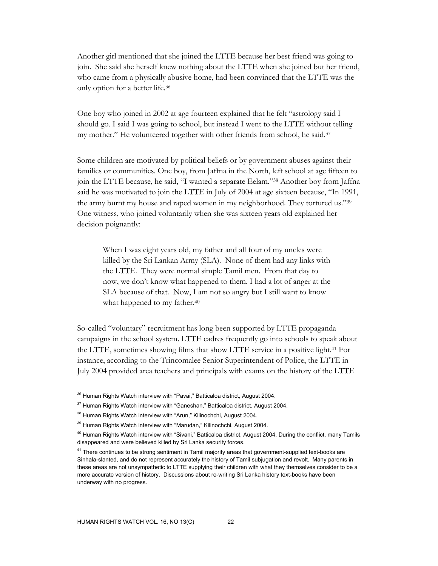Another girl mentioned that she joined the LTTE because her best friend was going to join. She said she herself knew nothing about the LTTE when she joined but her friend, who came from a physically abusive home, had been convinced that the LTTE was the only option for a better life.36

One boy who joined in 2002 at age fourteen explained that he felt "astrology said I should go. I said I was going to school, but instead I went to the LTTE without telling my mother." He volunteered together with other friends from school, he said.<sup>37</sup>

Some children are motivated by political beliefs or by government abuses against their families or communities. One boy, from Jaffna in the North, left school at age fifteen to join the LTTE because, he said, "I wanted a separate Eelam."38 Another boy from Jaffna said he was motivated to join the LTTE in July of 2004 at age sixteen because, "In 1991, the army burnt my house and raped women in my neighborhood. They tortured us."39 One witness, who joined voluntarily when she was sixteen years old explained her decision poignantly:

When I was eight years old, my father and all four of my uncles were killed by the Sri Lankan Army (SLA). None of them had any links with the LTTE. They were normal simple Tamil men. From that day to now, we don't know what happened to them. I had a lot of anger at the SLA because of that. Now, I am not so angry but I still want to know what happened to my father.<sup>40</sup>

So-called "voluntary" recruitment has long been supported by LTTE propaganda campaigns in the school system. LTTE cadres frequently go into schools to speak about the LTTE, sometimes showing films that show LTTE service in a positive light.41 For instance, according to the Trincomalee Senior Superintendent of Police, the LTTE in July 2004 provided area teachers and principals with exams on the history of the LTTE

<sup>&</sup>lt;sup>36</sup> Human Rights Watch interview with "Pavai," Batticaloa district, August 2004.

 $37$  Human Rights Watch interview with "Ganeshan," Batticaloa district, August 2004.

<sup>&</sup>lt;sup>38</sup> Human Rights Watch interview with "Arun," Kilinochchi, August 2004.

 $39$  Human Rights Watch interview with "Marudan," Kilinochchi, August 2004.

<sup>&</sup>lt;sup>40</sup> Human Rights Watch interview with "Sivani," Batticaloa district, August 2004. During the conflict, many Tamils disappeared and were believed killed by Sri Lanka security forces.

<sup>&</sup>lt;sup>41</sup> There continues to be strong sentiment in Tamil majority areas that government-supplied text-books are Sinhala-slanted, and do not represent accurately the history of Tamil subjugation and revolt. Many parents in these areas are not unsympathetic to LTTE supplying their children with what they themselves consider to be a more accurate version of history. Discussions about re-writing Sri Lanka history text-books have been underway with no progress.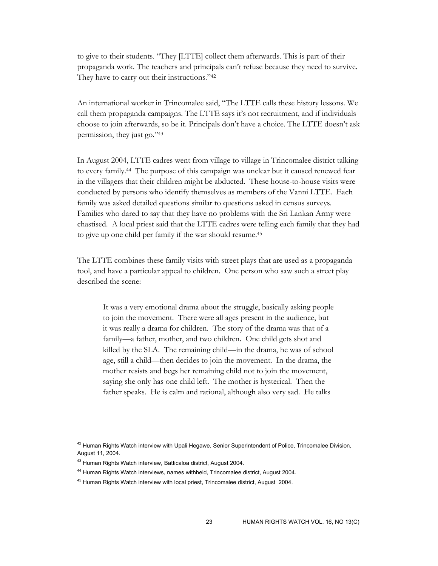to give to their students. "They [LTTE] collect them afterwards. This is part of their propaganda work. The teachers and principals can't refuse because they need to survive. They have to carry out their instructions."<sup>42</sup>

An international worker in Trincomalee said, "The LTTE calls these history lessons. We call them propaganda campaigns. The LTTE says it's not recruitment, and if individuals choose to join afterwards, so be it. Principals don't have a choice. The LTTE doesn't ask permission, they just go."43

In August 2004, LTTE cadres went from village to village in Trincomalee district talking to every family.44 The purpose of this campaign was unclear but it caused renewed fear in the villagers that their children might be abducted. These house-to-house visits were conducted by persons who identify themselves as members of the Vanni LTTE. Each family was asked detailed questions similar to questions asked in census surveys. Families who dared to say that they have no problems with the Sri Lankan Army were chastised. A local priest said that the LTTE cadres were telling each family that they had to give up one child per family if the war should resume.45

The LTTE combines these family visits with street plays that are used as a propaganda tool, and have a particular appeal to children. One person who saw such a street play described the scene:

It was a very emotional drama about the struggle, basically asking people to join the movement. There were all ages present in the audience, but it was really a drama for children. The story of the drama was that of a family—a father, mother, and two children. One child gets shot and killed by the SLA. The remaining child—in the drama, he was of school age, still a child—then decides to join the movement. In the drama, the mother resists and begs her remaining child not to join the movement, saying she only has one child left. The mother is hysterical. Then the father speaks. He is calm and rational, although also very sad. He talks

<sup>&</sup>lt;sup>42</sup> Human Rights Watch interview with Upali Hegawe, Senior Superintendent of Police, Trincomalee Division, August 11, 2004.

<sup>&</sup>lt;sup>43</sup> Human Rights Watch interview, Batticaloa district, August 2004.

<sup>&</sup>lt;sup>44</sup> Human Rights Watch interviews, names withheld, Trincomalee district, August 2004.

<sup>45</sup> Human Rights Watch interview with local priest, Trincomalee district, August 2004.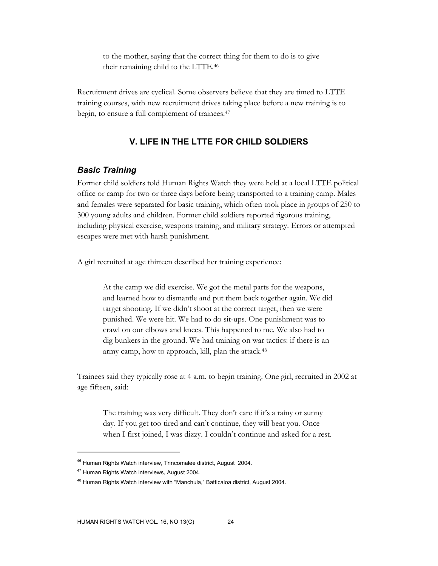to the mother, saying that the correct thing for them to do is to give their remaining child to the LTTE.46

Recruitment drives are cyclical. Some observers believe that they are timed to LTTE training courses, with new recruitment drives taking place before a new training is to begin, to ensure a full complement of trainees.47

### **V. LIFE IN THE LTTE FOR CHILD SOLDIERS**

### *Basic Training*

Former child soldiers told Human Rights Watch they were held at a local LTTE political office or camp for two or three days before being transported to a training camp. Males and females were separated for basic training, which often took place in groups of 250 to 300 young adults and children. Former child soldiers reported rigorous training, including physical exercise, weapons training, and military strategy. Errors or attempted escapes were met with harsh punishment.

A girl recruited at age thirteen described her training experience:

At the camp we did exercise. We got the metal parts for the weapons, and learned how to dismantle and put them back together again. We did target shooting. If we didn't shoot at the correct target, then we were punished. We were hit. We had to do sit-ups. One punishment was to crawl on our elbows and knees. This happened to me. We also had to dig bunkers in the ground. We had training on war tactics: if there is an army camp, how to approach, kill, plan the attack.<sup>48</sup>

Trainees said they typically rose at 4 a.m. to begin training. One girl, recruited in 2002 at age fifteen, said:

The training was very difficult. They don't care if it's a rainy or sunny day. If you get too tired and can't continue, they will beat you. Once when I first joined, I was dizzy. I couldn't continue and asked for a rest.

 $\overline{a}$ 

<sup>46</sup> Human Rights Watch interview, Trincomalee district, August 2004.

<sup>47</sup> Human Rights Watch interviews, August 2004.

<sup>48</sup> Human Rights Watch interview with "Manchula," Batticaloa district, August 2004.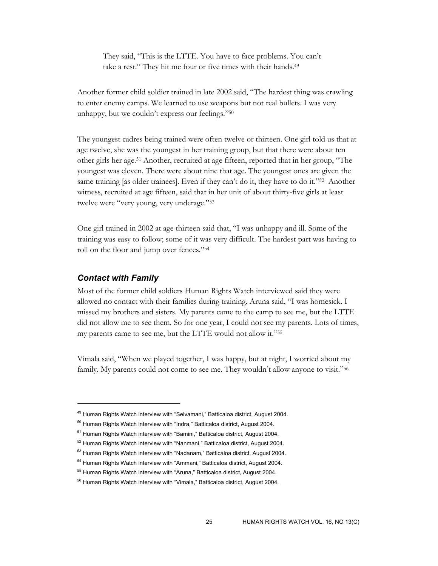They said, "This is the LTTE. You have to face problems. You can't take a rest." They hit me four or five times with their hands.49

Another former child soldier trained in late 2002 said, "The hardest thing was crawling to enter enemy camps. We learned to use weapons but not real bullets. I was very unhappy, but we couldn't express our feelings."50

The youngest cadres being trained were often twelve or thirteen. One girl told us that at age twelve, she was the youngest in her training group, but that there were about ten other girls her age.51 Another, recruited at age fifteen, reported that in her group, "The youngest was eleven. There were about nine that age. The youngest ones are given the same training [as older trainees]. Even if they can't do it, they have to do it."<sup>52</sup> Another witness, recruited at age fifteen, said that in her unit of about thirty-five girls at least twelve were "very young, very underage."53

One girl trained in 2002 at age thirteen said that, "I was unhappy and ill. Some of the training was easy to follow; some of it was very difficult. The hardest part was having to roll on the floor and jump over fences."54

#### *Contact with Family*

 $\overline{a}$ 

Most of the former child soldiers Human Rights Watch interviewed said they were allowed no contact with their families during training. Aruna said, "I was homesick. I missed my brothers and sisters. My parents came to the camp to see me, but the LTTE did not allow me to see them. So for one year, I could not see my parents. Lots of times, my parents came to see me, but the LTTE would not allow it."55

Vimala said, "When we played together, I was happy, but at night, I worried about my family. My parents could not come to see me. They wouldn't allow anyone to visit."<sup>56</sup>

<sup>&</sup>lt;sup>49</sup> Human Rights Watch interview with "Selvamani," Batticaloa district, August 2004.

<sup>&</sup>lt;sup>50</sup> Human Rights Watch interview with "Indra," Batticaloa district, August 2004.

<sup>51</sup> Human Rights Watch interview with "Bamini," Batticaloa district, August 2004.

 $52$  Human Rights Watch interview with "Nanmani," Batticaloa district, August 2004.

<sup>&</sup>lt;sup>53</sup> Human Rights Watch interview with "Nadanam," Batticaloa district, August 2004.

<sup>&</sup>lt;sup>54</sup> Human Rights Watch interview with "Ammani," Batticaloa district, August 2004.

<sup>&</sup>lt;sup>55</sup> Human Rights Watch interview with "Aruna," Batticaloa district, August 2004.

<sup>&</sup>lt;sup>56</sup> Human Rights Watch interview with "Vimala," Batticaloa district, August 2004.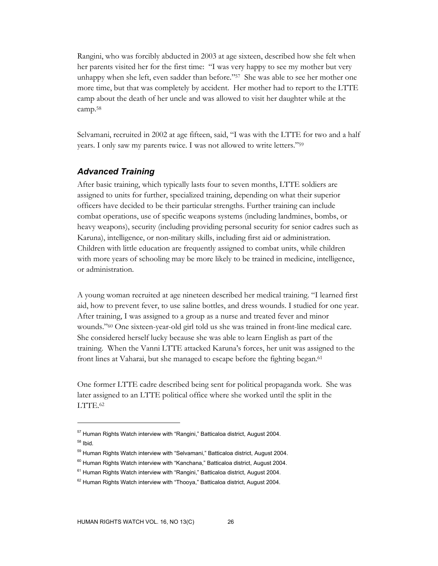Rangini, who was forcibly abducted in 2003 at age sixteen, described how she felt when her parents visited her for the first time: "I was very happy to see my mother but very unhappy when she left, even sadder than before."57 She was able to see her mother one more time, but that was completely by accident. Her mother had to report to the LTTE camp about the death of her uncle and was allowed to visit her daughter while at the camp.58

Selvamani, recruited in 2002 at age fifteen, said, "I was with the LTTE for two and a half years. I only saw my parents twice. I was not allowed to write letters."59

### *Advanced Training*

After basic training, which typically lasts four to seven months, LTTE soldiers are assigned to units for further, specialized training, depending on what their superior officers have decided to be their particular strengths. Further training can include combat operations, use of specific weapons systems (including landmines, bombs, or heavy weapons), security (including providing personal security for senior cadres such as Karuna), intelligence, or non-military skills, including first aid or administration. Children with little education are frequently assigned to combat units, while children with more years of schooling may be more likely to be trained in medicine, intelligence, or administration.

A young woman recruited at age nineteen described her medical training. "I learned first aid, how to prevent fever, to use saline bottles, and dress wounds. I studied for one year. After training, I was assigned to a group as a nurse and treated fever and minor wounds."60 One sixteen-year-old girl told us she was trained in front-line medical care. She considered herself lucky because she was able to learn English as part of the training. When the Vanni LTTE attacked Karuna's forces, her unit was assigned to the front lines at Vaharai, but she managed to escape before the fighting began.<sup>61</sup>

One former LTTE cadre described being sent for political propaganda work. She was later assigned to an LTTE political office where she worked until the split in the LTTE.<sup>62</sup>

 $57$  Human Rights Watch interview with "Rangini," Batticaloa district, August 2004. 58 Ibid*.*

<sup>&</sup>lt;sup>59</sup> Human Rights Watch interview with "Selvamani," Batticaloa district, August 2004.

 $60$  Human Rights Watch interview with "Kanchana," Batticaloa district, August 2004.

 $61$  Human Rights Watch interview with "Rangini," Batticaloa district, August 2004.

 $62$  Human Rights Watch interview with "Thooya," Batticaloa district, August 2004.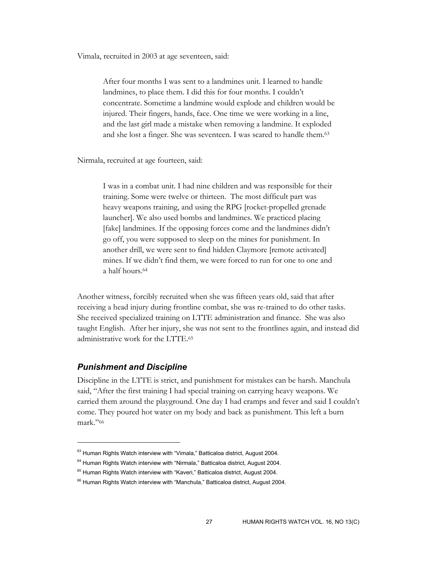Vimala, recruited in 2003 at age seventeen, said:

After four months I was sent to a landmines unit. I learned to handle landmines, to place them. I did this for four months. I couldn't concentrate. Sometime a landmine would explode and children would be injured. Their fingers, hands, face. One time we were working in a line, and the last girl made a mistake when removing a landmine. It exploded and she lost a finger. She was seventeen. I was scared to handle them.63

Nirmala, recruited at age fourteen, said:

I was in a combat unit. I had nine children and was responsible for their training. Some were twelve or thirteen. The most difficult part was heavy weapons training, and using the RPG [rocket-propelled grenade launcher]. We also used bombs and landmines. We practiced placing [fake] landmines. If the opposing forces come and the landmines didn't go off, you were supposed to sleep on the mines for punishment. In another drill, we were sent to find hidden Claymore [remote activated] mines. If we didn't find them, we were forced to run for one to one and a half hours.64

Another witness, forcibly recruited when she was fifteen years old, said that after receiving a head injury during frontline combat, she was re-trained to do other tasks. She received specialized training on LTTE administration and finance. She was also taught English. After her injury, she was not sent to the frontlines again, and instead did administrative work for the LTTE.65

#### *Punishment and Discipline*

 $\overline{a}$ 

Discipline in the LTTE is strict, and punishment for mistakes can be harsh. Manchula said, "After the first training I had special training on carrying heavy weapons. We carried them around the playground. One day I had cramps and fever and said I couldn't come. They poured hot water on my body and back as punishment. This left a burn mark."66

 $63$  Human Rights Watch interview with "Vimala," Batticaloa district, August 2004.

 $64$  Human Rights Watch interview with "Nirmala," Batticaloa district, August 2004.

<sup>&</sup>lt;sup>65</sup> Human Rights Watch interview with "Kaveri," Batticaloa district, August 2004.

 $66$  Human Rights Watch interview with "Manchula," Batticaloa district, August 2004.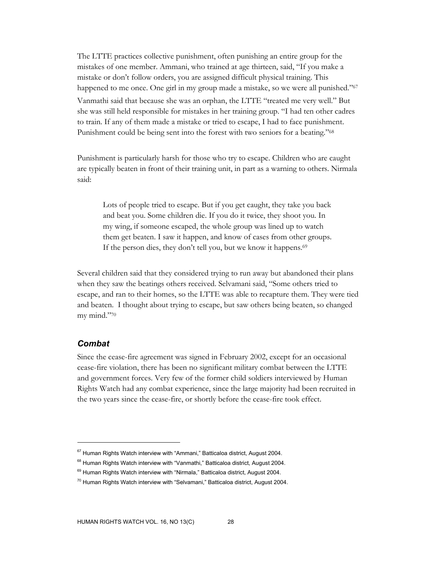The LTTE practices collective punishment, often punishing an entire group for the mistakes of one member. Ammani, who trained at age thirteen, said, "If you make a mistake or don't follow orders, you are assigned difficult physical training. This happened to me once. One girl in my group made a mistake, so we were all punished."<sup>67</sup> Vanmathi said that because she was an orphan, the LTTE "treated me very well." But she was still held responsible for mistakes in her training group. "I had ten other cadres to train. If any of them made a mistake or tried to escape, I had to face punishment. Punishment could be being sent into the forest with two seniors for a beating."68

Punishment is particularly harsh for those who try to escape. Children who are caught are typically beaten in front of their training unit, in part as a warning to others. Nirmala said:

Lots of people tried to escape. But if you get caught, they take you back and beat you. Some children die. If you do it twice, they shoot you. In my wing, if someone escaped, the whole group was lined up to watch them get beaten. I saw it happen, and know of cases from other groups. If the person dies, they don't tell you, but we know it happens.<sup>69</sup>

Several children said that they considered trying to run away but abandoned their plans when they saw the beatings others received. Selvamani said, "Some others tried to escape, and ran to their homes, so the LTTE was able to recapture them. They were tied and beaten. I thought about trying to escape, but saw others being beaten, so changed my mind."70

#### *Combat*

 $\overline{a}$ 

Since the cease-fire agreement was signed in February 2002, except for an occasional cease-fire violation, there has been no significant military combat between the LTTE and government forces. Very few of the former child soldiers interviewed by Human Rights Watch had any combat experience, since the large majority had been recruited in the two years since the cease-fire, or shortly before the cease-fire took effect.

 $67$  Human Rights Watch interview with "Ammani," Batticaloa district, August 2004.

 $68$  Human Rights Watch interview with "Vanmathi," Batticaloa district, August 2004.

 $69$  Human Rights Watch interview with "Nirmala," Batticaloa district, August 2004.

 $70$  Human Rights Watch interview with "Selvamani," Batticaloa district, August 2004.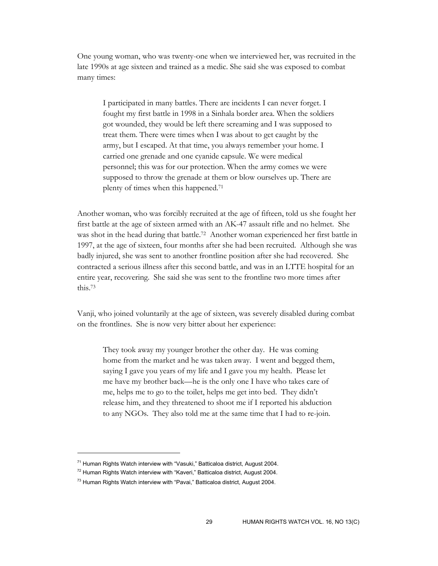One young woman, who was twenty-one when we interviewed her, was recruited in the late 1990s at age sixteen and trained as a medic. She said she was exposed to combat many times:

I participated in many battles. There are incidents I can never forget. I fought my first battle in 1998 in a Sinhala border area. When the soldiers got wounded, they would be left there screaming and I was supposed to treat them. There were times when I was about to get caught by the army, but I escaped. At that time, you always remember your home. I carried one grenade and one cyanide capsule. We were medical personnel; this was for our protection. When the army comes we were supposed to throw the grenade at them or blow ourselves up. There are plenty of times when this happened.71

Another woman, who was forcibly recruited at the age of fifteen, told us she fought her first battle at the age of sixteen armed with an AK-47 assault rifle and no helmet. She was shot in the head during that battle.72 Another woman experienced her first battle in 1997, at the age of sixteen, four months after she had been recruited. Although she was badly injured, she was sent to another frontline position after she had recovered. She contracted a serious illness after this second battle, and was in an LTTE hospital for an entire year, recovering. She said she was sent to the frontline two more times after this.73

Vanji, who joined voluntarily at the age of sixteen, was severely disabled during combat on the frontlines. She is now very bitter about her experience:

They took away my younger brother the other day. He was coming home from the market and he was taken away. I went and begged them, saying I gave you years of my life and I gave you my health. Please let me have my brother back—he is the only one I have who takes care of me, helps me to go to the toilet, helps me get into bed. They didn't release him, and they threatened to shoot me if I reported his abduction to any NGOs. They also told me at the same time that I had to re-join.

<sup>71</sup> Human Rights Watch interview with "Vasuki," Batticaloa district, August 2004.

 $72$  Human Rights Watch interview with "Kaveri," Batticaloa district, August 2004.

 $73$  Human Rights Watch interview with "Pavai," Batticaloa district, August 2004.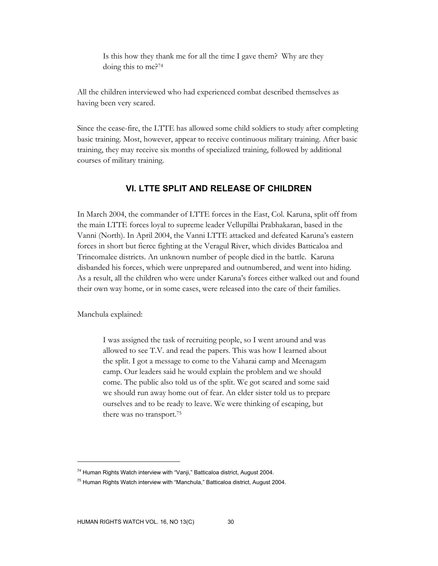Is this how they thank me for all the time I gave them? Why are they doing this to me?74

All the children interviewed who had experienced combat described themselves as having been very scared.

Since the cease-fire, the LTTE has allowed some child soldiers to study after completing basic training. Most, however, appear to receive continuous military training. After basic training, they may receive six months of specialized training, followed by additional courses of military training.

### **VI. LTTE SPLIT AND RELEASE OF CHILDREN**

In March 2004, the commander of LTTE forces in the East, Col. Karuna, split off from the main LTTE forces loyal to supreme leader Vellupillai Prabhakaran, based in the Vanni (North). In April 2004, the Vanni LTTE attacked and defeated Karuna's eastern forces in short but fierce fighting at the Veragul River, which divides Batticaloa and Trincomalee districts. An unknown number of people died in the battle. Karuna disbanded his forces, which were unprepared and outnumbered, and went into hiding. As a result, all the children who were under Karuna's forces either walked out and found their own way home, or in some cases, were released into the care of their families.

Manchula explained:

-

I was assigned the task of recruiting people, so I went around and was allowed to see T.V. and read the papers. This was how I learned about the split. I got a message to come to the Vaharai camp and Meenagam camp. Our leaders said he would explain the problem and we should come. The public also told us of the split. We got scared and some said we should run away home out of fear. An elder sister told us to prepare ourselves and to be ready to leave. We were thinking of escaping, but there was no transport.75

 $74$  Human Rights Watch interview with "Vanji," Batticaloa district, August 2004.

 $75$  Human Rights Watch interview with "Manchula," Batticaloa district, August 2004.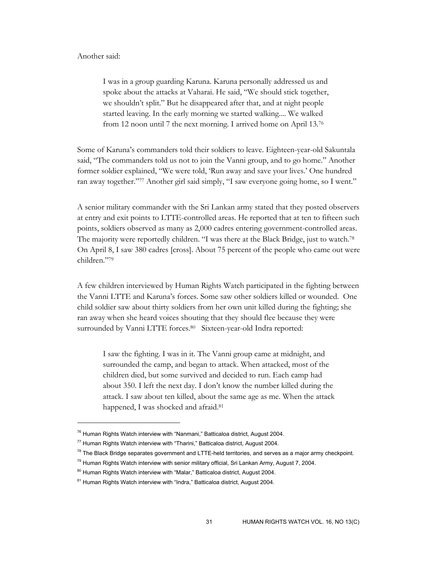#### Another said:

 $\overline{a}$ 

I was in a group guarding Karuna. Karuna personally addressed us and spoke about the attacks at Vaharai. He said, "We should stick together, we shouldn't split." But he disappeared after that, and at night people started leaving. In the early morning we started walking.... We walked from 12 noon until 7 the next morning. I arrived home on April 13.76

Some of Karuna's commanders told their soldiers to leave. Eighteen-year-old Sakuntala said, "The commanders told us not to join the Vanni group, and to go home." Another former soldier explained, "We were told, 'Run away and save your lives.' One hundred ran away together."77 Another girl said simply, "I saw everyone going home, so I went."

A senior military commander with the Sri Lankan army stated that they posted observers at entry and exit points to LTTE-controlled areas. He reported that at ten to fifteen such points, soldiers observed as many as 2,000 cadres entering government-controlled areas. The majority were reportedly children. "I was there at the Black Bridge, just to watch.78 On April 8, I saw 380 cadres [cross]. About 75 percent of the people who came out were children."79

A few children interviewed by Human Rights Watch participated in the fighting between the Vanni LTTE and Karuna's forces. Some saw other soldiers killed or wounded. One child soldier saw about thirty soldiers from her own unit killed during the fighting; she ran away when she heard voices shouting that they should flee because they were surrounded by Vanni LTTE forces.<sup>80</sup> Sixteen-year-old Indra reported:

I saw the fighting. I was in it. The Vanni group came at midnight, and surrounded the camp, and began to attack. When attacked, most of the children died, but some survived and decided to run. Each camp had about 350. I left the next day. I don't know the number killed during the attack. I saw about ten killed, about the same age as me. When the attack happened, I was shocked and afraid.<sup>81</sup>

<sup>&</sup>lt;sup>76</sup> Human Rights Watch interview with "Nanmani," Batticaloa district, August 2004.

 $77$  Human Rights Watch interview with "Tharini," Batticaloa district, August 2004.

 $78$  The Black Bridge separates government and LTTE-held territories, and serves as a major army checkpoint.

 $79$  Human Rights Watch interview with senior military official, Sri Lankan Army, August 7, 2004.

<sup>80</sup> Human Rights Watch interview with "Malar," Batticaloa district, August 2004.

 $81$  Human Rights Watch interview with "Indra," Batticaloa district, August 2004.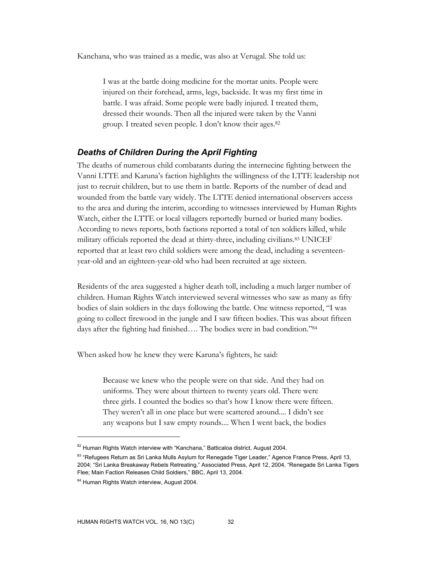Kanchana, who was trained as a medic, was also at Verugal. She told us:

I was at the battle doing medicine for the mortar units. People were injured on their forehead, arms, legs, backside. It was my first time in battle. I was afraid. Some people were badly injured. I treated them, dressed their wounds. Then all the injured were taken by the Vanni group. I treated seven people. I don't know their ages.82

### *Deaths of Children During the April Fighting*

The deaths of numerous child combatants during the internecine fighting between the Vanni LTTE and Karuna's faction highlights the willingness of the LTTE leadership not just to recruit children, but to use them in battle. Reports of the number of dead and wounded from the battle vary widely. The LTTE denied international observers access to the area and during the interim, according to witnesses interviewed by Human Rights Watch, either the LTTE or local villagers reportedly burned or buried many bodies. According to news reports, both factions reported a total of ten soldiers killed, while military officials reported the dead at thirty-three, including civilians.83 UNICEF reported that at least two child soldiers were among the dead, including a seventeenyear-old and an eighteen-year-old who had been recruited at age sixteen.

Residents of the area suggested a higher death toll, including a much larger number of children. Human Rights Watch interviewed several witnesses who saw as many as fifty bodies of slain soldiers in the days following the battle. One witness reported, "I was going to collect firewood in the jungle and I saw fifteen bodies. This was about fifteen days after the fighting had finished…. The bodies were in bad condition."84

When asked how he knew they were Karuna's fighters, he said:

Because we knew who the people were on that side. And they had on uniforms. They were about thirteen to twenty years old. There were three girls. I counted the bodies so that's how I know there were fifteen. They weren't all in one place but were scattered around.... I didn't see any weapons but I saw empty rounds.... When I went back, the bodies

 $\overline{a}$ 

<sup>&</sup>lt;sup>82</sup> Human Rights Watch interview with "Kanchana," Batticaloa district, August 2004.

<sup>&</sup>lt;sup>83</sup> "Refugees Return as Sri Lanka Mulls Asylum for Renegade Tiger Leader," Agence France Press, April 13, 2004; "Sri Lanka Breakaway Rebels Retreating," Associated Press, April 12, 2004, "Renegade Sri Lanka Tigers Flee; Main Faction Releases Child Soldiers," BBC, April 13, 2004.

<sup>&</sup>lt;sup>84</sup> Human Rights Watch interview, August 2004.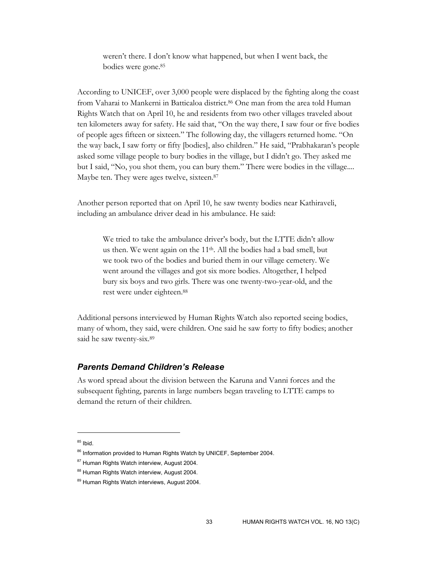weren't there. I don't know what happened, but when I went back, the bodies were gone.85

According to UNICEF, over 3,000 people were displaced by the fighting along the coast from Vaharai to Mankerni in Batticaloa district.86 One man from the area told Human Rights Watch that on April 10, he and residents from two other villages traveled about ten kilometers away for safety. He said that, "On the way there, I saw four or five bodies of people ages fifteen or sixteen." The following day, the villagers returned home. "On the way back, I saw forty or fifty [bodies], also children." He said, "Prabhakaran's people asked some village people to bury bodies in the village, but I didn't go. They asked me but I said, "No, you shot them, you can bury them." There were bodies in the village.... Maybe ten. They were ages twelve, sixteen.<sup>87</sup>

Another person reported that on April 10, he saw twenty bodies near Kathiraveli, including an ambulance driver dead in his ambulance. He said:

We tried to take the ambulance driver's body, but the LTTE didn't allow us then. We went again on the 11th. All the bodies had a bad smell, but we took two of the bodies and buried them in our village cemetery. We went around the villages and got six more bodies. Altogether, I helped bury six boys and two girls. There was one twenty-two-year-old, and the rest were under eighteen.88

Additional persons interviewed by Human Rights Watch also reported seeing bodies, many of whom, they said, were children. One said he saw forty to fifty bodies; another said he saw twenty-six.<sup>89</sup>

### *Parents Demand Children's Release*

As word spread about the division between the Karuna and Vanni forces and the subsequent fighting, parents in large numbers began traveling to LTTE camps to demand the return of their children.

 $85$  Ibid.

<sup>86</sup> Information provided to Human Rights Watch by UNICEF, September 2004.

<sup>&</sup>lt;sup>87</sup> Human Rights Watch interview, August 2004.

<sup>88</sup> Human Rights Watch interview, August 2004.

<sup>89</sup> Human Rights Watch interviews, August 2004.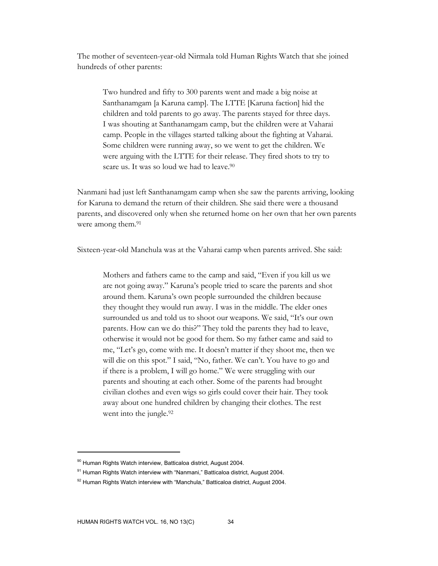The mother of seventeen-year-old Nirmala told Human Rights Watch that she joined hundreds of other parents:

Two hundred and fifty to 300 parents went and made a big noise at Santhanamgam [a Karuna camp]. The LTTE [Karuna faction] hid the children and told parents to go away. The parents stayed for three days. I was shouting at Santhanamgam camp, but the children were at Vaharai camp. People in the villages started talking about the fighting at Vaharai. Some children were running away, so we went to get the children. We were arguing with the LTTE for their release. They fired shots to try to scare us. It was so loud we had to leave.<sup>90</sup>

Nanmani had just left Santhanamgam camp when she saw the parents arriving, looking for Karuna to demand the return of their children. She said there were a thousand parents, and discovered only when she returned home on her own that her own parents were among them.<sup>91</sup>

Sixteen-year-old Manchula was at the Vaharai camp when parents arrived. She said:

Mothers and fathers came to the camp and said, "Even if you kill us we are not going away." Karuna's people tried to scare the parents and shot around them. Karuna's own people surrounded the children because they thought they would run away. I was in the middle. The elder ones surrounded us and told us to shoot our weapons. We said, "It's our own parents. How can we do this?" They told the parents they had to leave, otherwise it would not be good for them. So my father came and said to me, "Let's go, come with me. It doesn't matter if they shoot me, then we will die on this spot." I said, "No, father. We can't. You have to go and if there is a problem, I will go home." We were struggling with our parents and shouting at each other. Some of the parents had brought civilian clothes and even wigs so girls could cover their hair. They took away about one hundred children by changing their clothes. The rest went into the jungle.<sup>92</sup>

<sup>&</sup>lt;sup>90</sup> Human Rights Watch interview, Batticaloa district, August 2004.

<sup>91</sup> Human Rights Watch interview with "Nanmani," Batticaloa district, August 2004.

 $92$  Human Rights Watch interview with "Manchula," Batticaloa district, August 2004.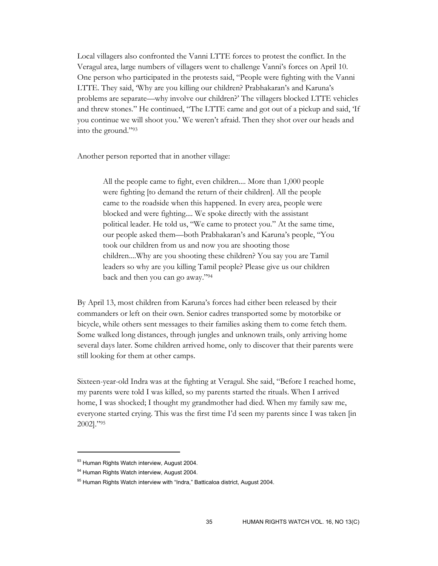Local villagers also confronted the Vanni LTTE forces to protest the conflict. In the Veragul area, large numbers of villagers went to challenge Vanni's forces on April 10. One person who participated in the protests said, "People were fighting with the Vanni LTTE. They said, 'Why are you killing our children? Prabhakaran's and Karuna's problems are separate—why involve our children?' The villagers blocked LTTE vehicles and threw stones." He continued, "The LTTE came and got out of a pickup and said, 'If you continue we will shoot you.' We weren't afraid. Then they shot over our heads and into the ground."93

Another person reported that in another village:

All the people came to fight, even children.... More than 1,000 people were fighting [to demand the return of their children]. All the people came to the roadside when this happened. In every area, people were blocked and were fighting.... We spoke directly with the assistant political leader. He told us, "We came to protect you." At the same time, our people asked them—both Prabhakaran's and Karuna's people, "You took our children from us and now you are shooting those children....Why are you shooting these children? You say you are Tamil leaders so why are you killing Tamil people? Please give us our children back and then you can go away."94

By April 13, most children from Karuna's forces had either been released by their commanders or left on their own. Senior cadres transported some by motorbike or bicycle, while others sent messages to their families asking them to come fetch them. Some walked long distances, through jungles and unknown trails, only arriving home several days later. Some children arrived home, only to discover that their parents were still looking for them at other camps.

Sixteen-year-old Indra was at the fighting at Veragul. She said, "Before I reached home, my parents were told I was killed, so my parents started the rituals. When I arrived home, I was shocked; I thought my grandmother had died. When my family saw me, everyone started crying. This was the first time I'd seen my parents since I was taken [in 2002]."95

<sup>93</sup> Human Rights Watch interview, August 2004.

<sup>94</sup> Human Rights Watch interview, August 2004.

<sup>95</sup> Human Rights Watch interview with "Indra," Batticaloa district, August 2004.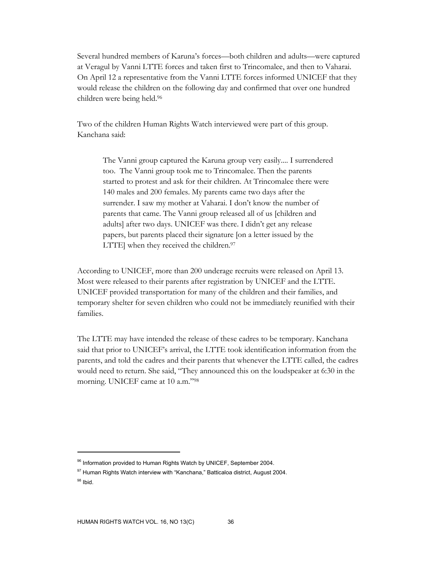Several hundred members of Karuna's forces—both children and adults—were captured at Veragul by Vanni LTTE forces and taken first to Trincomalee, and then to Vaharai. On April 12 a representative from the Vanni LTTE forces informed UNICEF that they would release the children on the following day and confirmed that over one hundred children were being held.96

Two of the children Human Rights Watch interviewed were part of this group. Kanchana said:

> The Vanni group captured the Karuna group very easily.... I surrendered too. The Vanni group took me to Trincomalee. Then the parents started to protest and ask for their children. At Trincomalee there were 140 males and 200 females. My parents came two days after the surrender. I saw my mother at Vaharai. I don't know the number of parents that came. The Vanni group released all of us [children and adults] after two days. UNICEF was there. I didn't get any release papers, but parents placed their signature [on a letter issued by the LTTE] when they received the children.<sup>97</sup>

According to UNICEF, more than 200 underage recruits were released on April 13. Most were released to their parents after registration by UNICEF and the LTTE. UNICEF provided transportation for many of the children and their families, and temporary shelter for seven children who could not be immediately reunified with their families.

The LTTE may have intended the release of these cadres to be temporary. Kanchana said that prior to UNICEF's arrival, the LTTE took identification information from the parents, and told the cadres and their parents that whenever the LTTE called, the cadres would need to return. She said, "They announced this on the loudspeaker at 6:30 in the morning. UNICEF came at 10 a.m."98

<sup>96</sup> Information provided to Human Rights Watch by UNICEF, September 2004.

 $97$  Human Rights Watch interview with "Kanchana," Batticaloa district, August 2004. 98 Ibid.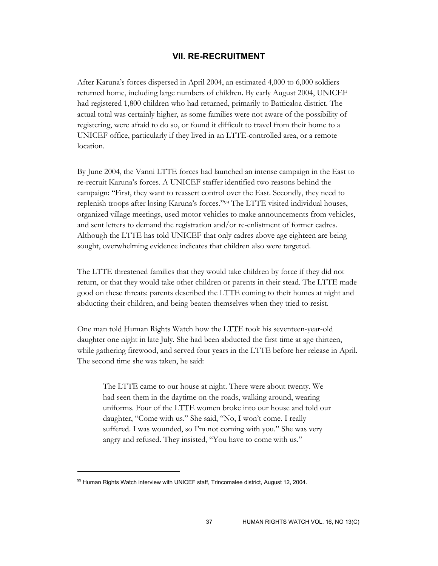### **VII. RE-RECRUITMENT**

After Karuna's forces dispersed in April 2004, an estimated 4,000 to 6,000 soldiers returned home, including large numbers of children. By early August 2004, UNICEF had registered 1,800 children who had returned, primarily to Batticaloa district. The actual total was certainly higher, as some families were not aware of the possibility of registering, were afraid to do so, or found it difficult to travel from their home to a UNICEF office, particularly if they lived in an LTTE-controlled area, or a remote location.

By June 2004, the Vanni LTTE forces had launched an intense campaign in the East to re-recruit Karuna's forces. A UNICEF staffer identified two reasons behind the campaign: "First, they want to reassert control over the East. Secondly, they need to replenish troops after losing Karuna's forces."99 The LTTE visited individual houses, organized village meetings, used motor vehicles to make announcements from vehicles, and sent letters to demand the registration and/or re-enlistment of former cadres. Although the LTTE has told UNICEF that only cadres above age eighteen are being sought, overwhelming evidence indicates that children also were targeted.

The LTTE threatened families that they would take children by force if they did not return, or that they would take other children or parents in their stead. The LTTE made good on these threats: parents described the LTTE coming to their homes at night and abducting their children, and being beaten themselves when they tried to resist.

One man told Human Rights Watch how the LTTE took his seventeen-year-old daughter one night in late July. She had been abducted the first time at age thirteen, while gathering firewood, and served four years in the LTTE before her release in April. The second time she was taken, he said:

The LTTE came to our house at night. There were about twenty. We had seen them in the daytime on the roads, walking around, wearing uniforms. Four of the LTTE women broke into our house and told our daughter, "Come with us." She said, "No, I won't come. I really suffered. I was wounded, so I'm not coming with you." She was very angry and refused. They insisted, "You have to come with us."

<sup>99</sup> Human Rights Watch interview with UNICEF staff, Trincomalee district, August 12, 2004.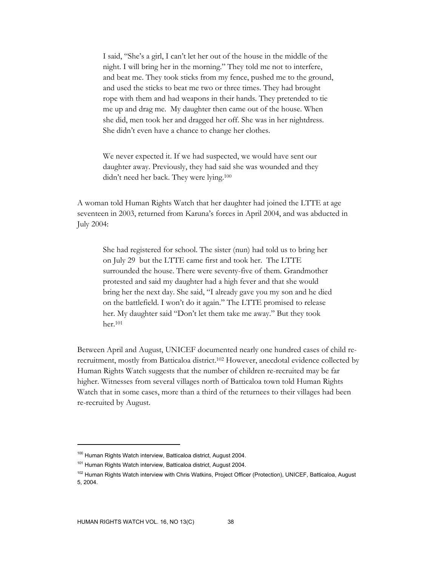I said, "She's a girl, I can't let her out of the house in the middle of the night. I will bring her in the morning." They told me not to interfere, and beat me. They took sticks from my fence, pushed me to the ground, and used the sticks to beat me two or three times. They had brought rope with them and had weapons in their hands. They pretended to tie me up and drag me. My daughter then came out of the house. When she did, men took her and dragged her off. She was in her nightdress. She didn't even have a chance to change her clothes.

We never expected it. If we had suspected, we would have sent our daughter away. Previously, they had said she was wounded and they didn't need her back. They were lying.100

A woman told Human Rights Watch that her daughter had joined the LTTE at age seventeen in 2003, returned from Karuna's forces in April 2004, and was abducted in July 2004:

She had registered for school. The sister (nun) had told us to bring her on July 29 but the LTTE came first and took her. The LTTE surrounded the house. There were seventy-five of them. Grandmother protested and said my daughter had a high fever and that she would bring her the next day. She said, "I already gave you my son and he died on the battlefield. I won't do it again." The LTTE promised to release her. My daughter said "Don't let them take me away." But they took her.101

Between April and August, UNICEF documented nearly one hundred cases of child rerecruitment, mostly from Batticaloa district.102 However, anecdotal evidence collected by Human Rights Watch suggests that the number of children re-recruited may be far higher. Witnesses from several villages north of Batticaloa town told Human Rights Watch that in some cases, more than a third of the returnees to their villages had been re-recruited by August.

<sup>&</sup>lt;sup>100</sup> Human Rights Watch interview, Batticaloa district, August 2004.

<sup>&</sup>lt;sup>101</sup> Human Rights Watch interview, Batticaloa district, August 2004.

<sup>&</sup>lt;sup>102</sup> Human Rights Watch interview with Chris Watkins, Project Officer (Protection), UNICEF, Batticaloa, August 5, 2004.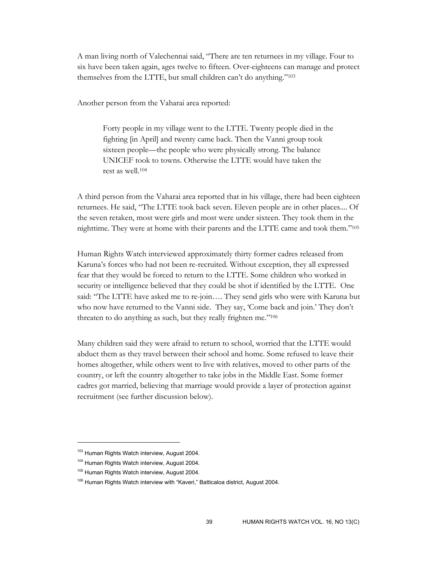A man living north of Valechennai said, "There are ten returnees in my village. Four to six have been taken again, ages twelve to fifteen. Over-eighteens can manage and protect themselves from the LTTE, but small children can't do anything."103

Another person from the Vaharai area reported:

Forty people in my village went to the LTTE. Twenty people died in the fighting [in April] and twenty came back. Then the Vanni group took sixteen people—the people who were physically strong. The balance UNICEF took to towns. Otherwise the LTTE would have taken the rest as well.104

A third person from the Vaharai area reported that in his village, there had been eighteen returnees. He said, "The LTTE took back seven. Eleven people are in other places.... Of the seven retaken, most were girls and most were under sixteen. They took them in the nighttime. They were at home with their parents and the LTTE came and took them."105

Human Rights Watch interviewed approximately thirty former cadres released from Karuna's forces who had not been re-recruited. Without exception, they all expressed fear that they would be forced to return to the LTTE. Some children who worked in security or intelligence believed that they could be shot if identified by the LTTE. One said: "The LTTE have asked me to re-join…. They send girls who were with Karuna but who now have returned to the Vanni side. They say, 'Come back and join.' They don't threaten to do anything as such, but they really frighten me."106

Many children said they were afraid to return to school, worried that the LTTE would abduct them as they travel between their school and home. Some refused to leave their homes altogether, while others went to live with relatives, moved to other parts of the country, or left the country altogether to take jobs in the Middle East. Some former cadres got married, believing that marriage would provide a layer of protection against recruitment (see further discussion below).

<sup>&</sup>lt;sup>103</sup> Human Rights Watch interview, August 2004.

<sup>&</sup>lt;sup>104</sup> Human Rights Watch interview, August 2004.

<sup>&</sup>lt;sup>105</sup> Human Rights Watch interview, August 2004.

 $106$  Human Rights Watch interview with "Kaveri," Batticaloa district, August 2004.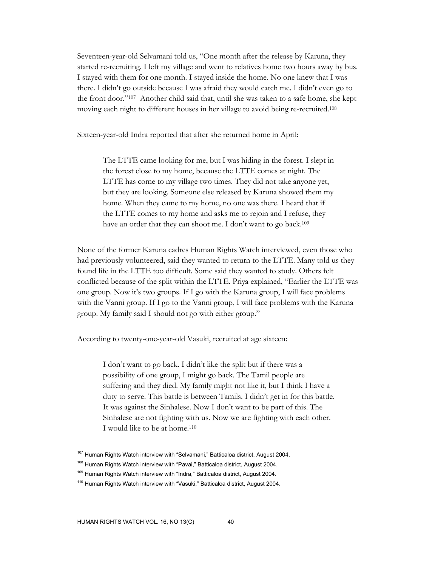Seventeen-year-old Selvamani told us, "One month after the release by Karuna, they started re-recruiting. I left my village and went to relatives home two hours away by bus. I stayed with them for one month. I stayed inside the home. No one knew that I was there. I didn't go outside because I was afraid they would catch me. I didn't even go to the front door."107 Another child said that, until she was taken to a safe home, she kept moving each night to different houses in her village to avoid being re-recruited.108

Sixteen-year-old Indra reported that after she returned home in April:

The LTTE came looking for me, but I was hiding in the forest. I slept in the forest close to my home, because the LTTE comes at night. The LTTE has come to my village two times. They did not take anyone yet, but they are looking. Someone else released by Karuna showed them my home. When they came to my home, no one was there. I heard that if the LTTE comes to my home and asks me to rejoin and I refuse, they have an order that they can shoot me. I don't want to go back.<sup>109</sup>

None of the former Karuna cadres Human Rights Watch interviewed, even those who had previously volunteered, said they wanted to return to the LTTE. Many told us they found life in the LTTE too difficult. Some said they wanted to study. Others felt conflicted because of the split within the LTTE. Priya explained, "Earlier the LTTE was one group. Now it's two groups. If I go with the Karuna group, I will face problems with the Vanni group. If I go to the Vanni group, I will face problems with the Karuna group. My family said I should not go with either group."

According to twenty-one-year-old Vasuki, recruited at age sixteen:

I don't want to go back. I didn't like the split but if there was a possibility of one group, I might go back. The Tamil people are suffering and they died. My family might not like it, but I think I have a duty to serve. This battle is between Tamils. I didn't get in for this battle. It was against the Sinhalese. Now I don't want to be part of this. The Sinhalese are not fighting with us. Now we are fighting with each other. I would like to be at home.110

<sup>&</sup>lt;sup>107</sup> Human Rights Watch interview with "Selvamani," Batticaloa district, August 2004.

<sup>&</sup>lt;sup>108</sup> Human Rights Watch interview with "Pavai," Batticaloa district, August 2004.

<sup>&</sup>lt;sup>109</sup> Human Rights Watch interview with "Indra," Batticaloa district, August 2004.

<sup>&</sup>lt;sup>110</sup> Human Rights Watch interview with "Vasuki," Batticaloa district, August 2004.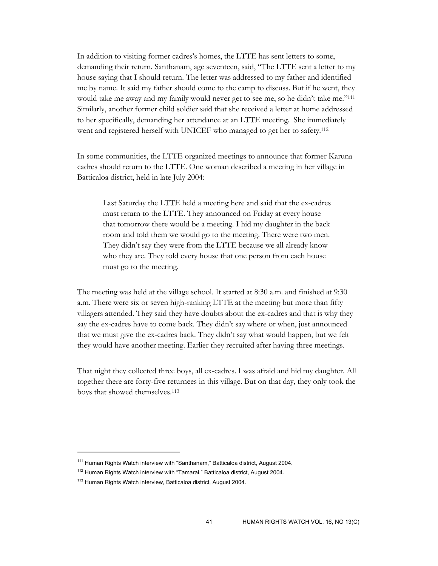In addition to visiting former cadres's homes, the LTTE has sent letters to some, demanding their return. Santhanam, age seventeen, said, "The LTTE sent a letter to my house saying that I should return. The letter was addressed to my father and identified me by name. It said my father should come to the camp to discuss. But if he went, they would take me away and my family would never get to see me, so he didn't take me."111 Similarly, another former child soldier said that she received a letter at home addressed to her specifically, demanding her attendance at an LTTE meeting. She immediately went and registered herself with UNICEF who managed to get her to safety.<sup>112</sup>

In some communities, the LTTE organized meetings to announce that former Karuna cadres should return to the LTTE. One woman described a meeting in her village in Batticaloa district, held in late July 2004:

Last Saturday the LTTE held a meeting here and said that the ex-cadres must return to the LTTE. They announced on Friday at every house that tomorrow there would be a meeting. I hid my daughter in the back room and told them we would go to the meeting. There were two men. They didn't say they were from the LTTE because we all already know who they are. They told every house that one person from each house must go to the meeting.

The meeting was held at the village school. It started at 8:30 a.m. and finished at 9:30 a.m. There were six or seven high-ranking LTTE at the meeting but more than fifty villagers attended. They said they have doubts about the ex-cadres and that is why they say the ex-cadres have to come back. They didn't say where or when, just announced that we must give the ex-cadres back. They didn't say what would happen, but we felt they would have another meeting. Earlier they recruited after having three meetings.

That night they collected three boys, all ex-cadres. I was afraid and hid my daughter. All together there are forty-five returnees in this village. But on that day, they only took the boys that showed themselves.113

<sup>&</sup>lt;sup>111</sup> Human Rights Watch interview with "Santhanam," Batticaloa district, August 2004.

<sup>&</sup>lt;sup>112</sup> Human Rights Watch interview with "Tamarai," Batticaloa district, August 2004.

<sup>&</sup>lt;sup>113</sup> Human Rights Watch interview, Batticaloa district, August 2004.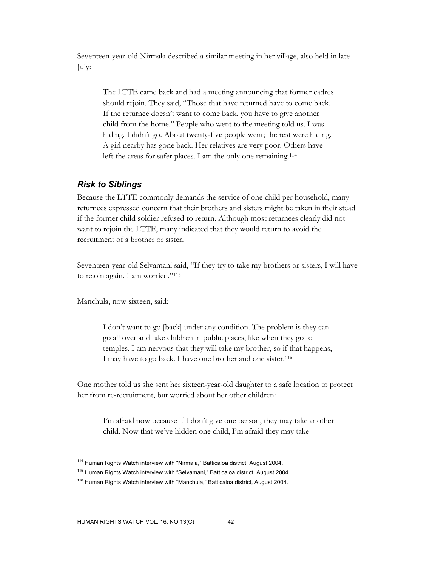Seventeen-year-old Nirmala described a similar meeting in her village, also held in late July:

The LTTE came back and had a meeting announcing that former cadres should rejoin. They said, "Those that have returned have to come back. If the returnee doesn't want to come back, you have to give another child from the home." People who went to the meeting told us. I was hiding. I didn't go. About twenty-five people went; the rest were hiding. A girl nearby has gone back. Her relatives are very poor. Others have left the areas for safer places. I am the only one remaining.114

## *Risk to Siblings*

Because the LTTE commonly demands the service of one child per household, many returnees expressed concern that their brothers and sisters might be taken in their stead if the former child soldier refused to return. Although most returnees clearly did not want to rejoin the LTTE, many indicated that they would return to avoid the recruitment of a brother or sister.

Seventeen-year-old Selvamani said, "If they try to take my brothers or sisters, I will have to rejoin again. I am worried."115

Manchula, now sixteen, said:

I don't want to go [back] under any condition. The problem is they can go all over and take children in public places, like when they go to temples. I am nervous that they will take my brother, so if that happens, I may have to go back. I have one brother and one sister.116

One mother told us she sent her sixteen-year-old daughter to a safe location to protect her from re-recruitment, but worried about her other children:

I'm afraid now because if I don't give one person, they may take another child. Now that we've hidden one child, I'm afraid they may take

<sup>&</sup>lt;sup>114</sup> Human Rights Watch interview with "Nirmala," Batticaloa district, August 2004.

<sup>&</sup>lt;sup>115</sup> Human Rights Watch interview with "Selvamani," Batticaloa district, August 2004.

<sup>&</sup>lt;sup>116</sup> Human Rights Watch interview with "Manchula," Batticaloa district, August 2004.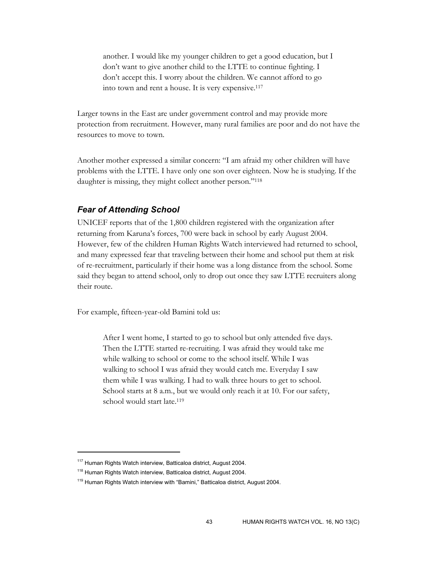another. I would like my younger children to get a good education, but I don't want to give another child to the LTTE to continue fighting. I don't accept this. I worry about the children. We cannot afford to go into town and rent a house. It is very expensive.117

Larger towns in the East are under government control and may provide more protection from recruitment. However, many rural families are poor and do not have the resources to move to town.

Another mother expressed a similar concern: "I am afraid my other children will have problems with the LTTE. I have only one son over eighteen. Now he is studying. If the daughter is missing, they might collect another person."118

### *Fear of Attending School*

UNICEF reports that of the 1,800 children registered with the organization after returning from Karuna's forces, 700 were back in school by early August 2004. However, few of the children Human Rights Watch interviewed had returned to school, and many expressed fear that traveling between their home and school put them at risk of re-recruitment, particularly if their home was a long distance from the school. Some said they began to attend school, only to drop out once they saw LTTE recruiters along their route.

For example, fifteen-year-old Bamini told us:

After I went home, I started to go to school but only attended five days. Then the LTTE started re-recruiting. I was afraid they would take me while walking to school or come to the school itself. While I was walking to school I was afraid they would catch me. Everyday I saw them while I was walking. I had to walk three hours to get to school. School starts at 8 a.m., but we would only reach it at 10. For our safety, school would start late.<sup>119</sup>

 $117$  Human Rights Watch interview, Batticaloa district, August 2004.

<sup>&</sup>lt;sup>118</sup> Human Rights Watch interview, Batticaloa district, August 2004.

 $119$  Human Rights Watch interview with "Bamini," Batticaloa district, August 2004.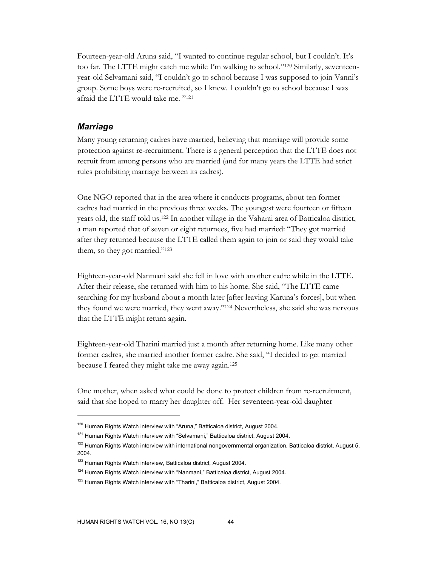Fourteen-year-old Aruna said, "I wanted to continue regular school, but I couldn't. It's too far. The LTTE might catch me while I'm walking to school."120 Similarly, seventeenyear-old Selvamani said, "I couldn't go to school because I was supposed to join Vanni's group. Some boys were re-recruited, so I knew. I couldn't go to school because I was afraid the LTTE would take me. "121

#### *Marriage*

-

Many young returning cadres have married, believing that marriage will provide some protection against re-recruitment. There is a general perception that the LTTE does not recruit from among persons who are married (and for many years the LTTE had strict rules prohibiting marriage between its cadres).

One NGO reported that in the area where it conducts programs, about ten former cadres had married in the previous three weeks. The youngest were fourteen or fifteen years old, the staff told us.122 In another village in the Vaharai area of Batticaloa district, a man reported that of seven or eight returnees, five had married: "They got married after they returned because the LTTE called them again to join or said they would take them, so they got married."123

Eighteen-year-old Nanmani said she fell in love with another cadre while in the LTTE. After their release, she returned with him to his home. She said, "The LTTE came searching for my husband about a month later [after leaving Karuna's forces], but when they found we were married, they went away."124 Nevertheless, she said she was nervous that the LTTE might return again.

Eighteen-year-old Tharini married just a month after returning home. Like many other former cadres, she married another former cadre. She said, "I decided to get married because I feared they might take me away again.125

One mother, when asked what could be done to protect children from re-recruitment, said that she hoped to marry her daughter off. Her seventeen-year-old daughter

<sup>&</sup>lt;sup>120</sup> Human Rights Watch interview with "Aruna," Batticaloa district, August 2004.

<sup>&</sup>lt;sup>121</sup> Human Rights Watch interview with "Selvamani," Batticaloa district, August 2004.

<sup>&</sup>lt;sup>122</sup> Human Rights Watch interview with international nongovernmental organization, Batticaloa district, August 5, 2004.

<sup>&</sup>lt;sup>123</sup> Human Rights Watch interview, Batticaloa district, August 2004.

<sup>&</sup>lt;sup>124</sup> Human Rights Watch interview with "Nanmani," Batticaloa district, August 2004.

<sup>&</sup>lt;sup>125</sup> Human Rights Watch interview with "Tharini," Batticaloa district, August 2004.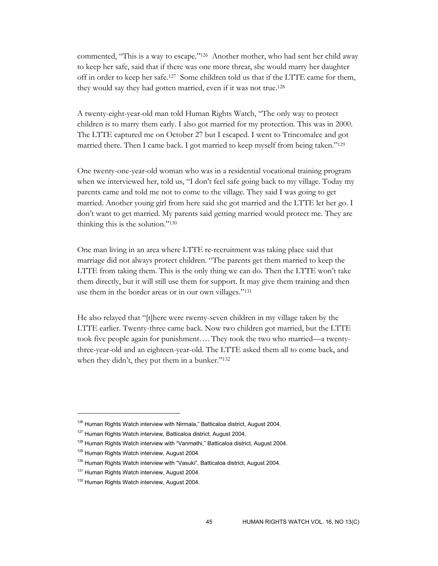commented, "This is a way to escape."126 Another mother, who had sent her child away to keep her safe, said that if there was one more threat, she would marry her daughter off in order to keep her safe.127 Some children told us that if the LTTE came for them, they would say they had gotten married, even if it was not true.128

A twenty-eight-year-old man told Human Rights Watch, "The only way to protect children is to marry them early. I also got married for my protection. This was in 2000. The LTTE captured me on October 27 but I escaped. I went to Trincomalee and got married there. Then I came back. I got married to keep myself from being taken."129

One twenty-one-year-old woman who was in a residential vocational training program when we interviewed her, told us, "I don't feel safe going back to my village. Today my parents came and told me not to come to the village. They said I was going to get married. Another young girl from here said she got married and the LTTE let her go. I don't want to get married. My parents said getting married would protect me. They are thinking this is the solution."130

One man living in an area where LTTE re-recruitment was taking place said that marriage did not always protect children. "The parents get them married to keep the LTTE from taking them. This is the only thing we can do. Then the LTTE won't take them directly, but it will still use them for support. It may give them training and then use them in the border areas or in our own villages."131

He also relayed that "[t]here were twenty-seven children in my village taken by the LTTE earlier. Twenty-three came back. Now two children got married, but the LTTE took five people again for punishment…. They took the two who married—a twentythree-year-old and an eighteen-year-old. The LTTE asked them all to come back, and when they didn't, they put them in a bunker."<sup>132</sup>

 $126$  Human Rights Watch interview with Nirmala," Batticaloa district, August 2004.

<sup>&</sup>lt;sup>127</sup> Human Rights Watch interview, Batticaloa district, August 2004,

<sup>&</sup>lt;sup>128</sup> Human Rights Watch interview with "Vanmathi," Batticaloa district, August 2004.

<sup>&</sup>lt;sup>129</sup> Human Rights Watch interview, August 2004.

<sup>&</sup>lt;sup>130</sup> Human Rights Watch interview with "Vasuki", Batticaloa district, August 2004.

<sup>&</sup>lt;sup>131</sup> Human Rights Watch interview, August 2004.

<sup>&</sup>lt;sup>132</sup> Human Rights Watch interview, August 2004.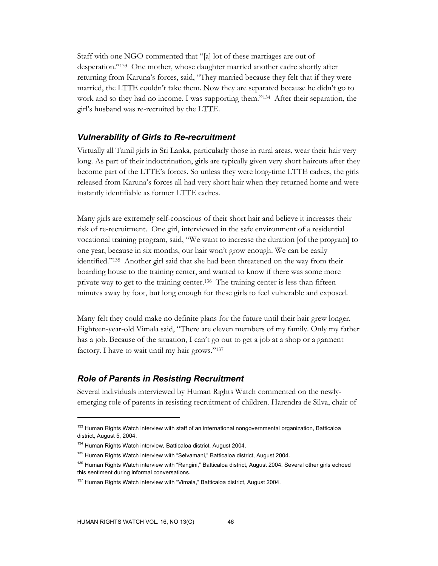Staff with one NGO commented that "[a] lot of these marriages are out of desperation."133 One mother, whose daughter married another cadre shortly after returning from Karuna's forces, said, "They married because they felt that if they were married, the LTTE couldn't take them. Now they are separated because he didn't go to work and so they had no income. I was supporting them."<sup>134</sup> After their separation, the girl's husband was re-recruited by the LTTE.

### *Vulnerability of Girls to Re-recruitment*

Virtually all Tamil girls in Sri Lanka, particularly those in rural areas, wear their hair very long. As part of their indoctrination, girls are typically given very short haircuts after they become part of the LTTE's forces. So unless they were long-time LTTE cadres, the girls released from Karuna's forces all had very short hair when they returned home and were instantly identifiable as former LTTE cadres.

Many girls are extremely self-conscious of their short hair and believe it increases their risk of re-recruitment. One girl, interviewed in the safe environment of a residential vocational training program, said, "We want to increase the duration [of the program] to one year, because in six months, our hair won't grow enough. We can be easily identified."135 Another girl said that she had been threatened on the way from their boarding house to the training center, and wanted to know if there was some more private way to get to the training center.136 The training center is less than fifteen minutes away by foot, but long enough for these girls to feel vulnerable and exposed.

Many felt they could make no definite plans for the future until their hair grew longer. Eighteen-year-old Vimala said, "There are eleven members of my family. Only my father has a job. Because of the situation, I can't go out to get a job at a shop or a garment factory. I have to wait until my hair grows."137

#### *Role of Parents in Resisting Recruitment*

Several individuals interviewed by Human Rights Watch commented on the newlyemerging role of parents in resisting recruitment of children. Harendra de Silva, chair of

<sup>&</sup>lt;sup>133</sup> Human Rights Watch interview with staff of an international nongovernmental organization, Batticaloa district, August 5, 2004.

<sup>&</sup>lt;sup>134</sup> Human Rights Watch interview, Batticaloa district, August 2004.

<sup>&</sup>lt;sup>135</sup> Human Rights Watch interview with "Selvamani," Batticaloa district, August 2004.

<sup>&</sup>lt;sup>136</sup> Human Rights Watch interview with "Rangini," Batticaloa district, August 2004. Several other girls echoed this sentiment during informal conversations.

 $137$  Human Rights Watch interview with "Vimala," Batticaloa district, August 2004.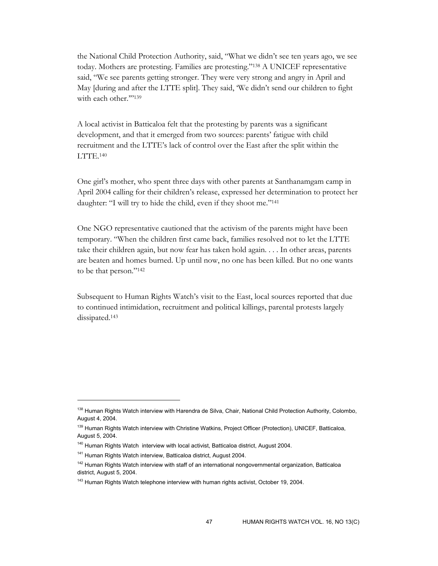the National Child Protection Authority, said, "What we didn't see ten years ago, we see today. Mothers are protesting. Families are protesting."138 A UNICEF representative said, "We see parents getting stronger. They were very strong and angry in April and May [during and after the LTTE split]. They said, 'We didn't send our children to fight with each other."'<sup>139</sup>

A local activist in Batticaloa felt that the protesting by parents was a significant development, and that it emerged from two sources: parents' fatigue with child recruitment and the LTTE's lack of control over the East after the split within the LTTE.140

One girl's mother, who spent three days with other parents at Santhanamgam camp in April 2004 calling for their children's release, expressed her determination to protect her daughter: "I will try to hide the child, even if they shoot me."141

One NGO representative cautioned that the activism of the parents might have been temporary. "When the children first came back, families resolved not to let the LTTE take their children again, but now fear has taken hold again. . . . In other areas, parents are beaten and homes burned. Up until now, no one has been killed. But no one wants to be that person."142

Subsequent to Human Rights Watch's visit to the East, local sources reported that due to continued intimidation, recruitment and political killings, parental protests largely dissipated.143

 $\ddot{\phantom{a}}$ 

<sup>&</sup>lt;sup>138</sup> Human Rights Watch interview with Harendra de Silva, Chair, National Child Protection Authority, Colombo, August 4, 2004.

<sup>139</sup> Human Rights Watch interview with Christine Watkins, Project Officer (Protection), UNICEF, Batticaloa, August 5, 2004.

<sup>&</sup>lt;sup>140</sup> Human Rights Watch interview with local activist, Batticaloa district, August 2004.

<sup>&</sup>lt;sup>141</sup> Human Rights Watch interview, Batticaloa district, August 2004.

<sup>&</sup>lt;sup>142</sup> Human Rights Watch interview with staff of an international nongovernmental organization, Batticaloa district, August 5, 2004.

<sup>&</sup>lt;sup>143</sup> Human Rights Watch telephone interview with human rights activist, October 19, 2004.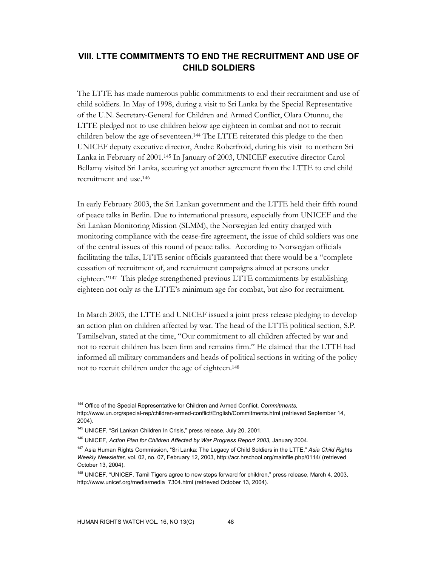# **VIII. LTTE COMMITMENTS TO END THE RECRUITMENT AND USE OF CHILD SOLDIERS**

The LTTE has made numerous public commitments to end their recruitment and use of child soldiers. In May of 1998, during a visit to Sri Lanka by the Special Representative of the U.N. Secretary-General for Children and Armed Conflict, Olara Otunnu, the LTTE pledged not to use children below age eighteen in combat and not to recruit children below the age of seventeen.144 The LTTE reiterated this pledge to the then UNICEF deputy executive director, Andre Roberfroid, during his visit to northern Sri Lanka in February of 2001.145 In January of 2003, UNICEF executive director Carol Bellamy visited Sri Lanka, securing yet another agreement from the LTTE to end child recruitment and use.146

In early February 2003, the Sri Lankan government and the LTTE held their fifth round of peace talks in Berlin. Due to international pressure, especially from UNICEF and the Sri Lankan Monitoring Mission (SLMM), the Norwegian led entity charged with monitoring compliance with the cease-fire agreement, the issue of child soldiers was one of the central issues of this round of peace talks. According to Norwegian officials facilitating the talks, LTTE senior officials guaranteed that there would be a "complete cessation of recruitment of, and recruitment campaigns aimed at persons under eighteen."147 This pledge strengthened previous LTTE commitments by establishing eighteen not only as the LTTE's minimum age for combat, but also for recruitment.

In March 2003, the LTTE and UNICEF issued a joint press release pledging to develop an action plan on children affected by war. The head of the LTTE political section, S.P. Tamilselvan, stated at the time, "Our commitment to all children affected by war and not to recruit children has been firm and remains firm." He claimed that the LTTE had informed all military commanders and heads of political sections in writing of the policy not to recruit children under the age of eighteen.148

<sup>144</sup> Office of the Special Representative for Children and Armed Conflict, *Commitments,*  http://www.un.org/special-rep/children-armed-conflict/English/Commitments.html (retrieved September 14, 2004).

<sup>&</sup>lt;sup>145</sup> UNICEF, "Sri Lankan Children In Crisis," press release, July 20, 2001.

<sup>&</sup>lt;sup>146</sup> UNICEF, Action Plan for Children Affected by War Progress Report 2003, January 2004.

<sup>147</sup> Asia Human Rights Commission, "Sri Lanka: The Legacy of Child Soldiers in the LTTE," *Asia Child Rights Weekly Newsletter,* vol. 02, no. 07, February 12, 2003, http://acr.hrschool.org/mainfile.php/0114/ (retrieved October 13, 2004).

<sup>&</sup>lt;sup>148</sup> UNICEF, "UNICEF, Tamil Tigers agree to new steps forward for children," press release, March 4, 2003, http://www.unicef.org/media/media\_7304.html (retrieved October 13, 2004).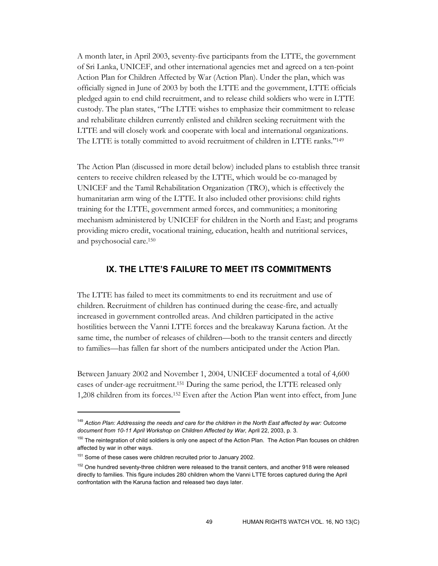A month later, in April 2003, seventy-five participants from the LTTE, the government of Sri Lanka, UNICEF, and other international agencies met and agreed on a ten-point Action Plan for Children Affected by War (Action Plan). Under the plan, which was officially signed in June of 2003 by both the LTTE and the government, LTTE officials pledged again to end child recruitment, and to release child soldiers who were in LTTE custody. The plan states, "The LTTE wishes to emphasize their commitment to release and rehabilitate children currently enlisted and children seeking recruitment with the LTTE and will closely work and cooperate with local and international organizations. The LTTE is totally committed to avoid recruitment of children in LTTE ranks."149

The Action Plan (discussed in more detail below) included plans to establish three transit centers to receive children released by the LTTE, which would be co-managed by UNICEF and the Tamil Rehabilitation Organization (TRO), which is effectively the humanitarian arm wing of the LTTE. It also included other provisions: child rights training for the LTTE, government armed forces, and communities; a monitoring mechanism administered by UNICEF for children in the North and East; and programs providing micro credit, vocational training, education, health and nutritional services, and psychosocial care.150

### **IX. THE LTTE'S FAILURE TO MEET ITS COMMITMENTS**

The LTTE has failed to meet its commitments to end its recruitment and use of children. Recruitment of children has continued during the cease-fire, and actually increased in government controlled areas. And children participated in the active hostilities between the Vanni LTTE forces and the breakaway Karuna faction. At the same time, the number of releases of children—both to the transit centers and directly to families—has fallen far short of the numbers anticipated under the Action Plan.

Between January 2002 and November 1, 2004, UNICEF documented a total of 4,600 cases of under-age recruitment.151 During the same period, the LTTE released only 1,208 children from its forces.152 Even after the Action Plan went into effect, from June

<sup>149</sup> *Action Plan: Addressing the needs and care for the children in the North East affected by war: Outcome document from 10-11 April Workshop on Children Affected by War,* April 22, 2003, p. 3.

<sup>&</sup>lt;sup>150</sup> The reintegration of child soldiers is only one aspect of the Action Plan. The Action Plan focuses on children affected by war in other ways.

<sup>&</sup>lt;sup>151</sup> Some of these cases were children recruited prior to January 2002.

 $152$  One hundred seventy-three children were released to the transit centers, and another 918 were released directly to families. This figure includes 280 children whom the Vanni LTTE forces captured during the April confrontation with the Karuna faction and released two days later.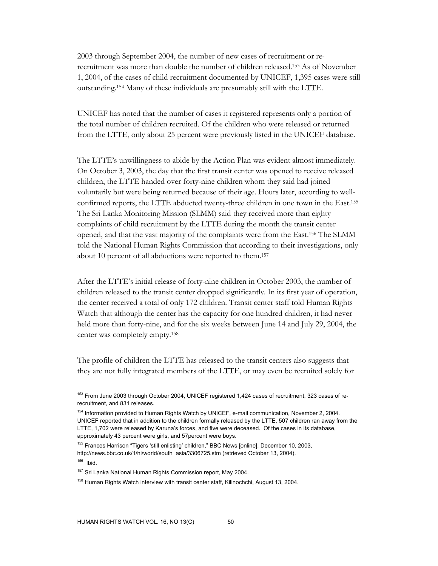2003 through September 2004, the number of new cases of recruitment or rerecruitment was more than double the number of children released.153 As of November 1, 2004, of the cases of child recruitment documented by UNICEF, 1,395 cases were still outstanding.154 Many of these individuals are presumably still with the LTTE.

UNICEF has noted that the number of cases it registered represents only a portion of the total number of children recruited. Of the children who were released or returned from the LTTE, only about 25 percent were previously listed in the UNICEF database.

The LTTE's unwillingness to abide by the Action Plan was evident almost immediately. On October 3, 2003, the day that the first transit center was opened to receive released children, the LTTE handed over forty-nine children whom they said had joined voluntarily but were being returned because of their age. Hours later, according to wellconfirmed reports, the LTTE abducted twenty-three children in one town in the East.155 The Sri Lanka Monitoring Mission (SLMM) said they received more than eighty complaints of child recruitment by the LTTE during the month the transit center opened, and that the vast majority of the complaints were from the East.156 The SLMM told the National Human Rights Commission that according to their investigations, only about 10 percent of all abductions were reported to them.157

After the LTTE's initial release of forty-nine children in October 2003, the number of children released to the transit center dropped significantly. In its first year of operation, the center received a total of only 172 children. Transit center staff told Human Rights Watch that although the center has the capacity for one hundred children, it had never held more than forty-nine, and for the six weeks between June 14 and July 29, 2004, the center was completely empty.158

The profile of children the LTTE has released to the transit centers also suggests that they are not fully integrated members of the LTTE, or may even be recruited solely for

<sup>&</sup>lt;sup>153</sup> From June 2003 through October 2004, UNICEF registered 1,424 cases of recruitment, 323 cases of rerecruitment, and 831 releases.

<sup>&</sup>lt;sup>154</sup> Information provided to Human Rights Watch by UNICEF, e-mail communication, November 2, 2004. UNICEF reported that in addition to the children formally released by the LTTE, 507 children ran away from the LTTE, 1,702 were released by Karuna's forces, and five were deceased. Of the cases in its database, approximately 43 percent were girls, and 57percent were boys.

<sup>155</sup> Frances Harrison "Tigers 'still enlisting' children," BBC News [online], December 10, 2003, http://news.bbc.co.uk/1/hi/world/south\_asia/3306725.stm (retrieved October 13, 2004).  $156$  Ibid.

<sup>&</sup>lt;sup>157</sup> Sri Lanka National Human Rights Commission report, May 2004.

<sup>&</sup>lt;sup>158</sup> Human Rights Watch interview with transit center staff, Kilinochchi, August 13, 2004.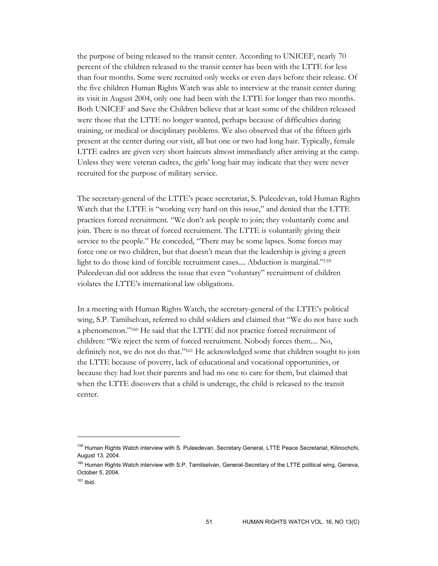the purpose of being released to the transit center. According to UNICEF, nearly 70 percent of the children released to the transit center has been with the LTTE for less than four months. Some were recruited only weeks or even days before their release. Of the five children Human Rights Watch was able to interview at the transit center during its visit in August 2004, only one had been with the LTTE for longer than two months. Both UNICEF and Save the Children believe that at least some of the children released were those that the LTTE no longer wanted, perhaps because of difficulties during training, or medical or disciplinary problems. We also observed that of the fifteen girls present at the center during our visit, all but one or two had long hair. Typically, female LTTE cadres are given very short haircuts almost immediately after arriving at the camp. Unless they were veteran cadres, the girls' long hair may indicate that they were never recruited for the purpose of military service.

The secretary-general of the LTTE's peace secretariat, S. Puleedevan, told Human Rights Watch that the LTTE is "working very hard on this issue," and denied that the LTTE practices forced recruitment. "We don't ask people to join; they voluntarily come and join. There is no threat of forced recruitment. The LTTE is voluntarily giving their service to the people." He conceded, "There may be some lapses. Some forces may force one or two children, but that doesn't mean that the leadership is giving a green light to do those kind of forcible recruitment cases.... Abduction is marginal."159 Puleedevan did not address the issue that even "voluntary" recruitment of children violates the LTTE's international law obligations.

In a meeting with Human Rights Watch, the secretary-general of the LTTE's political wing, S.P. Tamilselvan, referred to child soldiers and claimed that "We do not have such a phenomenon."160 He said that the LTTE did not practice forced recruitment of children: "We reject the term of forced recruitment. Nobody forces them.... No, definitely not, we do not do that."161 He acknowledged some that children sought to join the LTTE because of poverty, lack of educational and vocational opportunities, or because they had lost their parents and had no one to care for them, but claimed that when the LTTE discovers that a child is underage, the child is released to the transit center.

<sup>&</sup>lt;sup>159</sup> Human Rights Watch interview with S. Puleedevan, Secretary General, LTTE Peace Secretariat, Kilinochchi, August 13, 2004.

 $160$  Human Rights Watch interview with S.P. Tamilselvan, General-Secretary of the LTTE political wing, Geneva, October 5, 2004.

 $161$  Ibid.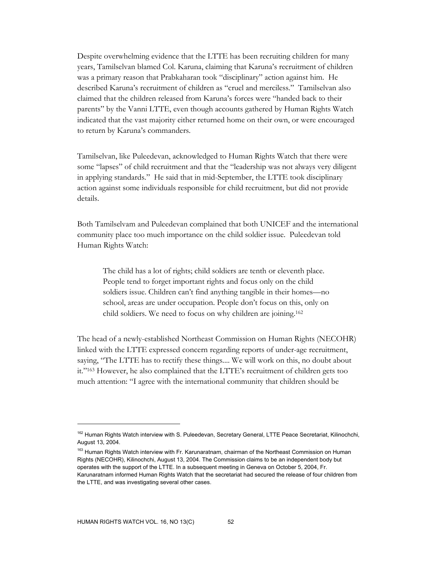Despite overwhelming evidence that the LTTE has been recruiting children for many years, Tamilselvan blamed Col. Karuna, claiming that Karuna's recruitment of children was a primary reason that Prabkaharan took "disciplinary" action against him. He described Karuna's recruitment of children as "cruel and merciless." Tamilselvan also claimed that the children released from Karuna's forces were "handed back to their parents" by the Vanni LTTE, even though accounts gathered by Human Rights Watch indicated that the vast majority either returned home on their own, or were encouraged to return by Karuna's commanders.

Tamilselvan, like Puleedevan, acknowledged to Human Rights Watch that there were some "lapses" of child recruitment and that the "leadership was not always very diligent in applying standards." He said that in mid-September, the LTTE took disciplinary action against some individuals responsible for child recruitment, but did not provide details.

Both Tamilselvam and Puleedevan complained that both UNICEF and the international community place too much importance on the child soldier issue. Puleedevan told Human Rights Watch:

The child has a lot of rights; child soldiers are tenth or eleventh place. People tend to forget important rights and focus only on the child soldiers issue. Children can't find anything tangible in their homes—no school, areas are under occupation. People don't focus on this, only on child soldiers. We need to focus on why children are joining.162

The head of a newly-established Northeast Commission on Human Rights (NECOHR) linked with the LTTE expressed concern regarding reports of under-age recruitment, saying, "The LTTE has to rectify these things.... We will work on this, no doubt about it."163 However, he also complained that the LTTE's recruitment of children gets too much attention: "I agree with the international community that children should be

<sup>&</sup>lt;sup>162</sup> Human Rights Watch interview with S. Puleedevan, Secretary General, LTTE Peace Secretariat, Kilinochchi, August 13, 2004.

<sup>&</sup>lt;sup>163</sup> Human Rights Watch interview with Fr. Karunaratnam, chairman of the Northeast Commission on Human Rights (NECOHR), Kilinochchi, August 13, 2004. The Commission claims to be an independent body but operates with the support of the LTTE. In a subsequent meeting in Geneva on October 5, 2004, Fr. Karunaratnam informed Human Rights Watch that the secretariat had secured the release of four children from the LTTE, and was investigating several other cases.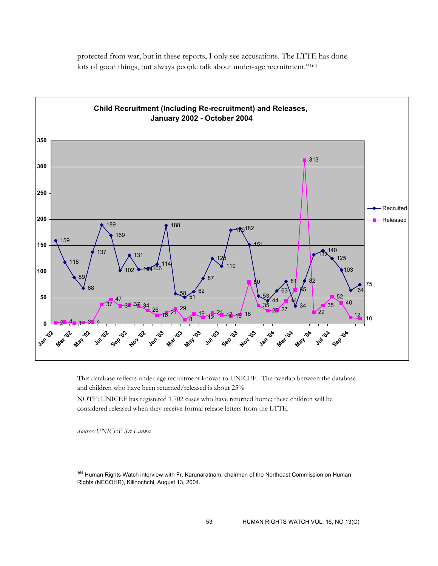**Child Recruitment (Including Re-recruitment) and Releases, January 2002 - October 2004** 159 118 89 68 137 189 169 102 131 1106 114 188  $58/51$ 62 87 125 110 g182 151 53 44 63 81 34 82 132 140 125 2 4 1 3 4  $\overline{37}$ 47 34 34 26 21 29 8  $19/2$ 21 17 18  $35$  $27$ 65 313  $\overline{22}$  $35$ 52 40 103 ์ค่ 75 44 80  $\frac{12}{10}$  10 **0 50 100 150 200 250 300 350 Jan '02 Mar .02** .ሪ<sup>ን</sup> **Jul** '02 **Sep** 102 ্ত্<sub>ব</sub>্ত্ **Jan** '03 **Mar '03 May '03 Jul '03 Sep '03 Nov 103 Jan** .04 **Mar** .04 **May** '04 **Jul '04 Sep '04** Recruited Released

protected from war, but in these reports, I only see accusations. The LTTE has done lots of good things, but always people talk about under-age recruitment."164

This database reflects under-age recruitment known to UNICEF. The overlap between the database and children who have been returned/released is about 25%

NOTE: UNICEF has registered 1,702 cases who have returned home; these children will be considered released when they receive formal release letters from the LTTE.

*Source: UNICEF Sri Lanka* 

<sup>&</sup>lt;sup>164</sup> Human Rights Watch interview with Fr. Karunaratnam, chairman of the Northeast Commission on Human Rights (NECOHR), Kilinochchi, August 13, 2004.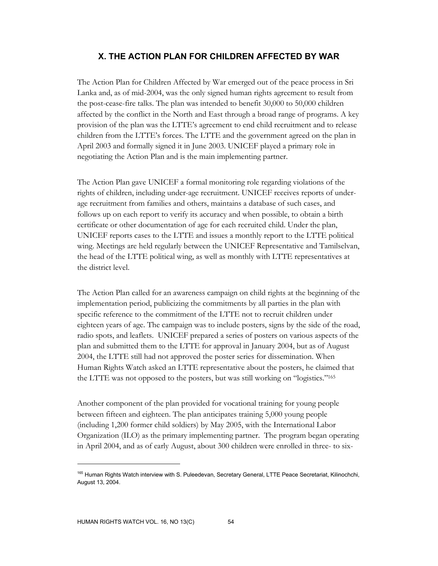# **X. THE ACTION PLAN FOR CHILDREN AFFECTED BY WAR**

The Action Plan for Children Affected by War emerged out of the peace process in Sri Lanka and, as of mid-2004, was the only signed human rights agreement to result from the post-cease-fire talks. The plan was intended to benefit 30,000 to 50,000 children affected by the conflict in the North and East through a broad range of programs. A key provision of the plan was the LTTE's agreement to end child recruitment and to release children from the LTTE's forces. The LTTE and the government agreed on the plan in April 2003 and formally signed it in June 2003. UNICEF played a primary role in negotiating the Action Plan and is the main implementing partner.

The Action Plan gave UNICEF a formal monitoring role regarding violations of the rights of children, including under-age recruitment. UNICEF receives reports of underage recruitment from families and others, maintains a database of such cases, and follows up on each report to verify its accuracy and when possible, to obtain a birth certificate or other documentation of age for each recruited child. Under the plan, UNICEF reports cases to the LTTE and issues a monthly report to the LTTE political wing. Meetings are held regularly between the UNICEF Representative and Tamilselvan, the head of the LTTE political wing, as well as monthly with LTTE representatives at the district level.

The Action Plan called for an awareness campaign on child rights at the beginning of the implementation period, publicizing the commitments by all parties in the plan with specific reference to the commitment of the LTTE not to recruit children under eighteen years of age. The campaign was to include posters, signs by the side of the road, radio spots, and leaflets. UNICEF prepared a series of posters on various aspects of the plan and submitted them to the LTTE for approval in January 2004, but as of August 2004, the LTTE still had not approved the poster series for dissemination. When Human Rights Watch asked an LTTE representative about the posters, he claimed that the LTTE was not opposed to the posters, but was still working on "logistics."165

Another component of the plan provided for vocational training for young people between fifteen and eighteen. The plan anticipates training 5,000 young people (including 1,200 former child soldiers) by May 2005, with the International Labor Organization (ILO) as the primary implementing partner. The program began operating in April 2004, and as of early August, about 300 children were enrolled in three- to six-

<sup>&</sup>lt;sup>165</sup> Human Rights Watch interview with S. Puleedevan, Secretary General, LTTE Peace Secretariat, Kilinochchi, August 13, 2004.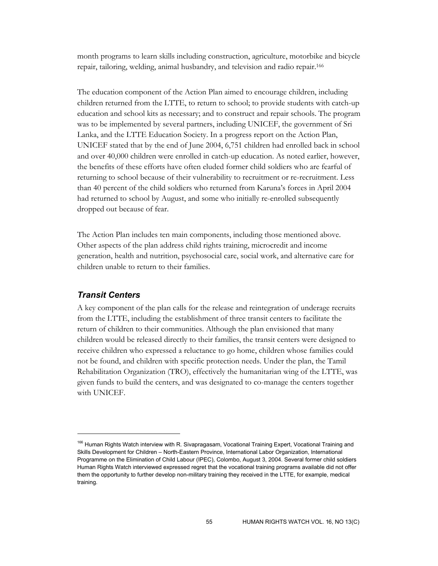month programs to learn skills including construction, agriculture, motorbike and bicycle repair, tailoring, welding, animal husbandry, and television and radio repair.166

The education component of the Action Plan aimed to encourage children, including children returned from the LTTE, to return to school; to provide students with catch-up education and school kits as necessary; and to construct and repair schools. The program was to be implemented by several partners, including UNICEF, the government of Sri Lanka, and the LTTE Education Society. In a progress report on the Action Plan, UNICEF stated that by the end of June 2004, 6,751 children had enrolled back in school and over 40,000 children were enrolled in catch-up education. As noted earlier, however, the benefits of these efforts have often eluded former child soldiers who are fearful of returning to school because of their vulnerability to recruitment or re-recruitment. Less than 40 percent of the child soldiers who returned from Karuna's forces in April 2004 had returned to school by August, and some who initially re-enrolled subsequently dropped out because of fear.

The Action Plan includes ten main components, including those mentioned above. Other aspects of the plan address child rights training, microcredit and income generation, health and nutrition, psychosocial care, social work, and alternative care for children unable to return to their families.

### *Transit Centers*

 $\overline{a}$ 

A key component of the plan calls for the release and reintegration of underage recruits from the LTTE, including the establishment of three transit centers to facilitate the return of children to their communities. Although the plan envisioned that many children would be released directly to their families, the transit centers were designed to receive children who expressed a reluctance to go home, children whose families could not be found, and children with specific protection needs. Under the plan, the Tamil Rehabilitation Organization (TRO), effectively the humanitarian wing of the LTTE, was given funds to build the centers, and was designated to co-manage the centers together with UNICEF.

<sup>&</sup>lt;sup>166</sup> Human Rights Watch interview with R. Sivapragasam, Vocational Training Expert, Vocational Training and Skills Development for Children – North-Eastern Province, International Labor Organization, International Programme on the Elimination of Child Labour (IPEC), Colombo, August 3, 2004. Several former child soldiers Human Rights Watch interviewed expressed regret that the vocational training programs available did not offer them the opportunity to further develop non-military training they received in the LTTE, for example, medical training.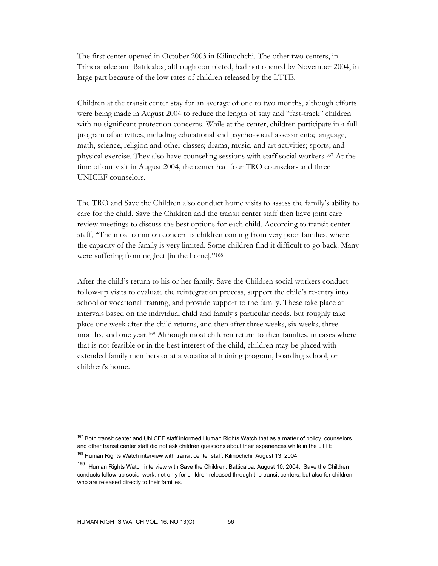The first center opened in October 2003 in Kilinochchi. The other two centers, in Trincomalee and Batticaloa, although completed, had not opened by November 2004, in large part because of the low rates of children released by the LTTE.

Children at the transit center stay for an average of one to two months, although efforts were being made in August 2004 to reduce the length of stay and "fast-track" children with no significant protection concerns. While at the center, children participate in a full program of activities, including educational and psycho-social assessments; language, math, science, religion and other classes; drama, music, and art activities; sports; and physical exercise. They also have counseling sessions with staff social workers.167 At the time of our visit in August 2004, the center had four TRO counselors and three UNICEF counselors.

The TRO and Save the Children also conduct home visits to assess the family's ability to care for the child. Save the Children and the transit center staff then have joint care review meetings to discuss the best options for each child. According to transit center staff, "The most common concern is children coming from very poor families, where the capacity of the family is very limited. Some children find it difficult to go back. Many were suffering from neglect [in the home]."168

After the child's return to his or her family, Save the Children social workers conduct follow-up visits to evaluate the reintegration process, support the child's re-entry into school or vocational training, and provide support to the family. These take place at intervals based on the individual child and family's particular needs, but roughly take place one week after the child returns, and then after three weeks, six weeks, three months, and one year.<sup>169</sup> Although most children return to their families, in cases where that is not feasible or in the best interest of the child, children may be placed with extended family members or at a vocational training program, boarding school, or children's home.

<sup>&</sup>lt;sup>167</sup> Both transit center and UNICEF staff informed Human Rights Watch that as a matter of policy, counselors and other transit center staff did not ask children questions about their experiences while in the LTTE.

<sup>&</sup>lt;sup>168</sup> Human Rights Watch interview with transit center staff, Kilinochchi, August 13, 2004.

<sup>169</sup> Human Rights Watch interview with Save the Children, Batticaloa, August 10, 2004. Save the Children conducts follow-up social work, not only for children released through the transit centers, but also for children who are released directly to their families.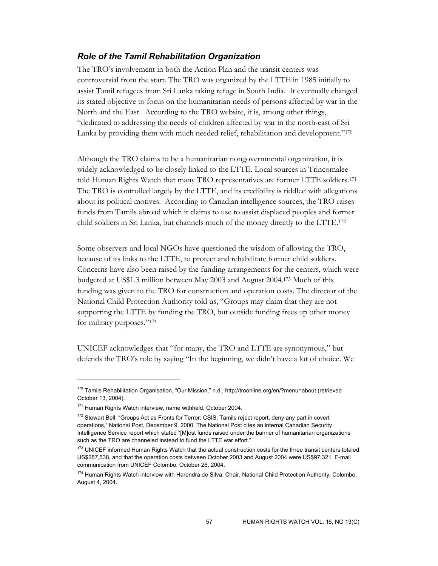# *Role of the Tamil Rehabilitation Organization*

The TRO's involvement in both the Action Plan and the transit centers was controversial from the start. The TRO was organized by the LTTE in 1985 initially to assist Tamil refugees from Sri Lanka taking refuge in South India. It eventually changed its stated objective to focus on the humanitarian needs of persons affected by war in the North and the East. According to the TRO website, it is, among other things, "dedicated to addressing the needs of children affected by war in the north-east of Sri Lanka by providing them with much needed relief, rehabilitation and development."170

Although the TRO claims to be a humanitarian nongovernmental organization, it is widely acknowledged to be closely linked to the LTTE. Local sources in Trincomalee told Human Rights Watch that many TRO representatives are former LTTE soldiers.171 The TRO is controlled largely by the LTTE, and its credibility is riddled with allegations about its political motives. According to Canadian intelligence sources, the TRO raises funds from Tamils abroad which it claims to use to assist displaced peoples and former child soldiers in Sri Lanka, but channels much of the money directly to the LTTE.172

Some observers and local NGOs have questioned the wisdom of allowing the TRO, because of its links to the LTTE, to protect and rehabilitate former child soldiers. Concerns have also been raised by the funding arrangements for the centers, which were budgeted at US\$1.3 million between May 2003 and August 2004.173 Much of this funding was given to the TRO for construction and operation costs. The director of the National Child Protection Authority told us, "Groups may claim that they are not supporting the LTTE by funding the TRO, but outside funding frees up other money for military purposes."174

UNICEF acknowledges that "for many, the TRO and LTTE are synonymous," but defends the TRO's role by saying "In the beginning, we didn't have a lot of choice. We

<sup>170</sup> Tamils Rehabilitation Organisation, "Our Mission," n.d., http://troonline.org/en/?menu=about (retrieved October 13, 2004).

<sup>171</sup> Human Rights Watch interview, name withheld, October 2004.

<sup>&</sup>lt;sup>172</sup> Stewart Bell, "Groups Act as Fronts for Terror: CSIS: Tamils reject report, deny any part in covert operations," National Post, December 9, 2000. The National Post cites an internal Canadian Security Intelligence Service report which stated "[M]ost funds raised under the banner of humanitarian organizations such as the TRO are channeled instead to fund the LTTE war effort."

<sup>&</sup>lt;sup>173</sup> UNICEF informed Human Rights Watch that the actual construction costs for the three transit centers totaled US\$287,538, and that the operation costs between October 2003 and August 2004 were US\$97,321. E-mail communication from UNICEF Colombo, October 26, 2004.

<sup>&</sup>lt;sup>174</sup> Human Rights Watch interview with Harendra de Silva, Chair, National Child Protection Authority, Colombo, August 4, 2004.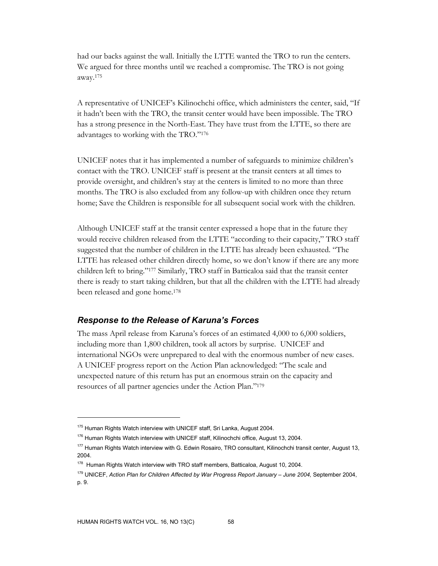had our backs against the wall. Initially the LTTE wanted the TRO to run the centers. We argued for three months until we reached a compromise. The TRO is not going away.175

A representative of UNICEF's Kilinochchi office, which administers the center, said, "If it hadn't been with the TRO, the transit center would have been impossible. The TRO has a strong presence in the North-East. They have trust from the LTTE, so there are advantages to working with the TRO."176

UNICEF notes that it has implemented a number of safeguards to minimize children's contact with the TRO. UNICEF staff is present at the transit centers at all times to provide oversight, and children's stay at the centers is limited to no more than three months. The TRO is also excluded from any follow-up with children once they return home; Save the Children is responsible for all subsequent social work with the children.

Although UNICEF staff at the transit center expressed a hope that in the future they would receive children released from the LTTE "according to their capacity," TRO staff suggested that the number of children in the LTTE has already been exhausted. "The LTTE has released other children directly home, so we don't know if there are any more children left to bring."177 Similarly, TRO staff in Batticaloa said that the transit center there is ready to start taking children, but that all the children with the LTTE had already been released and gone home.178

#### *Response to the Release of Karuna's Forces*

The mass April release from Karuna's forces of an estimated 4,000 to 6,000 soldiers, including more than 1,800 children, took all actors by surprise. UNICEF and international NGOs were unprepared to deal with the enormous number of new cases. A UNICEF progress report on the Action Plan acknowledged: "The scale and unexpected nature of this return has put an enormous strain on the capacity and resources of all partner agencies under the Action Plan."179

<sup>175</sup> Human Rights Watch interview with UNICEF staff, Sri Lanka, August 2004.

<sup>&</sup>lt;sup>176</sup> Human Rights Watch interview with UNICEF staff, Kilinochchi office, August 13, 2004.

<sup>177</sup> Human Rights Watch interview with G. Edwin Rosairo, TRO consultant, Kilinochchi transit center, August 13, 2004.

<sup>&</sup>lt;sup>178</sup> Human Rights Watch interview with TRO staff members, Batticaloa, August 10, 2004.

<sup>179</sup> UNICEF, *Action Plan for Children Affected by War Progress Report January – June 2004,* September 2004, p. 9.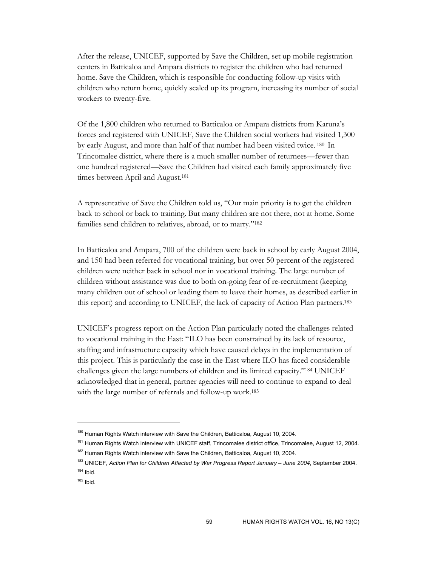After the release, UNICEF, supported by Save the Children, set up mobile registration centers in Batticaloa and Ampara districts to register the children who had returned home. Save the Children, which is responsible for conducting follow-up visits with children who return home, quickly scaled up its program, increasing its number of social workers to twenty-five.

Of the 1,800 children who returned to Batticaloa or Ampara districts from Karuna's forces and registered with UNICEF, Save the Children social workers had visited 1,300 by early August, and more than half of that number had been visited twice. 180 In Trincomalee district, where there is a much smaller number of returnees—fewer than one hundred registered—Save the Children had visited each family approximately five times between April and August.181

A representative of Save the Children told us, "Our main priority is to get the children back to school or back to training. But many children are not there, not at home. Some families send children to relatives, abroad, or to marry."182

In Batticaloa and Ampara, 700 of the children were back in school by early August 2004, and 150 had been referred for vocational training, but over 50 percent of the registered children were neither back in school nor in vocational training. The large number of children without assistance was due to both on-going fear of re-recruitment (keeping many children out of school or leading them to leave their homes, as described earlier in this report) and according to UNICEF, the lack of capacity of Action Plan partners.183

UNICEF's progress report on the Action Plan particularly noted the challenges related to vocational training in the East: "ILO has been constrained by its lack of resource, staffing and infrastructure capacity which have caused delays in the implementation of this project. This is particularly the case in the East where ILO has faced considerable challenges given the large numbers of children and its limited capacity."184 UNICEF acknowledged that in general, partner agencies will need to continue to expand to deal with the large number of referrals and follow-up work.185

<sup>&</sup>lt;sup>180</sup> Human Rights Watch interview with Save the Children, Batticaloa, August 10, 2004.

<sup>&</sup>lt;sup>181</sup> Human Rights Watch interview with UNICEF staff, Trincomalee district office, Trincomalee, August 12, 2004. <sup>182</sup> Human Rights Watch interview with Save the Children, Batticaloa, August 10, 2004.

<sup>183</sup> UNICEF, *Action Plan for Children Affected by War Progress Report January – June 2004*, September 2004.  $184$  Ibid.

 $185$  Ibid.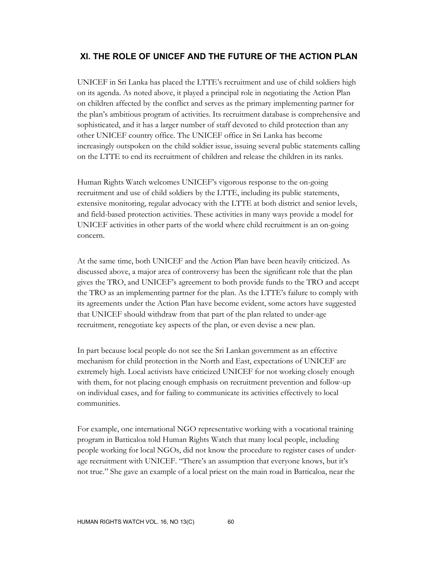# **XI. THE ROLE OF UNICEF AND THE FUTURE OF THE ACTION PLAN**

UNICEF in Sri Lanka has placed the LTTE's recruitment and use of child soldiers high on its agenda. As noted above, it played a principal role in negotiating the Action Plan on children affected by the conflict and serves as the primary implementing partner for the plan's ambitious program of activities. Its recruitment database is comprehensive and sophisticated, and it has a larger number of staff devoted to child protection than any other UNICEF country office. The UNICEF office in Sri Lanka has become increasingly outspoken on the child soldier issue, issuing several public statements calling on the LTTE to end its recruitment of children and release the children in its ranks.

Human Rights Watch welcomes UNICEF's vigorous response to the on-going recruitment and use of child soldiers by the LTTE, including its public statements, extensive monitoring, regular advocacy with the LTTE at both district and senior levels, and field-based protection activities. These activities in many ways provide a model for UNICEF activities in other parts of the world where child recruitment is an on-going concern.

At the same time, both UNICEF and the Action Plan have been heavily criticized. As discussed above, a major area of controversy has been the significant role that the plan gives the TRO, and UNICEF's agreement to both provide funds to the TRO and accept the TRO as an implementing partner for the plan. As the LTTE's failure to comply with its agreements under the Action Plan have become evident, some actors have suggested that UNICEF should withdraw from that part of the plan related to under-age recruitment, renegotiate key aspects of the plan, or even devise a new plan.

In part because local people do not see the Sri Lankan government as an effective mechanism for child protection in the North and East, expectations of UNICEF are extremely high. Local activists have criticized UNICEF for not working closely enough with them, for not placing enough emphasis on recruitment prevention and follow-up on individual cases, and for failing to communicate its activities effectively to local communities.

For example, one international NGO representative working with a vocational training program in Batticaloa told Human Rights Watch that many local people, including people working for local NGOs, did not know the procedure to register cases of underage recruitment with UNICEF. "There's an assumption that everyone knows, but it's not true." She gave an example of a local priest on the main road in Batticaloa, near the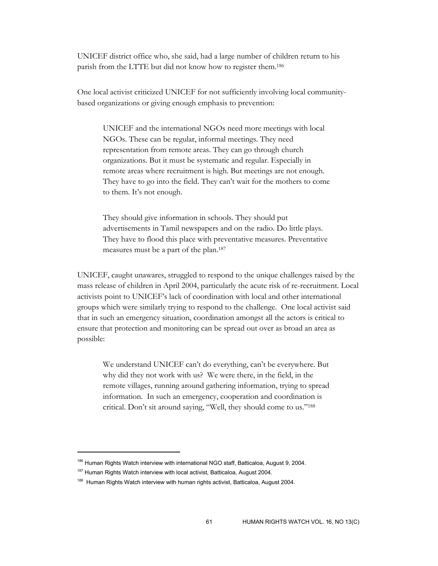UNICEF district office who, she said, had a large number of children return to his parish from the LTTE but did not know how to register them.186

One local activist criticized UNICEF for not sufficiently involving local communitybased organizations or giving enough emphasis to prevention:

UNICEF and the international NGOs need more meetings with local NGOs. These can be regular, informal meetings. They need representation from remote areas. They can go through church organizations. But it must be systematic and regular. Especially in remote areas where recruitment is high. But meetings are not enough. They have to go into the field. They can't wait for the mothers to come to them. It's not enough.

They should give information in schools. They should put advertisements in Tamil newspapers and on the radio. Do little plays. They have to flood this place with preventative measures. Preventative measures must be a part of the plan.187

UNICEF, caught unawares, struggled to respond to the unique challenges raised by the mass release of children in April 2004, particularly the acute risk of re-recruitment. Local activists point to UNICEF's lack of coordination with local and other international groups which were similarly trying to respond to the challenge. One local activist said that in such an emergency situation, coordination amongst all the actors is critical to ensure that protection and monitoring can be spread out over as broad an area as possible:

We understand UNICEF can't do everything, can't be everywhere. But why did they not work with us? We were there, in the field, in the remote villages, running around gathering information, trying to spread information. In such an emergency, cooperation and coordination is critical. Don't sit around saying, "Well, they should come to us."188

<sup>&</sup>lt;sup>186</sup> Human Rights Watch interview with international NGO staff, Batticaloa, August 9, 2004.

<sup>&</sup>lt;sup>187</sup> Human Rights Watch interview with local activist, Batticaloa, August 2004.

<sup>&</sup>lt;sup>188</sup> Human Rights Watch interview with human rights activist, Batticaloa, August 2004.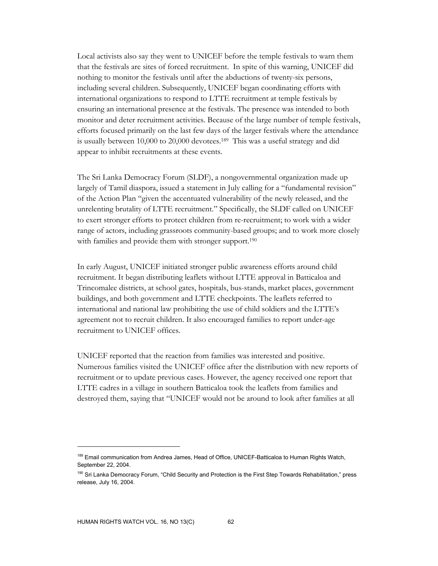Local activists also say they went to UNICEF before the temple festivals to warn them that the festivals are sites of forced recruitment. In spite of this warning, UNICEF did nothing to monitor the festivals until after the abductions of twenty-six persons, including several children. Subsequently, UNICEF began coordinating efforts with international organizations to respond to LTTE recruitment at temple festivals by ensuring an international presence at the festivals. The presence was intended to both monitor and deter recruitment activities. Because of the large number of temple festivals, efforts focused primarily on the last few days of the larger festivals where the attendance is usually between 10,000 to 20,000 devotees.189 This was a useful strategy and did appear to inhibit recruitments at these events.

The Sri Lanka Democracy Forum (SLDF), a nongovernmental organization made up largely of Tamil diaspora, issued a statement in July calling for a "fundamental revision" of the Action Plan "given the accentuated vulnerability of the newly released, and the unrelenting brutality of LTTE recruitment." Specifically, the SLDF called on UNICEF to exert stronger efforts to protect children from re-recruitment; to work with a wider range of actors, including grassroots community-based groups; and to work more closely with families and provide them with stronger support.<sup>190</sup>

In early August, UNICEF initiated stronger public awareness efforts around child recruitment. It began distributing leaflets without LTTE approval in Batticaloa and Trincomalee districts, at school gates, hospitals, bus-stands, market places, government buildings, and both government and LTTE checkpoints. The leaflets referred to international and national law prohibiting the use of child soldiers and the LTTE's agreement not to recruit children. It also encouraged families to report under-age recruitment to UNICEF offices.

UNICEF reported that the reaction from families was interested and positive. Numerous families visited the UNICEF office after the distribution with new reports of recruitment or to update previous cases. However, the agency received one report that LTTE cadres in a village in southern Batticaloa took the leaflets from families and destroyed them, saying that "UNICEF would not be around to look after families at all

<sup>&</sup>lt;sup>189</sup> Email communication from Andrea James, Head of Office, UNICEF-Batticaloa to Human Rights Watch, September 22, 2004.

<sup>&</sup>lt;sup>190</sup> Sri Lanka Democracy Forum, "Child Security and Protection is the First Step Towards Rehabilitation," press release, July 16, 2004.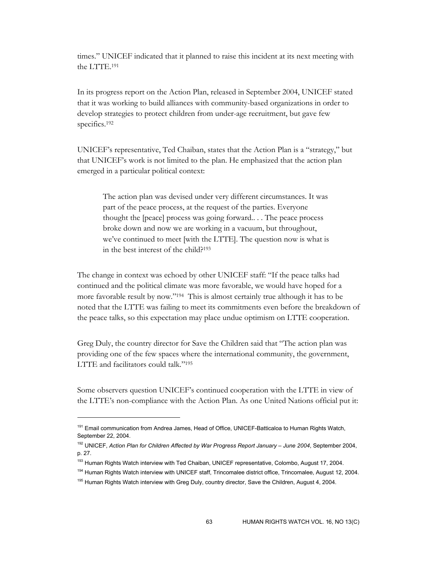times." UNICEF indicated that it planned to raise this incident at its next meeting with the LTTE.191

In its progress report on the Action Plan, released in September 2004, UNICEF stated that it was working to build alliances with community-based organizations in order to develop strategies to protect children from under-age recruitment, but gave few specifics.192

UNICEF's representative, Ted Chaiban, states that the Action Plan is a "strategy," but that UNICEF's work is not limited to the plan. He emphasized that the action plan emerged in a particular political context:

The action plan was devised under very different circumstances. It was part of the peace process, at the request of the parties. Everyone thought the [peace] process was going forward.. . . The peace process broke down and now we are working in a vacuum, but throughout, we've continued to meet [with the LTTE]. The question now is what is in the best interest of the child?193

The change in context was echoed by other UNICEF staff: "If the peace talks had continued and the political climate was more favorable, we would have hoped for a more favorable result by now."194 This is almost certainly true although it has to be noted that the LTTE was failing to meet its commitments even before the breakdown of the peace talks, so this expectation may place undue optimism on LTTE cooperation.

Greg Duly, the country director for Save the Children said that "The action plan was providing one of the few spaces where the international community, the government, LTTE and facilitators could talk."195

Some observers question UNICEF's continued cooperation with the LTTE in view of the LTTE's non-compliance with the Action Plan. As one United Nations official put it:

<sup>&</sup>lt;sup>191</sup> Email communication from Andrea James, Head of Office, UNICEF-Batticaloa to Human Rights Watch, September 22, 2004.

<sup>192</sup> UNICEF, *Action Plan for Children Affected by War Progress Report January – June 2004*, September 2004, p. 27.

<sup>&</sup>lt;sup>193</sup> Human Rights Watch interview with Ted Chaiban, UNICEF representative, Colombo, August 17, 2004.

<sup>&</sup>lt;sup>194</sup> Human Rights Watch interview with UNICEF staff, Trincomalee district office, Trincomalee, August 12, 2004.

<sup>&</sup>lt;sup>195</sup> Human Rights Watch interview with Greg Duly, country director, Save the Children, August 4, 2004.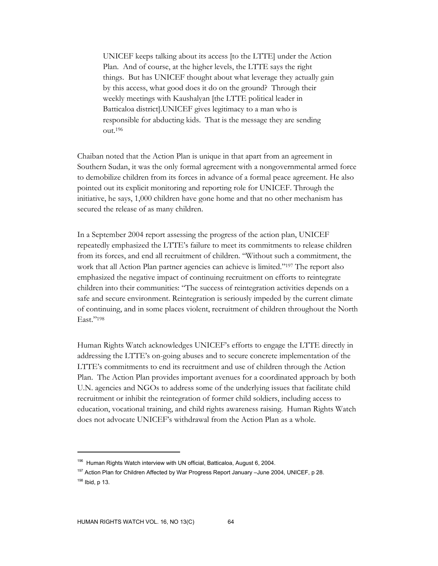UNICEF keeps talking about its access [to the LTTE] under the Action Plan. And of course, at the higher levels, the LTTE says the right things. But has UNICEF thought about what leverage they actually gain by this access, what good does it do on the ground? Through their weekly meetings with Kaushalyan [the LTTE political leader in Batticaloa district].UNICEF gives legitimacy to a man who is responsible for abducting kids. That is the message they are sending out.196

Chaiban noted that the Action Plan is unique in that apart from an agreement in Southern Sudan, it was the only formal agreement with a nongovernmental armed force to demobilize children from its forces in advance of a formal peace agreement. He also pointed out its explicit monitoring and reporting role for UNICEF. Through the initiative, he says, 1,000 children have gone home and that no other mechanism has secured the release of as many children.

In a September 2004 report assessing the progress of the action plan, UNICEF repeatedly emphasized the LTTE's failure to meet its commitments to release children from its forces, and end all recruitment of children. "Without such a commitment, the work that all Action Plan partner agencies can achieve is limited."197 The report also emphasized the negative impact of continuing recruitment on efforts to reintegrate children into their communities: "The success of reintegration activities depends on a safe and secure environment. Reintegration is seriously impeded by the current climate of continuing, and in some places violent, recruitment of children throughout the North East."198

Human Rights Watch acknowledges UNICEF's efforts to engage the LTTE directly in addressing the LTTE's on-going abuses and to secure concrete implementation of the LTTE's commitments to end its recruitment and use of children through the Action Plan. The Action Plan provides important avenues for a coordinated approach by both U.N. agencies and NGOs to address some of the underlying issues that facilitate child recruitment or inhibit the reintegration of former child soldiers, including access to education, vocational training, and child rights awareness raising. Human Rights Watch does not advocate UNICEF's withdrawal from the Action Plan as a whole.

<sup>&</sup>lt;sup>196</sup> Human Rights Watch interview with UN official, Batticaloa, August 6, 2004.

<sup>&</sup>lt;sup>197</sup> Action Plan for Children Affected by War Progress Report January -June 2004, UNICEF, p 28. 198 Ibid, p 13.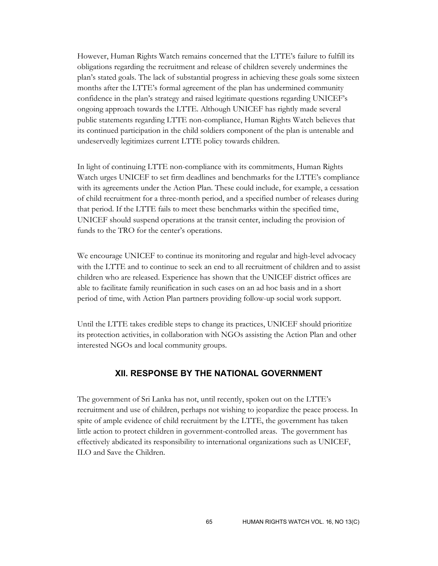However, Human Rights Watch remains concerned that the LTTE's failure to fulfill its obligations regarding the recruitment and release of children severely undermines the plan's stated goals. The lack of substantial progress in achieving these goals some sixteen months after the LTTE's formal agreement of the plan has undermined community confidence in the plan's strategy and raised legitimate questions regarding UNICEF's ongoing approach towards the LTTE. Although UNICEF has rightly made several public statements regarding LTTE non-compliance, Human Rights Watch believes that its continued participation in the child soldiers component of the plan is untenable and undeservedly legitimizes current LTTE policy towards children.

In light of continuing LTTE non-compliance with its commitments, Human Rights Watch urges UNICEF to set firm deadlines and benchmarks for the LTTE's compliance with its agreements under the Action Plan. These could include, for example, a cessation of child recruitment for a three-month period, and a specified number of releases during that period. If the LTTE fails to meet these benchmarks within the specified time, UNICEF should suspend operations at the transit center, including the provision of funds to the TRO for the center's operations.

We encourage UNICEF to continue its monitoring and regular and high-level advocacy with the LTTE and to continue to seek an end to all recruitment of children and to assist children who are released. Experience has shown that the UNICEF district offices are able to facilitate family reunification in such cases on an ad hoc basis and in a short period of time, with Action Plan partners providing follow-up social work support.

Until the LTTE takes credible steps to change its practices, UNICEF should prioritize its protection activities, in collaboration with NGOs assisting the Action Plan and other interested NGOs and local community groups.

### **XII. RESPONSE BY THE NATIONAL GOVERNMENT**

The government of Sri Lanka has not, until recently, spoken out on the LTTE's recruitment and use of children, perhaps not wishing to jeopardize the peace process. In spite of ample evidence of child recruitment by the LTTE, the government has taken little action to protect children in government-controlled areas. The government has effectively abdicated its responsibility to international organizations such as UNICEF, ILO and Save the Children.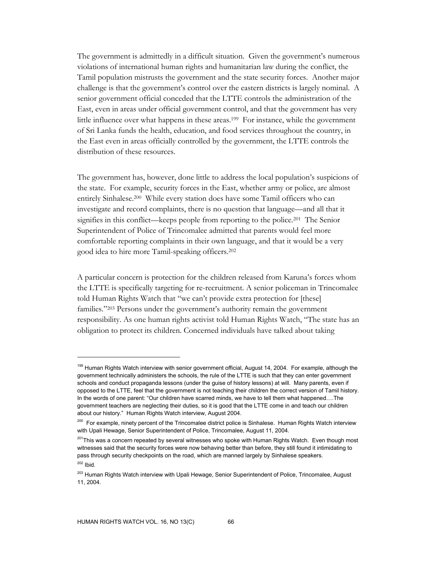The government is admittedly in a difficult situation. Given the government's numerous violations of international human rights and humanitarian law during the conflict, the Tamil population mistrusts the government and the state security forces. Another major challenge is that the government's control over the eastern districts is largely nominal. A senior government official conceded that the LTTE controls the administration of the East, even in areas under official government control, and that the government has very little influence over what happens in these areas.199 For instance, while the government of Sri Lanka funds the health, education, and food services throughout the country, in the East even in areas officially controlled by the government, the LTTE controls the distribution of these resources.

The government has, however, done little to address the local population's suspicions of the state. For example, security forces in the East, whether army or police, are almost entirely Sinhalese.200 While every station does have some Tamil officers who can investigate and record complaints, there is no question that language—and all that it signifies in this conflict—keeps people from reporting to the police.201 The Senior Superintendent of Police of Trincomalee admitted that parents would feel more comfortable reporting complaints in their own language, and that it would be a very good idea to hire more Tamil-speaking officers.202

A particular concern is protection for the children released from Karuna's forces whom the LTTE is specifically targeting for re-recruitment. A senior policeman in Trincomalee told Human Rights Watch that "we can't provide extra protection for [these] families."203 Persons under the government's authority remain the government responsibility. As one human rights activist told Human Rights Watch, "The state has an obligation to protect its children. Concerned individuals have talked about taking

<sup>&</sup>lt;sup>199</sup> Human Rights Watch interview with senior government official, August 14, 2004. For example, although the government technically administers the schools, the rule of the LTTE is such that they can enter government schools and conduct propaganda lessons (under the guise of history lessons) at will. Many parents, even if opposed to the LTTE, feel that the government is not teaching their children the correct version of Tamil history. In the words of one parent: "Our children have scarred minds, we have to tell them what happened….The government teachers are neglecting their duties, so it is good that the LTTE come in and teach our children about our history." Human Rights Watch interview, August 2004.

<sup>&</sup>lt;sup>200</sup> For example, ninety percent of the Trincomalee district police is Sinhalese. Human Rights Watch interview with Upali Hewage, Senior Superintendent of Police, Trincomalee, August 11, 2004.

<sup>&</sup>lt;sup>201</sup>This was a concern repeated by several witnesses who spoke with Human Rights Watch. Even though most witnesses said that the security forces were now behaving better than before, they still found it intimidating to pass through security checkpoints on the road, which are manned largely by Sinhalese speakers. 202 Ibid*.*

<sup>&</sup>lt;sup>203</sup> Human Rights Watch interview with Upali Hewage, Senior Superintendent of Police, Trincomalee, August 11, 2004.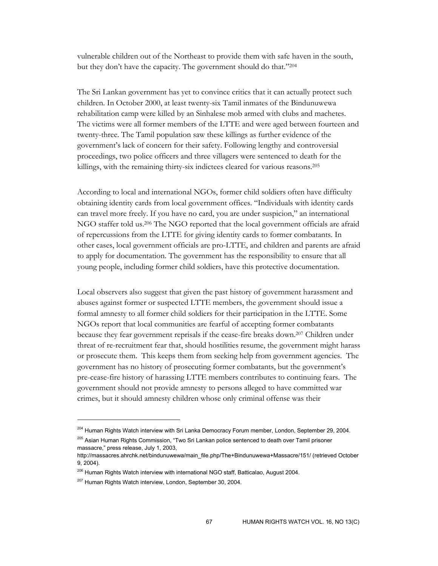vulnerable children out of the Northeast to provide them with safe haven in the south, but they don't have the capacity. The government should do that."204

The Sri Lankan government has yet to convince critics that it can actually protect such children. In October 2000, at least twenty-six Tamil inmates of the Bindunuwewa rehabilitation camp were killed by an Sinhalese mob armed with clubs and machetes. The victims were all former members of the LTTE and were aged between fourteen and twenty-three. The Tamil population saw these killings as further evidence of the government's lack of concern for their safety. Following lengthy and controversial proceedings, two police officers and three villagers were sentenced to death for the killings, with the remaining thirty-six indictees cleared for various reasons.205

According to local and international NGOs, former child soldiers often have difficulty obtaining identity cards from local government offices. "Individuals with identity cards can travel more freely. If you have no card, you are under suspicion," an international NGO staffer told us.206 The NGO reported that the local government officials are afraid of repercussions from the LTTE for giving identity cards to former combatants. In other cases, local government officials are pro-LTTE, and children and parents are afraid to apply for documentation. The government has the responsibility to ensure that all young people, including former child soldiers, have this protective documentation.

Local observers also suggest that given the past history of government harassment and abuses against former or suspected LTTE members, the government should issue a formal amnesty to all former child soldiers for their participation in the LTTE. Some NGOs report that local communities are fearful of accepting former combatants because they fear government reprisals if the cease-fire breaks down.207 Children under threat of re-recruitment fear that, should hostilities resume, the government might harass or prosecute them. This keeps them from seeking help from government agencies. The government has no history of prosecuting former combatants, but the government's pre-cease-fire history of harassing LTTE members contributes to continuing fears. The government should not provide amnesty to persons alleged to have committed war crimes, but it should amnesty children whose only criminal offense was their

<sup>&</sup>lt;sup>204</sup> Human Rights Watch interview with Sri Lanka Democracy Forum member, London, September 29, 2004.

<sup>&</sup>lt;sup>205</sup> Asian Human Rights Commission, "Two Sri Lankan police sentenced to death over Tamil prisoner massacre," press release, July 1, 2003,

http://massacres.ahrchk.net/bindunuwewa/main\_file.php/The+Bindunuwewa+Massacre/151/ (retrieved October 9, 2004).

 $^{206}$  Human Rights Watch interview with international NGO staff, Batticalao, August 2004.

<sup>&</sup>lt;sup>207</sup> Human Rights Watch interview, London, September 30, 2004.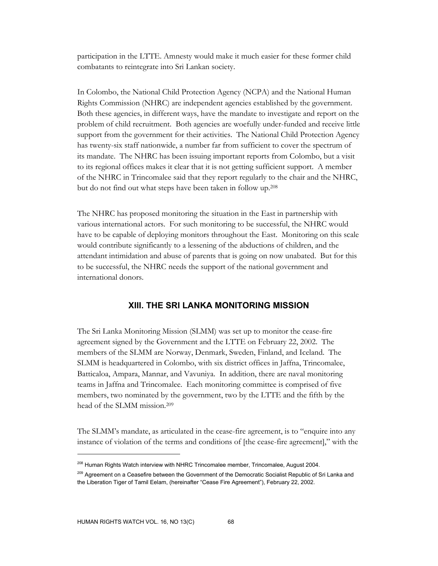participation in the LTTE. Amnesty would make it much easier for these former child combatants to reintegrate into Sri Lankan society.

In Colombo, the National Child Protection Agency (NCPA) and the National Human Rights Commission (NHRC) are independent agencies established by the government. Both these agencies, in different ways, have the mandate to investigate and report on the problem of child recruitment. Both agencies are woefully under-funded and receive little support from the government for their activities. The National Child Protection Agency has twenty-six staff nationwide, a number far from sufficient to cover the spectrum of its mandate. The NHRC has been issuing important reports from Colombo, but a visit to its regional offices makes it clear that it is not getting sufficient support. A member of the NHRC in Trincomalee said that they report regularly to the chair and the NHRC, but do not find out what steps have been taken in follow up.208

The NHRC has proposed monitoring the situation in the East in partnership with various international actors. For such monitoring to be successful, the NHRC would have to be capable of deploying monitors throughout the East. Monitoring on this scale would contribute significantly to a lessening of the abductions of children, and the attendant intimidation and abuse of parents that is going on now unabated. But for this to be successful, the NHRC needs the support of the national government and international donors.

### **XIII. THE SRI LANKA MONITORING MISSION**

The Sri Lanka Monitoring Mission (SLMM) was set up to monitor the cease-fire agreement signed by the Government and the LTTE on February 22, 2002. The members of the SLMM are Norway, Denmark, Sweden, Finland, and Iceland. The SLMM is headquartered in Colombo, with six district offices in Jaffna, Trincomalee, Batticaloa, Ampara, Mannar, and Vavuniya. In addition, there are naval monitoring teams in Jaffna and Trincomalee. Each monitoring committee is comprised of five members, two nominated by the government, two by the LTTE and the fifth by the head of the SLMM mission.209

The SLMM's mandate, as articulated in the cease-fire agreement, is to "enquire into any instance of violation of the terms and conditions of [the cease-fire agreement]," with the

<sup>&</sup>lt;sup>208</sup> Human Rights Watch interview with NHRC Trincomalee member, Trincomalee, August 2004.

<sup>&</sup>lt;sup>209</sup> Agreement on a Ceasefire between the Government of the Democratic Socialist Republic of Sri Lanka and the Liberation Tiger of Tamil Eelam, (hereinafter "Cease Fire Agreement"), February 22, 2002.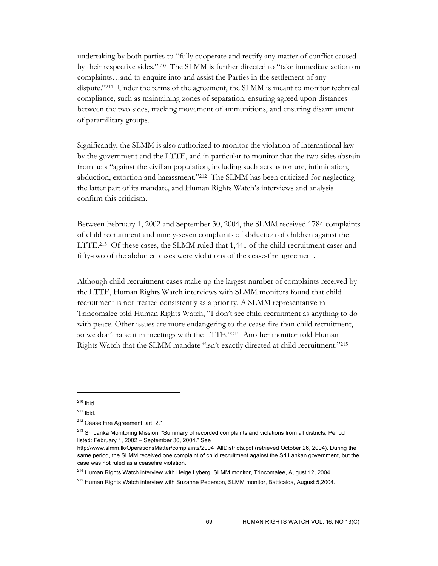undertaking by both parties to "fully cooperate and rectify any matter of conflict caused by their respective sides."210 The SLMM is further directed to "take immediate action on complaints…and to enquire into and assist the Parties in the settlement of any dispute."211 Under the terms of the agreement, the SLMM is meant to monitor technical compliance, such as maintaining zones of separation, ensuring agreed upon distances between the two sides, tracking movement of ammunitions, and ensuring disarmament of paramilitary groups.

Significantly, the SLMM is also authorized to monitor the violation of international law by the government and the LTTE, and in particular to monitor that the two sides abstain from acts "against the civilian population, including such acts as torture, intimidation, abduction, extortion and harassment."212 The SLMM has been criticized for neglecting the latter part of its mandate, and Human Rights Watch's interviews and analysis confirm this criticism.

Between February 1, 2002 and September 30, 2004, the SLMM received 1784 complaints of child recruitment and ninety-seven complaints of abduction of children against the LTTE.213 Of these cases, the SLMM ruled that 1,441 of the child recruitment cases and fifty-two of the abducted cases were violations of the cease-fire agreement.

Although child recruitment cases make up the largest number of complaints received by the LTTE, Human Rights Watch interviews with SLMM monitors found that child recruitment is not treated consistently as a priority. A SLMM representative in Trincomalee told Human Rights Watch, "I don't see child recruitment as anything to do with peace. Other issues are more endangering to the cease-fire than child recruitment, so we don't raise it in meetings with the LTTE."214 Another monitor told Human Rights Watch that the SLMM mandate "isn't exactly directed at child recruitment."215

 $\overline{a}$ 

<sup>210</sup> Ibid*.*

 $211$  Ibid.

<sup>&</sup>lt;sup>212</sup> Cease Fire Agreement, art. 2.1

<sup>&</sup>lt;sup>213</sup> Sri Lanka Monitoring Mission, "Summary of recorded complaints and violations from all districts, Period listed: February 1, 2002 – September 30, 2004." See

http://www.slmm.lk/OperationsMatter/complaints/2004\_AllDistricts.pdf (retrieved October 26, 2004). During the same period, the SLMM received one complaint of child recruitment against the Sri Lankan government, but the case was not ruled as a ceasefire violation.

<sup>&</sup>lt;sup>214</sup> Human Rights Watch interview with Helge Lyberg, SLMM monitor, Trincomalee, August 12, 2004.

<sup>&</sup>lt;sup>215</sup> Human Rights Watch interview with Suzanne Pederson, SLMM monitor, Batticaloa, August 5,2004.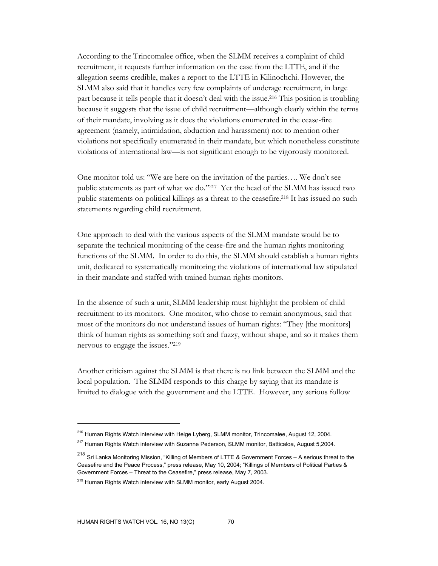According to the Trincomalee office, when the SLMM receives a complaint of child recruitment, it requests further information on the case from the LTTE, and if the allegation seems credible, makes a report to the LTTE in Kilinochchi. However, the SLMM also said that it handles very few complaints of underage recruitment, in large part because it tells people that it doesn't deal with the issue.216 This position is troubling because it suggests that the issue of child recruitment—although clearly within the terms of their mandate, involving as it does the violations enumerated in the cease-fire agreement (namely, intimidation, abduction and harassment) not to mention other violations not specifically enumerated in their mandate, but which nonetheless constitute violations of international law—is not significant enough to be vigorously monitored.

One monitor told us: "We are here on the invitation of the parties…. We don't see public statements as part of what we do."217 Yet the head of the SLMM has issued two public statements on political killings as a threat to the ceasefire.218 It has issued no such statements regarding child recruitment.

One approach to deal with the various aspects of the SLMM mandate would be to separate the technical monitoring of the cease-fire and the human rights monitoring functions of the SLMM. In order to do this, the SLMM should establish a human rights unit, dedicated to systematically monitoring the violations of international law stipulated in their mandate and staffed with trained human rights monitors.

In the absence of such a unit, SLMM leadership must highlight the problem of child recruitment to its monitors. One monitor, who chose to remain anonymous, said that most of the monitors do not understand issues of human rights: "They [the monitors] think of human rights as something soft and fuzzy, without shape, and so it makes them nervous to engage the issues."219

Another criticism against the SLMM is that there is no link between the SLMM and the local population. The SLMM responds to this charge by saying that its mandate is limited to dialogue with the government and the LTTE. However, any serious follow

<sup>&</sup>lt;sup>216</sup> Human Rights Watch interview with Helge Lyberg, SLMM monitor, Trincomalee, August 12, 2004.

<sup>&</sup>lt;sup>217</sup> Human Rights Watch interview with Suzanne Pederson, SLMM monitor, Batticaloa, August 5,2004.

<sup>218</sup> Sri Lanka Monitoring Mission, "Killing of Members of LTTE & Government Forces – A serious threat to the Ceasefire and the Peace Process," press release, May 10, 2004; "Killings of Members of Political Parties & Government Forces – Threat to the Ceasefire," press release, May 7, 2003.

<sup>&</sup>lt;sup>219</sup> Human Rights Watch interview with SLMM monitor, early August 2004.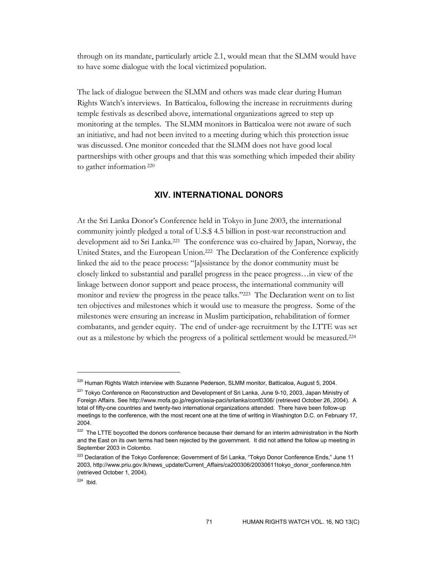through on its mandate, particularly article 2.1, would mean that the SLMM would have to have some dialogue with the local victimized population.

The lack of dialogue between the SLMM and others was made clear during Human Rights Watch's interviews. In Batticaloa, following the increase in recruitments during temple festivals as described above, international organizations agreed to step up monitoring at the temples. The SLMM monitors in Batticaloa were not aware of such an initiative, and had not been invited to a meeting during which this protection issue was discussed. One monitor conceded that the SLMM does not have good local partnerships with other groups and that this was something which impeded their ability to gather information 220

#### **XIV. INTERNATIONAL DONORS**

At the Sri Lanka Donor's Conference held in Tokyo in June 2003, the international community jointly pledged a total of U.S.\$ 4.5 billion in post-war reconstruction and development aid to Sri Lanka.221 The conference was co-chaired by Japan, Norway, the United States, and the European Union.222 The Declaration of the Conference explicitly linked the aid to the peace process: "[a]ssistance by the donor community must be closely linked to substantial and parallel progress in the peace progress…in view of the linkage between donor support and peace process, the international community will monitor and review the progress in the peace talks."223 The Declaration went on to list ten objectives and milestones which it would use to measure the progress. Some of the milestones were ensuring an increase in Muslim participation, rehabilitation of former combatants, and gender equity. The end of under-age recruitment by the LTTE was set out as a milestone by which the progress of a political settlement would be measured.224

<sup>&</sup>lt;sup>220</sup> Human Rights Watch interview with Suzanne Pederson, SLMM monitor, Batticaloa, August 5, 2004.

<sup>&</sup>lt;sup>221</sup> Tokyo Conference on Reconstruction and Development of Sri Lanka, June 9-10, 2003, Japan Ministry of Foreign Affairs. See http://www.mofa.go.jp/region/asia-paci/srilanka/conf0306/ (retrieved October 26, 2004). A total of fifty-one countries and twenty-two international organizations attended. There have been follow-up meetings to the conference, with the most recent one at the time of writing in Washington D.C. on February 17, 2004.

<sup>&</sup>lt;sup>222</sup> The LTTE boycotted the donors conference because their demand for an interim administration in the North and the East on its own terms had been rejected by the government. It did not attend the follow up meeting in September 2003 in Colombo.

<sup>&</sup>lt;sup>223</sup> Declaration of the Tokyo Conference; Government of Sri Lanka, "Tokyo Donor Conference Ends," June 11 2003, http://www.priu.gov.lk/news\_update/Current\_Affairs/ca200306/20030611tokyo\_donor\_conference.htm (retrieved October 1, 2004).

 $224$  Ibid.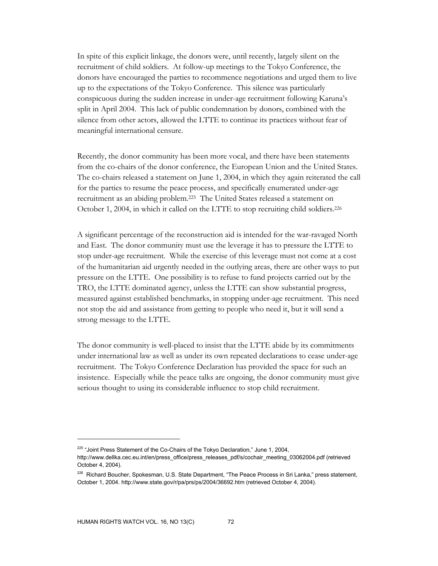In spite of this explicit linkage, the donors were, until recently, largely silent on the recruitment of child soldiers. At follow-up meetings to the Tokyo Conference, the donors have encouraged the parties to recommence negotiations and urged them to live up to the expectations of the Tokyo Conference. This silence was particularly conspicuous during the sudden increase in under-age recruitment following Karuna's split in April 2004. This lack of public condemnation by donors, combined with the silence from other actors, allowed the LTTE to continue its practices without fear of meaningful international censure.

Recently, the donor community has been more vocal, and there have been statements from the co-chairs of the donor conference, the European Union and the United States. The co-chairs released a statement on June 1, 2004, in which they again reiterated the call for the parties to resume the peace process, and specifically enumerated under-age recruitment as an abiding problem.225 The United States released a statement on October 1, 2004, in which it called on the LTTE to stop recruiting child soldiers.226

A significant percentage of the reconstruction aid is intended for the war-ravaged North and East. The donor community must use the leverage it has to pressure the LTTE to stop under-age recruitment. While the exercise of this leverage must not come at a cost of the humanitarian aid urgently needed in the outlying areas, there are other ways to put pressure on the LTTE. One possibility is to refuse to fund projects carried out by the TRO, the LTTE dominated agency, unless the LTTE can show substantial progress, measured against established benchmarks, in stopping under-age recruitment. This need not stop the aid and assistance from getting to people who need it, but it will send a strong message to the LTTE.

The donor community is well-placed to insist that the LTTE abide by its commitments under international law as well as under its own repeated declarations to cease under-age recruitment. The Tokyo Conference Declaration has provided the space for such an insistence. Especially while the peace talks are ongoing, the donor community must give serious thought to using its considerable influence to stop child recruitment.

<sup>&</sup>lt;sup>225</sup> "Joint Press Statement of the Co-Chairs of the Tokyo Declaration," June 1, 2004,

http://www.dellka.cec.eu.int/en/press\_office/press\_releases\_pdf/s/cochair\_meeting\_03062004.pdf (retrieved October 4, 2004).

<sup>&</sup>lt;sup>226</sup> Richard Boucher, Spokesman, U.S. State Department, "The Peace Process in Sri Lanka," press statement, October 1, 2004. http://www.state.gov/r/pa/prs/ps/2004/36692.htm (retrieved October 4, 2004).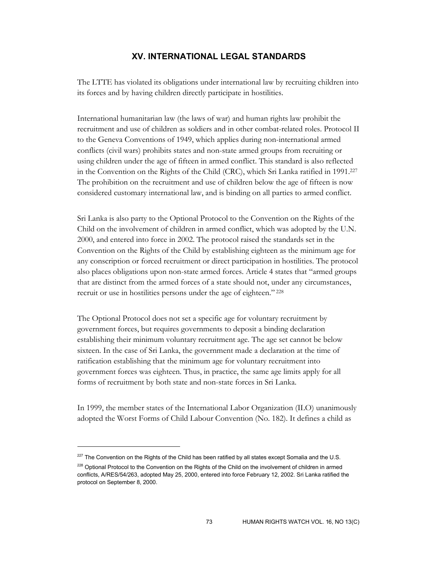## **XV. INTERNATIONAL LEGAL STANDARDS**

The LTTE has violated its obligations under international law by recruiting children into its forces and by having children directly participate in hostilities.

International humanitarian law (the laws of war) and human rights law prohibit the recruitment and use of children as soldiers and in other combat-related roles. Protocol II to the Geneva Conventions of 1949, which applies during non-international armed conflicts (civil wars) prohibits states and non-state armed groups from recruiting or using children under the age of fifteen in armed conflict. This standard is also reflected in the Convention on the Rights of the Child (CRC), which Sri Lanka ratified in 1991.227 The prohibition on the recruitment and use of children below the age of fifteen is now considered customary international law, and is binding on all parties to armed conflict.

Sri Lanka is also party to the Optional Protocol to the Convention on the Rights of the Child on the involvement of children in armed conflict, which was adopted by the U.N. 2000, and entered into force in 2002. The protocol raised the standards set in the Convention on the Rights of the Child by establishing eighteen as the minimum age for any conscription or forced recruitment or direct participation in hostilities. The protocol also places obligations upon non-state armed forces. Article 4 states that "armed groups that are distinct from the armed forces of a state should not, under any circumstances, recruit or use in hostilities persons under the age of eighteen." 228

The Optional Protocol does not set a specific age for voluntary recruitment by government forces, but requires governments to deposit a binding declaration establishing their minimum voluntary recruitment age. The age set cannot be below sixteen. In the case of Sri Lanka, the government made a declaration at the time of ratification establishing that the minimum age for voluntary recruitment into government forces was eighteen. Thus, in practice, the same age limits apply for all forms of recruitment by both state and non-state forces in Sri Lanka.

In 1999, the member states of the International Labor Organization (ILO) unanimously adopted the Worst Forms of Child Labour Convention (No. 182). It defines a child as

<sup>&</sup>lt;sup>227</sup> The Convention on the Rights of the Child has been ratified by all states except Somalia and the U.S.

<sup>&</sup>lt;sup>228</sup> Optional Protocol to the Convention on the Rights of the Child on the involvement of children in armed conflicts, A/RES/54/263, adopted May 25, 2000, entered into force February 12, 2002. Sri Lanka ratified the protocol on September 8, 2000.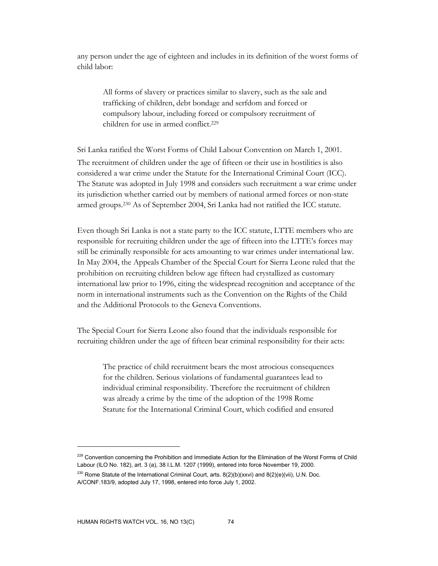any person under the age of eighteen and includes in its definition of the worst forms of child labor:

All forms of slavery or practices similar to slavery, such as the sale and trafficking of children, debt bondage and serfdom and forced or compulsory labour, including forced or compulsory recruitment of children for use in armed conflict.229

Sri Lanka ratified the Worst Forms of Child Labour Convention on March 1, 2001. The recruitment of children under the age of fifteen or their use in hostilities is also considered a war crime under the Statute for the International Criminal Court (ICC). The Statute was adopted in July 1998 and considers such recruitment a war crime under its jurisdiction whether carried out by members of national armed forces or non-state armed groups.230 As of September 2004, Sri Lanka had not ratified the ICC statute.

Even though Sri Lanka is not a state party to the ICC statute, LTTE members who are responsible for recruiting children under the age of fifteen into the LTTE's forces may still be criminally responsible for acts amounting to war crimes under international law. In May 2004, the Appeals Chamber of the Special Court for Sierra Leone ruled that the prohibition on recruiting children below age fifteen had crystallized as customary international law prior to 1996, citing the widespread recognition and acceptance of the norm in international instruments such as the Convention on the Rights of the Child and the Additional Protocols to the Geneva Conventions.

The Special Court for Sierra Leone also found that the individuals responsible for recruiting children under the age of fifteen bear criminal responsibility for their acts:

The practice of child recruitment bears the most atrocious consequences for the children. Serious violations of fundamental guarantees lead to individual criminal responsibility. Therefore the recruitment of children was already a crime by the time of the adoption of the 1998 Rome Statute for the International Criminal Court, which codified and ensured

 $\overline{a}$ 

<sup>&</sup>lt;sup>229</sup> Convention concerning the Prohibition and Immediate Action for the Elimination of the Worst Forms of Child Labour (ILO No. 182), art. 3 (a), 38 I.L.M. 1207 (1999), entered into force November 19, 2000.

 $^{230}$  Rome Statute of the International Criminal Court, arts. 8(2)(b)(xxvi) and 8(2)(e)(vii), U.N. Doc.

A/CONF.183/9, adopted July 17, 1998, entered into force July 1, 2002.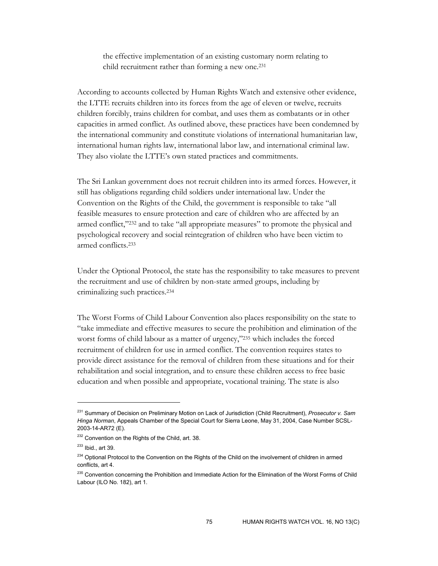the effective implementation of an existing customary norm relating to child recruitment rather than forming a new one.<sup>231</sup>

According to accounts collected by Human Rights Watch and extensive other evidence, the LTTE recruits children into its forces from the age of eleven or twelve, recruits children forcibly, trains children for combat, and uses them as combatants or in other capacities in armed conflict. As outlined above, these practices have been condemned by the international community and constitute violations of international humanitarian law, international human rights law, international labor law, and international criminal law. They also violate the LTTE's own stated practices and commitments.

The Sri Lankan government does not recruit children into its armed forces. However, it still has obligations regarding child soldiers under international law. Under the Convention on the Rights of the Child, the government is responsible to take "all feasible measures to ensure protection and care of children who are affected by an armed conflict,"232 and to take "all appropriate measures" to promote the physical and psychological recovery and social reintegration of children who have been victim to armed conflicts.233

Under the Optional Protocol, the state has the responsibility to take measures to prevent the recruitment and use of children by non-state armed groups, including by criminalizing such practices.234

The Worst Forms of Child Labour Convention also places responsibility on the state to "take immediate and effective measures to secure the prohibition and elimination of the worst forms of child labour as a matter of urgency,"235 which includes the forced recruitment of children for use in armed conflict. The convention requires states to provide direct assistance for the removal of children from these situations and for their rehabilitation and social integration, and to ensure these children access to free basic education and when possible and appropriate, vocational training. The state is also

 $\overline{a}$ 

<sup>231</sup> Summary of Decision on Preliminary Motion on Lack of Jurisdiction (Child Recruitment), *Prosecutor v. Sam Hinga Norman*, Appeals Chamber of the Special Court for Sierra Leone, May 31, 2004, Case Number SCSL-2003-14-AR72 (E).

<sup>&</sup>lt;sup>232</sup> Convention on the Rights of the Child, art. 38.

 $233$  Ibid., art 39.

<sup>&</sup>lt;sup>234</sup> Optional Protocol to the Convention on the Rights of the Child on the involvement of children in armed conflicts, art 4.

<sup>&</sup>lt;sup>235</sup> Convention concerning the Prohibition and Immediate Action for the Elimination of the Worst Forms of Child Labour (ILO No. 182), art 1.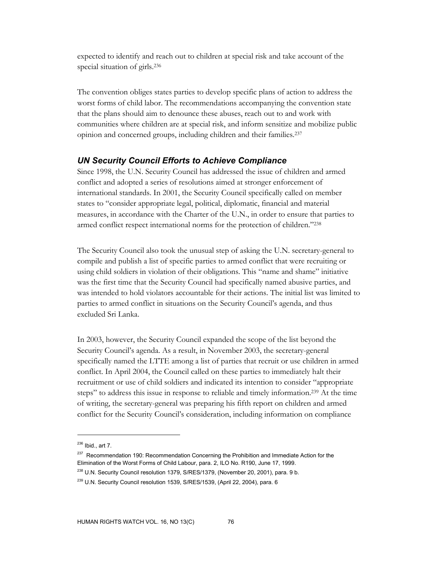expected to identify and reach out to children at special risk and take account of the special situation of girls.236

The convention obliges states parties to develop specific plans of action to address the worst forms of child labor. The recommendations accompanying the convention state that the plans should aim to denounce these abuses, reach out to and work with communities where children are at special risk, and inform sensitize and mobilize public opinion and concerned groups, including children and their families.237

### *UN Security Council Efforts to Achieve Compliance*

Since 1998, the U.N. Security Council has addressed the issue of children and armed conflict and adopted a series of resolutions aimed at stronger enforcement of international standards. In 2001, the Security Council specifically called on member states to "consider appropriate legal, political, diplomatic, financial and material measures, in accordance with the Charter of the U.N., in order to ensure that parties to armed conflict respect international norms for the protection of children."238

The Security Council also took the unusual step of asking the U.N. secretary-general to compile and publish a list of specific parties to armed conflict that were recruiting or using child soldiers in violation of their obligations. This "name and shame" initiative was the first time that the Security Council had specifically named abusive parties, and was intended to hold violators accountable for their actions. The initial list was limited to parties to armed conflict in situations on the Security Council's agenda, and thus excluded Sri Lanka.

In 2003, however, the Security Council expanded the scope of the list beyond the Security Council's agenda. As a result, in November 2003, the secretary-general specifically named the LTTE among a list of parties that recruit or use children in armed conflict. In April 2004, the Council called on these parties to immediately halt their recruitment or use of child soldiers and indicated its intention to consider "appropriate steps" to address this issue in response to reliable and timely information.239 At the time of writing, the secretary-general was preparing his fifth report on children and armed conflict for the Security Council's consideration, including information on compliance

 $236$  Ibid., art 7.

 $237$  Recommendation 190: Recommendation Concerning the Prohibition and Immediate Action for the Elimination of the Worst Forms of Child Labour, para. 2, ILO No. R190, June 17, 1999.

<sup>&</sup>lt;sup>238</sup> U.N. Security Council resolution 1379, S/RES/1379, (November 20, 2001), para. 9 b.

<sup>&</sup>lt;sup>239</sup> U.N. Security Council resolution 1539, S/RES/1539, (April 22, 2004), para. 6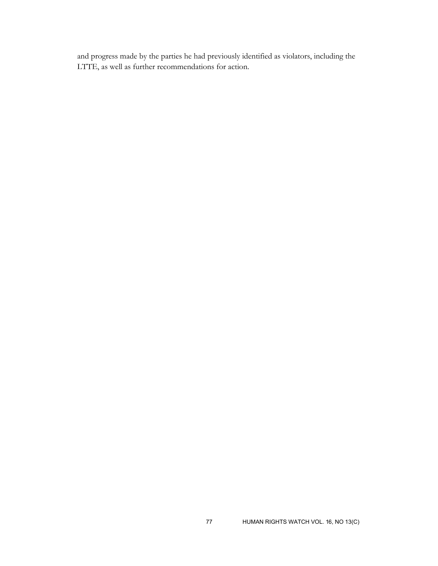and progress made by the parties he had previously identified as violators, including the LTTE, as well as further recommendations for action.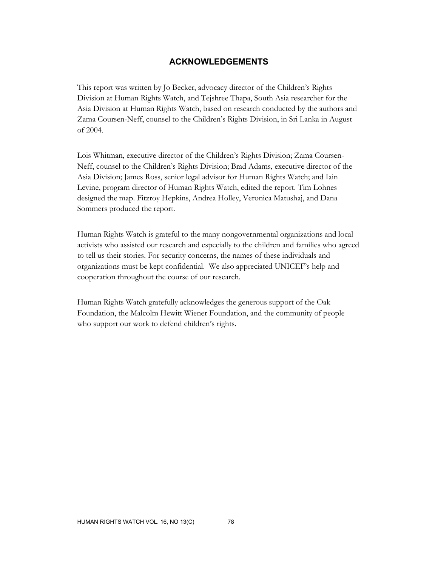# **ACKNOWLEDGEMENTS**

This report was written by Jo Becker, advocacy director of the Children's Rights Division at Human Rights Watch, and Tejshree Thapa, South Asia researcher for the Asia Division at Human Rights Watch, based on research conducted by the authors and Zama Coursen-Neff, counsel to the Children's Rights Division, in Sri Lanka in August of 2004.

Lois Whitman, executive director of the Children's Rights Division; Zama Coursen-Neff, counsel to the Children's Rights Division; Brad Adams, executive director of the Asia Division; James Ross, senior legal advisor for Human Rights Watch; and Iain Levine, program director of Human Rights Watch, edited the report. Tim Lohnes designed the map. Fitzroy Hepkins, Andrea Holley, Veronica Matushaj, and Dana Sommers produced the report.

Human Rights Watch is grateful to the many nongovernmental organizations and local activists who assisted our research and especially to the children and families who agreed to tell us their stories. For security concerns, the names of these individuals and organizations must be kept confidential. We also appreciated UNICEF's help and cooperation throughout the course of our research.

Human Rights Watch gratefully acknowledges the generous support of the Oak Foundation, the Malcolm Hewitt Wiener Foundation, and the community of people who support our work to defend children's rights.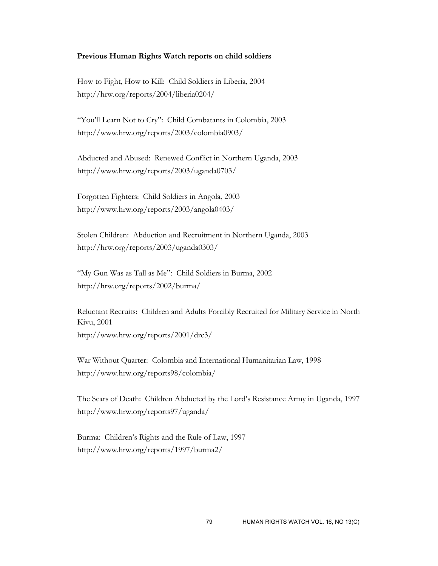#### **Previous Human Rights Watch reports on child soldiers**

How to Fight, How to Kill: Child Soldiers in Liberia, 2004 http://hrw.org/reports/2004/liberia0204/

"You'll Learn Not to Cry": Child Combatants in Colombia, 2003 http://www.hrw.org/reports/2003/colombia0903/

Abducted and Abused: Renewed Conflict in Northern Uganda, 2003 http://www.hrw.org/reports/2003/uganda0703/

Forgotten Fighters: Child Soldiers in Angola, 2003 http://www.hrw.org/reports/2003/angola0403/

Stolen Children: Abduction and Recruitment in Northern Uganda, 2003 http://hrw.org/reports/2003/uganda0303/

"My Gun Was as Tall as Me": Child Soldiers in Burma, 2002 http://hrw.org/reports/2002/burma/

Reluctant Recruits: Children and Adults Forcibly Recruited for Military Service in North Kivu, 2001 http://www.hrw.org/reports/2001/drc3/

War Without Quarter: Colombia and International Humanitarian Law, 1998 http://www.hrw.org/reports98/colombia/

The Scars of Death: Children Abducted by the Lord's Resistance Army in Uganda, 1997 http://www.hrw.org/reports97/uganda/

Burma: Children's Rights and the Rule of Law, 1997 http://www.hrw.org/reports/1997/burma2/